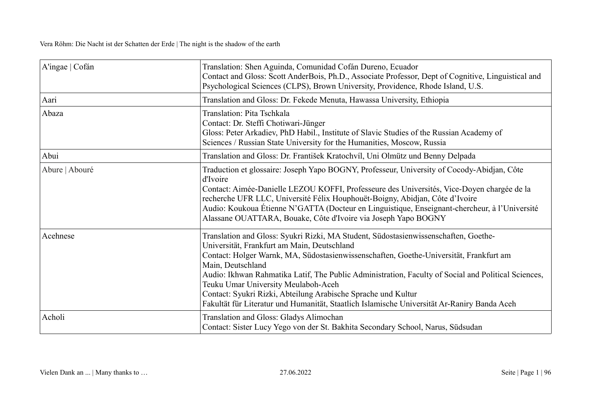| A'ingae $ C$ ofán | Translation: Shen Aguinda, Comunidad Cofán Dureno, Ecuador<br>Contact and Gloss: Scott AnderBois, Ph.D., Associate Professor, Dept of Cognitive, Linguistical and<br>Psychological Sciences (CLPS), Brown University, Providence, Rhode Island, U.S.                                                                                                                                                                                                                                                                                                            |
|-------------------|-----------------------------------------------------------------------------------------------------------------------------------------------------------------------------------------------------------------------------------------------------------------------------------------------------------------------------------------------------------------------------------------------------------------------------------------------------------------------------------------------------------------------------------------------------------------|
| Aari              | Translation and Gloss: Dr. Fekede Menuta, Hawassa University, Ethiopia                                                                                                                                                                                                                                                                                                                                                                                                                                                                                          |
| Abaza             | Translation: Pita Tschkala<br>Contact: Dr. Steffi Chotiwari-Jünger<br>Gloss: Peter Arkadiev, PhD Habil., Institute of Slavic Studies of the Russian Academy of<br>Sciences / Russian State University for the Humanities, Moscow, Russia                                                                                                                                                                                                                                                                                                                        |
| Abui              | Translation and Gloss: Dr. František Kratochvíl, Uni Olmütz und Benny Delpada                                                                                                                                                                                                                                                                                                                                                                                                                                                                                   |
| Abure   Abouré    | Traduction et glossaire: Joseph Yapo BOGNY, Professeur, University of Cocody-Abidjan, Côte<br>d'Ivoire<br>Contact: Aimée-Danielle LEZOU KOFFI, Professeure des Universités, Vice-Doyen chargée de la<br>recherche UFR LLC, Université Félix Houphouët-Boigny, Abidjan, Côte d'Ivoire<br>Audio: Koukoua Étienne N'GATTA (Docteur en Linguistique, Enseignant-chercheur, à l'Université<br>Alassane OUATTARA, Bouake, Côte d'Ivoire via Joseph Yapo BOGNY                                                                                                         |
| Acehnese          | Translation and Gloss: Syukri Rizki, MA Student, Südostasienwissenschaften, Goethe-<br>Universität, Frankfurt am Main, Deutschland<br>Contact: Holger Warnk, MA, Südostasienwissenschaften, Goethe-Universität, Frankfurt am<br>Main, Deutschland<br>Audio: Ikhwan Rahmatika Latif, The Public Administration, Faculty of Social and Political Sciences,<br>Teuku Umar University Meulaboh-Aceh<br>Contact: Syukri Rizki, Abteilung Arabische Sprache und Kultur<br>Fakultät für Literatur und Humanität, Staatlich Islamische Universität Ar-Raniry Banda Aceh |
| Acholi            | Translation and Gloss: Gladys Alimochan<br>Contact: Sister Lucy Yego von der St. Bakhita Secondary School, Narus, Südsudan                                                                                                                                                                                                                                                                                                                                                                                                                                      |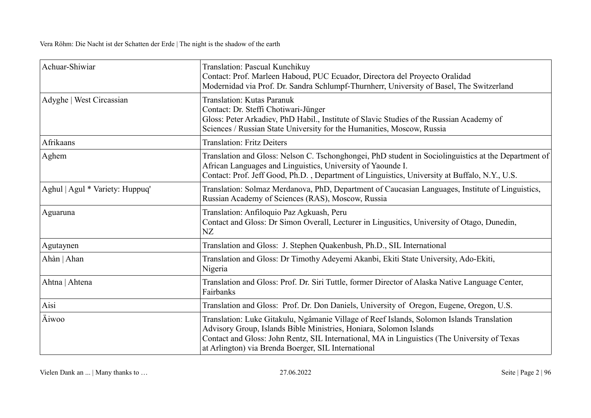| Achuar-Shiwiar                  | Translation: Pascual Kunchikuy<br>Contact: Prof. Marleen Haboud, PUC Ecuador, Directora del Proyecto Oralidad<br>Modernidad via Prof. Dr. Sandra Schlumpf-Thurnherr, University of Basel, The Switzerland                                                                                                              |
|---------------------------------|------------------------------------------------------------------------------------------------------------------------------------------------------------------------------------------------------------------------------------------------------------------------------------------------------------------------|
| Adyghe   West Circassian        | <b>Translation: Kutas Paranuk</b><br>Contact: Dr. Steffi Chotiwari-Jünger<br>Gloss: Peter Arkadiev, PhD Habil., Institute of Slavic Studies of the Russian Academy of<br>Sciences / Russian State University for the Humanities, Moscow, Russia                                                                        |
| Afrikaans                       | <b>Translation: Fritz Deiters</b>                                                                                                                                                                                                                                                                                      |
| Aghem                           | Translation and Gloss: Nelson C. Tschonghongei, PhD student in Sociolinguistics at the Department of<br>African Languages and Linguistics, University of Yaounde I.<br>Contact: Prof. Jeff Good, Ph.D., Department of Linguistics, University at Buffalo, N.Y., U.S.                                                   |
| Aghul   Agul * Variety: Huppuq' | Translation: Solmaz Merdanova, PhD, Department of Caucasian Languages, Institute of Linguistics,<br>Russian Academy of Sciences (RAS), Moscow, Russia                                                                                                                                                                  |
| Aguaruna                        | Translation: Anfiloquio Paz Agkuash, Peru<br>Contact and Gloss: Dr Simon Overall, Lecturer in Lingusitics, University of Otago, Dunedin,<br>NZ                                                                                                                                                                         |
| Agutaynen                       | Translation and Gloss: J. Stephen Quakenbush, Ph.D., SIL International                                                                                                                                                                                                                                                 |
| Ahàn   Ahan                     | Translation and Gloss: Dr Timothy Adeyemi Akanbi, Ekiti State University, Ado-Ekiti,<br>Nigeria                                                                                                                                                                                                                        |
| Ahtna   Ahtena                  | Translation and Gloss: Prof. Dr. Siri Tuttle, former Director of Alaska Native Language Center,<br>Fairbanks                                                                                                                                                                                                           |
| Aisi                            | Translation and Gloss: Prof. Dr. Don Daniels, University of Oregon, Eugene, Oregon, U.S.                                                                                                                                                                                                                               |
| Äiwoo                           | Translation: Luke Gitakulu, Ngâmanie Village of Reef Islands, Solomon Islands Translation<br>Advisory Group, Islands Bible Ministries, Honiara, Solomon Islands<br>Contact and Gloss: John Rentz, SIL International, MA in Linguistics (The University of Texas<br>at Arlington) via Brenda Boerger, SIL International |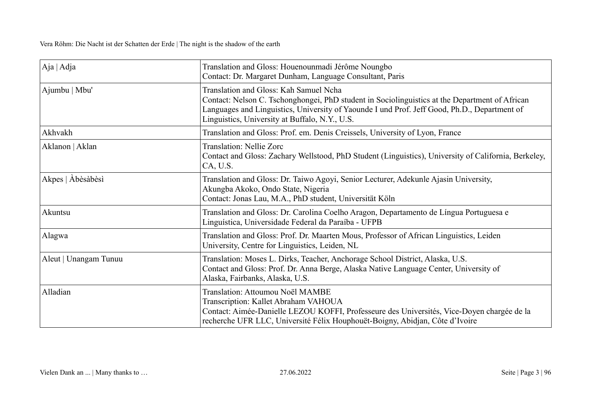| Aja   Adja            | Translation and Gloss: Houenounmadi Jérôme Noungbo<br>Contact: Dr. Margaret Dunham, Language Consultant, Paris                                                                                                                                                                             |
|-----------------------|--------------------------------------------------------------------------------------------------------------------------------------------------------------------------------------------------------------------------------------------------------------------------------------------|
| Ajumbu   Mbu'         | Translation and Gloss: Kah Samuel Ncha<br>Contact: Nelson C. Tschonghongei, PhD student in Sociolinguistics at the Department of African<br>Languages and Linguistics, University of Yaounde I und Prof. Jeff Good, Ph.D., Department of<br>Linguistics, University at Buffalo, N.Y., U.S. |
| Akhvakh               | Translation and Gloss: Prof. em. Denis Creissels, University of Lyon, France                                                                                                                                                                                                               |
| Aklanon   Aklan       | <b>Translation: Nellie Zorc</b><br>Contact and Gloss: Zachary Wellstood, PhD Student (Linguistics), University of California, Berkeley,<br>CA, U.S.                                                                                                                                        |
| Akpes   Abèsàbèsi     | Translation and Gloss: Dr. Taiwo Agoyi, Senior Lecturer, Adekunle Ajasin University,<br>Akungba Akoko, Ondo State, Nigeria<br>Contact: Jonas Lau, M.A., PhD student, Universität Köln                                                                                                      |
| Akuntsu               | Translation and Gloss: Dr. Carolina Coelho Aragon, Departamento de Língua Portuguesa e<br>Linguística, Universidade Federal da Paraíba - UFPB                                                                                                                                              |
| Alagwa                | Translation and Gloss: Prof. Dr. Maarten Mous, Professor of African Linguistics, Leiden<br>University, Centre for Linguistics, Leiden, NL                                                                                                                                                  |
| Aleut   Unangam Tunuu | Translation: Moses L. Dirks, Teacher, Anchorage School District, Alaska, U.S.<br>Contact and Gloss: Prof. Dr. Anna Berge, Alaska Native Language Center, University of<br>Alaska, Fairbanks, Alaska, U.S.                                                                                  |
| Alladian              | Translation: Attoumou Noël MAMBE<br>Transcription: Kallet Abraham VAHOUA<br>Contact: Aimée-Danielle LEZOU KOFFI, Professeure des Universités, Vice-Doyen chargée de la<br>recherche UFR LLC, Université Félix Houphouët-Boigny, Abidjan, Côte d'Ivoire                                     |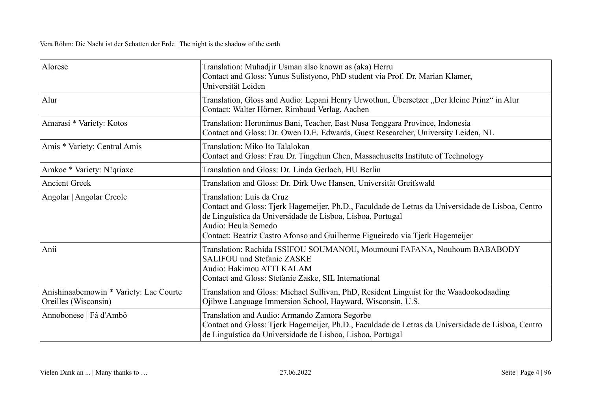| Alorese                                                        | Translation: Muhadjir Usman also known as (aka) Herru<br>Contact and Gloss: Yunus Sulistyono, PhD student via Prof. Dr. Marian Klamer,<br>Universität Leiden                                                                                                                                        |
|----------------------------------------------------------------|-----------------------------------------------------------------------------------------------------------------------------------------------------------------------------------------------------------------------------------------------------------------------------------------------------|
| Alur                                                           | Translation, Gloss and Audio: Lepani Henry Urwothun, Übersetzer "Der kleine Prinz" in Alur<br>Contact: Walter Hörner, Rimbaud Verlag, Aachen                                                                                                                                                        |
| Amarasi * Variety: Kotos                                       | Translation: Heronimus Bani, Teacher, East Nusa Tenggara Province, Indonesia<br>Contact and Gloss: Dr. Owen D.E. Edwards, Guest Researcher, University Leiden, NL                                                                                                                                   |
| Amis * Variety: Central Amis                                   | Translation: Miko Ito Talalokan<br>Contact and Gloss: Frau Dr. Tingchun Chen, Massachusetts Institute of Technology                                                                                                                                                                                 |
| Amkoe * Variety: N!qriaxe                                      | Translation and Gloss: Dr. Linda Gerlach, HU Berlin                                                                                                                                                                                                                                                 |
| <b>Ancient Greek</b>                                           | Translation and Gloss: Dr. Dirk Uwe Hansen, Universität Greifswald                                                                                                                                                                                                                                  |
| Angolar   Angolar Creole                                       | Translation: Luís da Cruz<br>Contact and Gloss: Tjerk Hagemeijer, Ph.D., Faculdade de Letras da Universidade de Lisboa, Centro<br>de Linguística da Universidade de Lisboa, Lisboa, Portugal<br>Audio: Heula Semedo<br>Contact: Beatriz Castro Afonso and Guilherme Figueiredo via Tjerk Hagemeijer |
| Anii                                                           | Translation: Rachida ISSIFOU SOUMANOU, Moumouni FAFANA, Nouhoum BABABODY<br><b>SALIFOU und Stefanie ZASKE</b><br>Audio: Hakimou ATTI KALAM<br>Contact and Gloss: Stefanie Zaske, SIL International                                                                                                  |
| Anishinaabemowin * Variety: Lac Courte<br>Oreilles (Wisconsin) | Translation and Gloss: Michael Sullivan, PhD, Resident Linguist for the Waadookodaading<br>Ojibwe Language Immersion School, Hayward, Wisconsin, U.S.                                                                                                                                               |
| Annobonese   Fá d'Ambô                                         | Translation and Audio: Armando Zamora Segorbe<br>Contact and Gloss: Tjerk Hagemeijer, Ph.D., Faculdade de Letras da Universidade de Lisboa, Centro<br>de Linguística da Universidade de Lisboa, Lisboa, Portugal                                                                                    |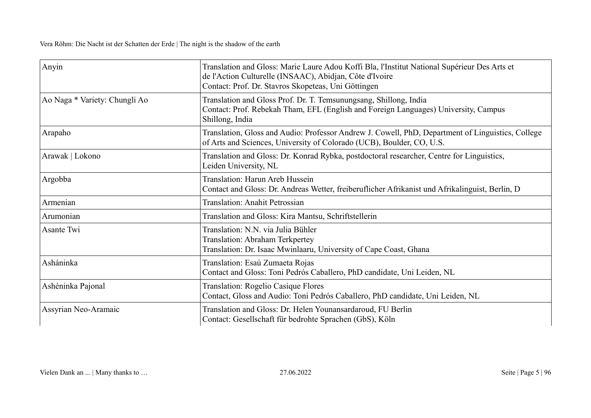| Anyin                         | Translation and Gloss: Marie Laure Adou Koffi Bla, l'Institut National Supérieur Des Arts et<br>de l'Action Culturelle (INSAAC), Abidjan, Côte d'Ivoire<br>Contact: Prof. Dr. Stavros Skopeteas, Uni Göttingen |
|-------------------------------|----------------------------------------------------------------------------------------------------------------------------------------------------------------------------------------------------------------|
| Ao Naga * Variety: Chungli Ao | Translation and Gloss Prof. Dr. T. Temsunungsang, Shillong, India<br>Contact: Prof. Rebekah Tham, EFL (English and Foreign Languages) University, Campus<br>Shillong, India                                    |
| Arapaho                       | Translation, Gloss and Audio: Professor Andrew J. Cowell, PhD, Department of Linguistics, College<br>of Arts and Sciences, University of Colorado (UCB), Boulder, CO, U.S.                                     |
| Arawak   Lokono               | Translation and Gloss: Dr. Konrad Rybka, postdoctoral researcher, Centre for Linguistics,<br>Leiden University, NL                                                                                             |
| Argobba                       | Translation: Harun Areb Hussein<br>Contact and Gloss: Dr. Andreas Wetter, freiberuflicher Afrikanist und Afrikalinguist, Berlin, D                                                                             |
| Armenian                      | Translation: Anahit Petrossian                                                                                                                                                                                 |
| Arumonian                     | Translation and Gloss: Kira Mantsu, Schriftstellerin                                                                                                                                                           |
| Asante Twi                    | Translation: N.N. via Julia Bühler<br>Translation: Abraham Terkpertey<br>Translation: Dr. Isaac Mwinlaaru, University of Cape Coast, Ghana                                                                     |
| Asháninka                     | Translation: Esaú Zumaeta Rojas<br>Contact and Gloss: Toni Pedrós Caballero, PhD candidate, Uni Leiden, NL                                                                                                     |
| Ashéninka Pajonal             | <b>Translation: Rogelio Casique Flores</b><br>Contact, Gloss and Audio: Toni Pedrós Caballero, PhD candidate, Uni Leiden, NL                                                                                   |
| Assyrian Neo-Aramaic          | Translation and Gloss: Dr. Helen Younansardaroud, FU Berlin<br>Contact: Gesellschaft für bedrohte Sprachen (GbS), Köln                                                                                         |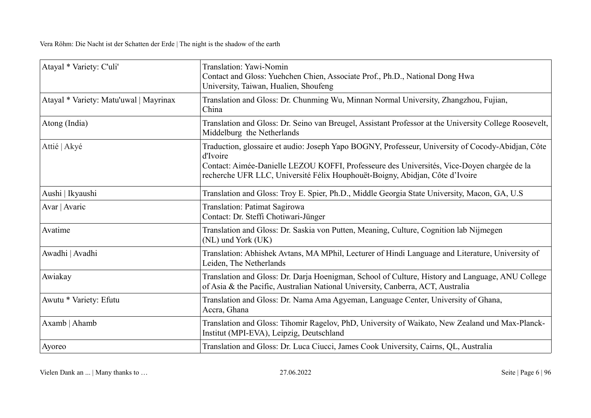| Atayal * Variety: C'uli'               | Translation: Yawi-Nomin<br>Contact and Gloss: Yuehchen Chien, Associate Prof., Ph.D., National Dong Hwa<br>University, Taiwan, Hualien, Shoufeng                                                                                                                                            |
|----------------------------------------|---------------------------------------------------------------------------------------------------------------------------------------------------------------------------------------------------------------------------------------------------------------------------------------------|
| Atayal * Variety: Matu'uwal   Mayrinax | Translation and Gloss: Dr. Chunming Wu, Minnan Normal University, Zhangzhou, Fujian,<br>China                                                                                                                                                                                               |
| Atong (India)                          | Translation and Gloss: Dr. Seino van Breugel, Assistant Professor at the University College Roosevelt,<br>Middelburg the Netherlands                                                                                                                                                        |
| Attié   Akyé                           | Traduction, glossaire et audio: Joseph Yapo BOGNY, Professeur, University of Cocody-Abidjan, Côte<br>d'Ivoire<br>Contact: Aimée-Danielle LEZOU KOFFI, Professeure des Universités, Vice-Doyen chargée de la<br>recherche UFR LLC, Université Félix Houphouët-Boigny, Abidjan, Côte d'Ivoire |
| Aushi   Ikyaushi                       | Translation and Gloss: Troy E. Spier, Ph.D., Middle Georgia State University, Macon, GA, U.S                                                                                                                                                                                                |
| Avar   Avaric                          | Translation: Patimat Sagirowa<br>Contact: Dr. Steffi Chotiwari-Jünger                                                                                                                                                                                                                       |
| Avatime                                | Translation and Gloss: Dr. Saskia von Putten, Meaning, Culture, Cognition lab Nijmegen<br>(NL) und York (UK)                                                                                                                                                                                |
| Awadhi   Avadhi                        | Translation: Abhishek Avtans, MA MPhil, Lecturer of Hindi Language and Literature, University of<br>Leiden, The Netherlands                                                                                                                                                                 |
| Awiakay                                | Translation and Gloss: Dr. Darja Hoenigman, School of Culture, History and Language, ANU College<br>of Asia & the Pacific, Australian National University, Canberra, ACT, Australia                                                                                                         |
| Awutu * Variety: Efutu                 | Translation and Gloss: Dr. Nama Ama Agyeman, Language Center, University of Ghana,<br>Accra, Ghana                                                                                                                                                                                          |
| Axamb   Ahamb                          | Translation and Gloss: Tihomir Ragelov, PhD, University of Waikato, New Zealand und Max-Planck-<br>Institut (MPI-EVA), Leipzig, Deutschland                                                                                                                                                 |
| Ayoreo                                 | Translation and Gloss: Dr. Luca Ciucci, James Cook University, Cairns, QL, Australia                                                                                                                                                                                                        |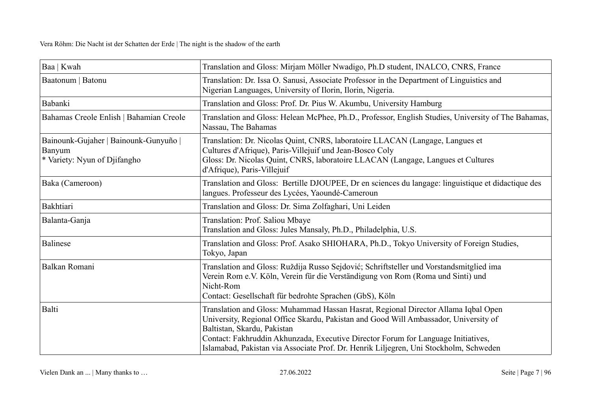| Baa   Kwah                                                                      | Translation and Gloss: Mirjam Möller Nwadigo, Ph.D student, INALCO, CNRS, France                                                                                                                                                                                                                                                                                                        |
|---------------------------------------------------------------------------------|-----------------------------------------------------------------------------------------------------------------------------------------------------------------------------------------------------------------------------------------------------------------------------------------------------------------------------------------------------------------------------------------|
| Baatonum   Batonu                                                               | Translation: Dr. Issa O. Sanusi, Associate Professor in the Department of Linguistics and<br>Nigerian Languages, University of Ilorin, Ilorin, Nigeria.                                                                                                                                                                                                                                 |
| Babanki                                                                         | Translation and Gloss: Prof. Dr. Pius W. Akumbu, University Hamburg                                                                                                                                                                                                                                                                                                                     |
| Bahamas Creole Enlish   Bahamian Creole                                         | Translation and Gloss: Helean McPhee, Ph.D., Professor, English Studies, University of The Bahamas,<br>Nassau, The Bahamas                                                                                                                                                                                                                                                              |
| Bainounk-Gujaher   Bainounk-Gunyuño  <br>Banyum<br>* Variety: Nyun of Djifangho | Translation: Dr. Nicolas Quint, CNRS, laboratoire LLACAN (Langage, Langues et<br>Cultures d'Afrique), Paris-Villejuif und Jean-Bosco Coly<br>Gloss: Dr. Nicolas Quint, CNRS, laboratoire LLACAN (Langage, Langues et Cultures<br>d'Afrique), Paris-Villejuif                                                                                                                            |
| Baka (Cameroon)                                                                 | Translation and Gloss: Bertille DJOUPEE, Dr en sciences du langage: linguistique et didactique des<br>langues. Professeur des Lycées, Yaoundé-Cameroun                                                                                                                                                                                                                                  |
| Bakhtiari                                                                       | Translation and Gloss: Dr. Sima Zolfaghari, Uni Leiden                                                                                                                                                                                                                                                                                                                                  |
| Balanta-Ganja                                                                   | Translation: Prof. Saliou Mbaye<br>Translation and Gloss: Jules Mansaly, Ph.D., Philadelphia, U.S.                                                                                                                                                                                                                                                                                      |
| <b>Balinese</b>                                                                 | Translation and Gloss: Prof. Asako SHIOHARA, Ph.D., Tokyo University of Foreign Studies,<br>Tokyo, Japan                                                                                                                                                                                                                                                                                |
| Balkan Romani                                                                   | Translation and Gloss: Ruždija Russo Sejdović; Schriftsteller und Vorstandsmitglied ima<br>Verein Rom e.V. Köln, Verein für die Verständigung von Rom (Roma und Sinti) und<br>Nicht-Rom<br>Contact: Gesellschaft für bedrohte Sprachen (GbS), Köln                                                                                                                                      |
| Balti                                                                           | Translation and Gloss: Muhammad Hassan Hasrat, Regional Director Allama Iqbal Open<br>University, Regional Office Skardu, Pakistan and Good Will Ambassador, University of<br>Baltistan, Skardu, Pakistan<br>Contact: Fakhruddin Akhunzada, Executive Director Forum for Language Initiatives,<br>Islamabad, Pakistan via Associate Prof. Dr. Henrik Liljegren, Uni Stockholm, Schweden |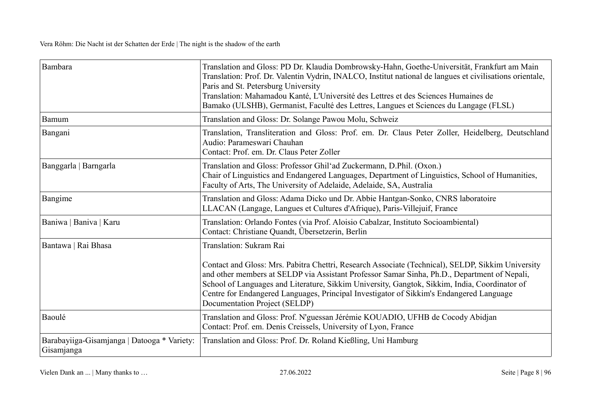| Bambara                                                   | Translation and Gloss: PD Dr. Klaudia Dombrowsky-Hahn, Goethe-Universität, Frankfurt am Main<br>Translation: Prof. Dr. Valentin Vydrin, INALCO, Institut national de langues et civilisations orientale,<br>Paris and St. Petersburg University<br>Translation: Mahamadou Kanté, L'Université des Lettres et des Sciences Humaines de<br>Bamako (ULSHB), Germanist, Faculté des Lettres, Langues et Sciences du Langage (FLSL)                            |
|-----------------------------------------------------------|-----------------------------------------------------------------------------------------------------------------------------------------------------------------------------------------------------------------------------------------------------------------------------------------------------------------------------------------------------------------------------------------------------------------------------------------------------------|
| Bamum                                                     | Translation and Gloss: Dr. Solange Pawou Molu, Schweiz                                                                                                                                                                                                                                                                                                                                                                                                    |
| Bangani                                                   | Translation, Transliteration and Gloss: Prof. em. Dr. Claus Peter Zoller, Heidelberg, Deutschland<br>Audio: Parameswari Chauhan<br>Contact: Prof. em. Dr. Claus Peter Zoller                                                                                                                                                                                                                                                                              |
| Banggarla   Barngarla                                     | Translation and Gloss: Professor Ghil'ad Zuckermann, D.Phil. (Oxon.)<br>Chair of Linguistics and Endangered Languages, Department of Linguistics, School of Humanities,<br>Faculty of Arts, The University of Adelaide, Adelaide, SA, Australia                                                                                                                                                                                                           |
| Bangime                                                   | Translation and Gloss: Adama Dicko und Dr. Abbie Hantgan-Sonko, CNRS laboratoire<br>LLACAN (Langage, Langues et Cultures d'Afrique), Paris-Villejuif, France                                                                                                                                                                                                                                                                                              |
| Baniwa   Baniva   Karu                                    | Translation: Orlando Fontes (via Prof. Aloisio Cabalzar, Instituto Socioambiental)<br>Contact: Christiane Quandt, Übersetzerin, Berlin                                                                                                                                                                                                                                                                                                                    |
| Bantawa   Rai Bhasa                                       | Translation: Sukram Rai<br>Contact and Gloss: Mrs. Pabitra Chettri, Research Associate (Technical), SELDP, Sikkim University<br>and other members at SELDP via Assistant Professor Samar Sinha, Ph.D., Department of Nepali,<br>School of Languages and Literature, Sikkim University, Gangtok, Sikkim, India, Coordinator of<br>Centre for Endangered Languages, Principal Investigator of Sikkim's Endangered Language<br>Documentation Project (SELDP) |
| Baoulé                                                    | Translation and Gloss: Prof. N'guessan Jérémie KOUADIO, UFHB de Cocody Abidjan<br>Contact: Prof. em. Denis Creissels, University of Lyon, France                                                                                                                                                                                                                                                                                                          |
| Barabayiiga-Gisamjanga   Datooga * Variety:<br>Gisamjanga | Translation and Gloss: Prof. Dr. Roland Kießling, Uni Hamburg                                                                                                                                                                                                                                                                                                                                                                                             |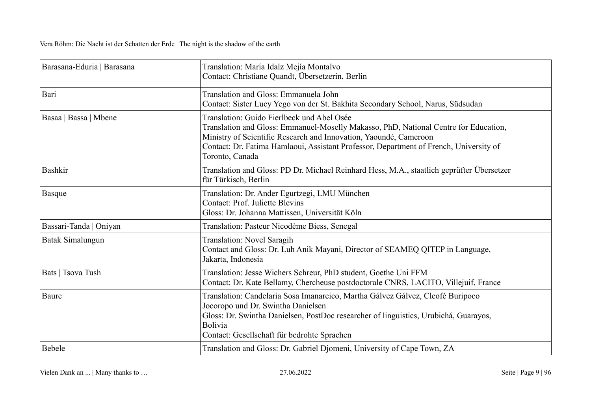| Barasana-Eduria   Barasana | Translation: María Idalz Mejía Montalvo<br>Contact: Christiane Quandt, Übersetzerin, Berlin                                                                                                                                                                                                                          |
|----------------------------|----------------------------------------------------------------------------------------------------------------------------------------------------------------------------------------------------------------------------------------------------------------------------------------------------------------------|
| Bari                       | Translation and Gloss: Emmanuela John<br>Contact: Sister Lucy Yego von der St. Bakhita Secondary School, Narus, Südsudan                                                                                                                                                                                             |
| Basaa   Bassa   Mbene      | Translation: Guido Fierlbeck und Abel Osée<br>Translation and Gloss: Emmanuel-Moselly Makasso, PhD, National Centre for Education,<br>Ministry of Scientific Research and Innovation, Yaoundé, Cameroon<br>Contact: Dr. Fatima Hamlaoui, Assistant Professor, Department of French, University of<br>Toronto, Canada |
| <b>Bashkir</b>             | Translation and Gloss: PD Dr. Michael Reinhard Hess, M.A., staatlich geprüfter Übersetzer<br>für Türkisch, Berlin                                                                                                                                                                                                    |
| <b>Basque</b>              | Translation: Dr. Ander Egurtzegi, LMU München<br><b>Contact: Prof. Juliette Blevins</b><br>Gloss: Dr. Johanna Mattissen, Universität Köln                                                                                                                                                                            |
| Bassari-Tanda   Oniyan     | Translation: Pasteur Nicodème Biess, Senegal                                                                                                                                                                                                                                                                         |
| Batak Simalungun           | Translation: Novel Saragih<br>Contact and Gloss: Dr. Luh Anik Mayani, Director of SEAMEQ QITEP in Language,<br>Jakarta, Indonesia                                                                                                                                                                                    |
| Bats   Tsova Tush          | Translation: Jesse Wichers Schreur, PhD student, Goethe Uni FFM<br>Contact: Dr. Kate Bellamy, Chercheuse postdoctorale CNRS, LACITO, Villejuif, France                                                                                                                                                               |
| Baure                      | Translation: Candelaria Sosa Imanareico, Martha Gálvez Gálvez, Cleofé Buripoco<br>Jocoropo und Dr. Swintha Danielsen<br>Gloss: Dr. Swintha Danielsen, PostDoc researcher of linguistics, Urubichá, Guarayos,<br><b>Bolivia</b><br>Contact: Gesellschaft für bedrohte Sprachen                                        |
| Bebele                     | Translation and Gloss: Dr. Gabriel Djomeni, University of Cape Town, ZA                                                                                                                                                                                                                                              |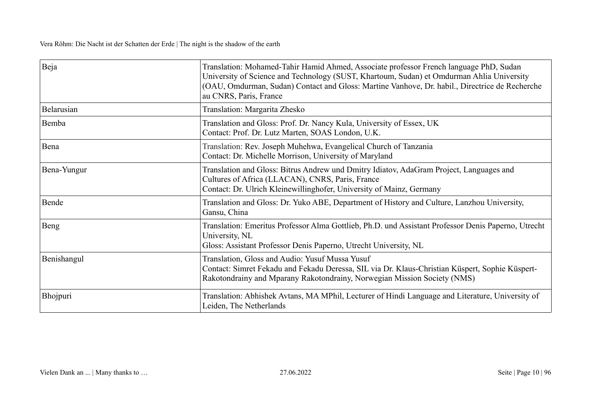| Beja        | Translation: Mohamed-Tahir Hamid Ahmed, Associate professor French language PhD, Sudan<br>University of Science and Technology (SUST, Khartoum, Sudan) et Omdurman Ahlia University<br>(OAU, Omdurman, Sudan) Contact and Gloss: Martine Vanhove, Dr. habil., Directrice de Recherche<br>au CNRS, Paris, France |
|-------------|-----------------------------------------------------------------------------------------------------------------------------------------------------------------------------------------------------------------------------------------------------------------------------------------------------------------|
| Belarusian  | Translation: Margarita Zhesko                                                                                                                                                                                                                                                                                   |
| Bemba       | Translation and Gloss: Prof. Dr. Nancy Kula, University of Essex, UK<br>Contact: Prof. Dr. Lutz Marten, SOAS London, U.K.                                                                                                                                                                                       |
| Bena        | Translation: Rev. Joseph Muhehwa, Evangelical Church of Tanzania<br>Contact: Dr. Michelle Morrison, University of Maryland                                                                                                                                                                                      |
| Bena-Yungur | Translation and Gloss: Bitrus Andrew und Dmitry Idiatov, AdaGram Project, Languages and<br>Cultures of Africa (LLACAN), CNRS, Paris, France<br>Contact: Dr. Ulrich Kleinewillinghofer, University of Mainz, Germany                                                                                             |
| Bende       | Translation and Gloss: Dr. Yuko ABE, Department of History and Culture, Lanzhou University,<br>Gansu, China                                                                                                                                                                                                     |
| Beng        | Translation: Emeritus Professor Alma Gottlieb, Ph.D. und Assistant Professor Denis Paperno, Utrecht<br>University, NL<br>Gloss: Assistant Professor Denis Paperno, Utrecht University, NL                                                                                                                       |
| Benishangul | Translation, Gloss and Audio: Yusuf Mussa Yusuf<br>Contact: Simret Fekadu and Fekadu Deressa, SIL via Dr. Klaus-Christian Küspert, Sophie Küspert-<br>Rakotondrainy and Mparany Rakotondrainy, Norwegian Mission Society (NMS)                                                                                  |
| Bhojpuri    | Translation: Abhishek Avtans, MA MPhil, Lecturer of Hindi Language and Literature, University of<br>Leiden, The Netherlands                                                                                                                                                                                     |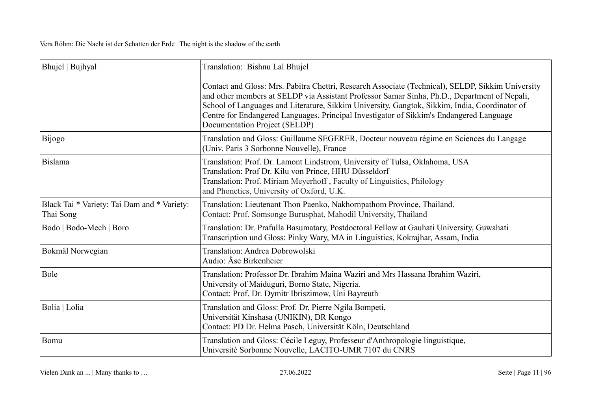| Bhujel   Bujhyal                                         | Translation: Bishnu Lal Bhujel                                                                                                                                                                                                                                                                                                                                                                                                 |
|----------------------------------------------------------|--------------------------------------------------------------------------------------------------------------------------------------------------------------------------------------------------------------------------------------------------------------------------------------------------------------------------------------------------------------------------------------------------------------------------------|
|                                                          | Contact and Gloss: Mrs. Pabitra Chettri, Research Associate (Technical), SELDP, Sikkim University<br>and other members at SELDP via Assistant Professor Samar Sinha, Ph.D., Department of Nepali,<br>School of Languages and Literature, Sikkim University, Gangtok, Sikkim, India, Coordinator of<br>Centre for Endangered Languages, Principal Investigator of Sikkim's Endangered Language<br>Documentation Project (SELDP) |
| Bijogo                                                   | Translation and Gloss: Guillaume SEGERER, Docteur nouveau régime en Sciences du Langage<br>(Univ. Paris 3 Sorbonne Nouvelle), France                                                                                                                                                                                                                                                                                           |
| <b>Bislama</b>                                           | Translation: Prof. Dr. Lamont Lindstrom, University of Tulsa, Oklahoma, USA<br>Translation: Prof Dr. Kilu von Prince, HHU Düsseldorf<br>Translation: Prof. Miriam Meyerhoff, Faculty of Linguistics, Philology<br>and Phonetics, University of Oxford, U.K.                                                                                                                                                                    |
| Black Tai * Variety: Tai Dam and * Variety:<br>Thai Song | Translation: Lieutenant Thon Paenko, Nakhornpathom Province, Thailand.<br>Contact: Prof. Somsonge Burusphat, Mahodil University, Thailand                                                                                                                                                                                                                                                                                      |
| Bodo   Bodo-Mech   Boro                                  | Translation: Dr. Prafulla Basumatary, Postdoctoral Fellow at Gauhati University, Guwahati<br>Transcription und Gloss: Pinky Wary, MA in Linguistics, Kokrajhar, Assam, India                                                                                                                                                                                                                                                   |
| Bokmål Norwegian                                         | Translation: Andrea Dobrowolski<br>Audio: Åse Birkenheier                                                                                                                                                                                                                                                                                                                                                                      |
| Bole                                                     | Translation: Professor Dr. Ibrahim Maina Waziri and Mrs Hassana Ibrahim Waziri,<br>University of Maiduguri, Borno State, Nigeria.<br>Contact: Prof. Dr. Dymitr Ibriszimow, Uni Bayreuth                                                                                                                                                                                                                                        |
| Bolia   Lolia                                            | Translation and Gloss: Prof. Dr. Pierre Ngila Bompeti,<br>Universität Kinshasa (UNIKIN), DR Kongo<br>Contact: PD Dr. Helma Pasch, Universität Köln, Deutschland                                                                                                                                                                                                                                                                |
| Bomu                                                     | Translation and Gloss: Cécile Leguy, Professeur d'Anthropologie linguistique,<br>Université Sorbonne Nouvelle, LACITO-UMR 7107 du CNRS                                                                                                                                                                                                                                                                                         |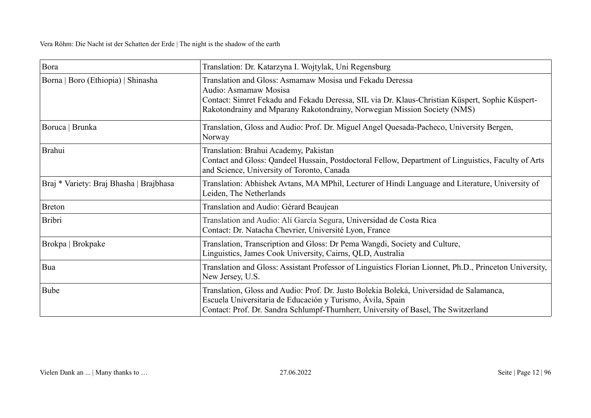| Bora                                    | Translation: Dr. Katarzyna I. Wojtylak, Uni Regensburg                                                                                                                                                                                                           |
|-----------------------------------------|------------------------------------------------------------------------------------------------------------------------------------------------------------------------------------------------------------------------------------------------------------------|
| Borna   Boro (Ethiopia)   Shinasha      | Translation and Gloss: Asmamaw Mosisa und Fekadu Deressa<br>Audio: Asmamaw Mosisa<br>Contact: Simret Fekadu and Fekadu Deressa, SIL via Dr. Klaus-Christian Küspert, Sophie Küspert-<br>Rakotondrainy and Mparany Rakotondrainy, Norwegian Mission Society (NMS) |
| Boruca   Brunka                         | Translation, Gloss and Audio: Prof. Dr. Miguel Angel Quesada-Pacheco, University Bergen,<br>Norway                                                                                                                                                               |
| <b>Brahui</b>                           | Translation: Brahui Academy, Pakistan<br>Contact and Gloss: Qandeel Hussain, Postdoctoral Fellow, Department of Linguistics, Faculty of Arts<br>and Science, University of Toronto, Canada                                                                       |
| Braj * Variety: Braj Bhasha   Brajbhasa | Translation: Abhishek Avtans, MA MPhil, Lecturer of Hindi Language and Literature, University of<br>Leiden, The Netherlands                                                                                                                                      |
| <b>Breton</b>                           | Translation and Audio: Gérard Beaujean                                                                                                                                                                                                                           |
| <b>Bribri</b>                           | Translation and Audio: Alí García Segura, Universidad de Costa Rica<br>Contact: Dr. Natacha Chevrier, Université Lyon, France                                                                                                                                    |
| Brokpa   Brokpake                       | Translation, Transcription and Gloss: Dr Pema Wangdi, Society and Culture,<br>Linguistics, James Cook University, Cairns, QLD, Australia                                                                                                                         |
| Bua                                     | Translation and Gloss: Assistant Professor of Linguistics Florian Lionnet, Ph.D., Princeton University,<br>New Jersey, U.S.                                                                                                                                      |
| Bube                                    | Translation, Gloss and Audio: Prof. Dr. Justo Bolekia Boleká, Universidad de Salamanca,<br>Escuela Universitaria de Educación y Turismo, Ávila, Spain<br>Contact: Prof. Dr. Sandra Schlumpf-Thurnherr, University of Basel, The Switzerland                      |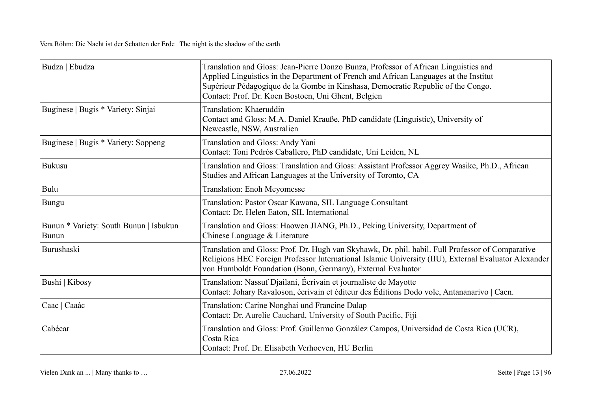| Budza   Ebudza                                         | Translation and Gloss: Jean-Pierre Donzo Bunza, Professor of African Linguistics and<br>Applied Linguistics in the Department of French and African Languages at the Institut<br>Supérieur Pédagogique de la Gombe in Kinshasa, Democratic Republic of the Congo.<br>Contact: Prof. Dr. Koen Bostoen, Uni Ghent, Belgien |
|--------------------------------------------------------|--------------------------------------------------------------------------------------------------------------------------------------------------------------------------------------------------------------------------------------------------------------------------------------------------------------------------|
| Buginese   Bugis * Variety: Sinjai                     | Translation: Khaeruddin<br>Contact and Gloss: M.A. Daniel Krauße, PhD candidate (Linguistic), University of<br>Newcastle, NSW, Australien                                                                                                                                                                                |
| Buginese   Bugis * Variety: Soppeng                    | Translation and Gloss: Andy Yani<br>Contact: Toni Pedrós Caballero, PhD candidate, Uni Leiden, NL                                                                                                                                                                                                                        |
| <b>Bukusu</b>                                          | Translation and Gloss: Translation and Gloss: Assistant Professor Aggrey Wasike, Ph.D., African<br>Studies and African Languages at the University of Toronto, CA                                                                                                                                                        |
| Bulu                                                   | <b>Translation: Enoh Meyomesse</b>                                                                                                                                                                                                                                                                                       |
| <b>Bungu</b>                                           | Translation: Pastor Oscar Kawana, SIL Language Consultant<br>Contact: Dr. Helen Eaton, SIL International                                                                                                                                                                                                                 |
| Bunun * Variety: South Bunun   Isbukun<br><b>Bunun</b> | Translation and Gloss: Haowen JIANG, Ph.D., Peking University, Department of<br>Chinese Language & Literature                                                                                                                                                                                                            |
| Burushaski                                             | Translation and Gloss: Prof. Dr. Hugh van Skyhawk, Dr. phil. habil. Full Professor of Comparative<br>Religions HEC Foreign Professor International Islamic University (IIU), External Evaluator Alexander<br>von Humboldt Foundation (Bonn, Germany), External Evaluator                                                 |
| Bushi   Kibosy                                         | Translation: Nassuf Djailani, Écrivain et journaliste de Mayotte<br>Contact: Johary Ravaloson, écrivain et éditeur des Éditions Dodo vole, Antananarivo   Caen.                                                                                                                                                          |
| Caac   Caaàc                                           | Translation: Carine Nonghai und Francine Dalap<br>Contact: Dr. Aurelie Cauchard, University of South Pacific, Fiji                                                                                                                                                                                                       |
| Cabécar                                                | Translation and Gloss: Prof. Guillermo González Campos, Universidad de Costa Rica (UCR),<br>Costa Rica<br>Contact: Prof. Dr. Elisabeth Verhoeven, HU Berlin                                                                                                                                                              |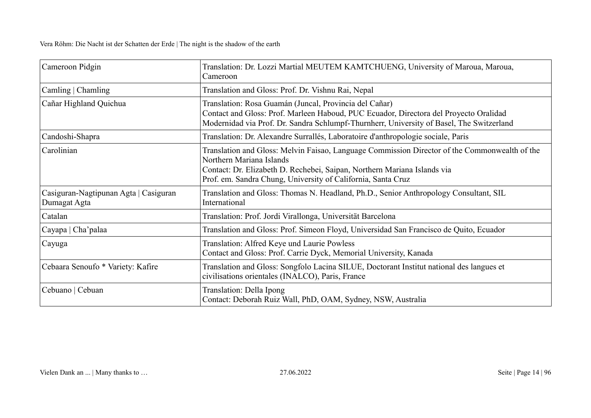| Cameroon Pidgin                                       | Translation: Dr. Lozzi Martial MEUTEM KAMTCHUENG, University of Maroua, Maroua,<br>Cameroon                                                                                                                                                                           |
|-------------------------------------------------------|-----------------------------------------------------------------------------------------------------------------------------------------------------------------------------------------------------------------------------------------------------------------------|
| Camling   Chamling                                    | Translation and Gloss: Prof. Dr. Vishnu Rai, Nepal                                                                                                                                                                                                                    |
| Cañar Highland Quichua                                | Translation: Rosa Guamán (Juncal, Provincia del Cañar)<br>Contact and Gloss: Prof. Marleen Haboud, PUC Ecuador, Directora del Proyecto Oralidad<br>Modernidad via Prof. Dr. Sandra Schlumpf-Thurnherr, University of Basel, The Switzerland                           |
| Candoshi-Shapra                                       | Translation: Dr. Alexandre Surrallés, Laboratoire d'anthropologie sociale, Paris                                                                                                                                                                                      |
| Carolinian                                            | Translation and Gloss: Melvin Faisao, Language Commission Director of the Commonwealth of the<br>Northern Mariana Islands<br>Contact: Dr. Elizabeth D. Rechebei, Saipan, Northern Mariana Islands via<br>Prof. em. Sandra Chung, University of California, Santa Cruz |
| Casiguran-Nagtipunan Agta   Casiguran<br>Dumagat Agta | Translation and Gloss: Thomas N. Headland, Ph.D., Senior Anthropology Consultant, SIL<br>International                                                                                                                                                                |
| Catalan                                               | Translation: Prof. Jordi Virallonga, Universität Barcelona                                                                                                                                                                                                            |
| Cayapa   Cha'palaa                                    | Translation and Gloss: Prof. Simeon Floyd, Universidad San Francisco de Quito, Ecuador                                                                                                                                                                                |
| Cayuga                                                | Translation: Alfred Keye und Laurie Powless<br>Contact and Gloss: Prof. Carrie Dyck, Memorial University, Kanada                                                                                                                                                      |
| Cebaara Senoufo * Variety: Kafire                     | Translation and Gloss: Songfolo Lacina SILUE, Doctorant Institut national des langues et<br>civilisations orientales (INALCO), Paris, France                                                                                                                          |
| Cebuano   Cebuan                                      | Translation: Della Ipong<br>Contact: Deborah Ruiz Wall, PhD, OAM, Sydney, NSW, Australia                                                                                                                                                                              |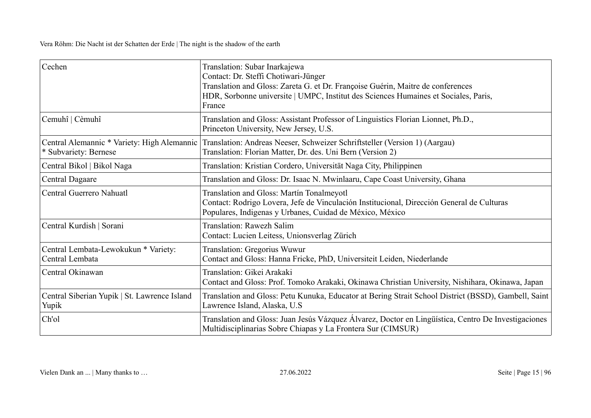| Cechen                                                               | Translation: Subar Inarkajewa<br>Contact: Dr. Steffi Chotiwari-Jünger<br>Translation and Gloss: Zareta G. et Dr. Françoise Guérin, Maitre de conferences<br>HDR, Sorbonne universite   UMPC, Institut des Sciences Humaines et Sociales, Paris,<br>France |
|----------------------------------------------------------------------|-----------------------------------------------------------------------------------------------------------------------------------------------------------------------------------------------------------------------------------------------------------|
| Cemuhî   Cèmuhî                                                      | Translation and Gloss: Assistant Professor of Linguistics Florian Lionnet, Ph.D.,<br>Princeton University, New Jersey, U.S.                                                                                                                               |
| Central Alemannic * Variety: High Alemannic<br>* Subvariety: Bernese | Translation: Andreas Neeser, Schweizer Schriftsteller (Version 1) (Aargau)<br>Translation: Florian Matter, Dr. des. Uni Bern (Version 2)                                                                                                                  |
| Central Bikol   Bikol Naga                                           | Translation: Kristian Cordero, Universität Naga City, Philippinen                                                                                                                                                                                         |
| <b>Central Dagaare</b>                                               | Translation and Gloss: Dr. Isaac N. Mwinlaaru, Cape Coast University, Ghana                                                                                                                                                                               |
| Central Guerrero Nahuatl                                             | Translation and Gloss: Martín Tonalmeyotl<br>Contact: Rodrigo Lovera, Jefe de Vinculación Institucional, Dirección General de Culturas<br>Populares, Indigenas y Urbanes, Cuidad de México, México                                                        |
| Central Kurdish   Sorani                                             | Translation: Rawezh Salim<br>Contact: Lucien Leitess, Unionsverlag Zürich                                                                                                                                                                                 |
| Central Lembata-Lewokukun * Variety:<br>Central Lembata              | <b>Translation: Gregorius Wuwur</b><br>Contact and Gloss: Hanna Fricke, PhD, Universiteit Leiden, Niederlande                                                                                                                                             |
| Central Okinawan                                                     | Translation: Gikei Arakaki<br>Contact and Gloss: Prof. Tomoko Arakaki, Okinawa Christian University, Nishihara, Okinawa, Japan                                                                                                                            |
| Central Siberian Yupik   St. Lawrence Island<br>Yupik                | Translation and Gloss: Petu Kunuka, Educator at Bering Strait School District (BSSD), Gambell, Saint<br>Lawrence Island, Alaska, U.S.                                                                                                                     |
| Ch'ol                                                                | Translation and Gloss: Juan Jesús Vázquez Álvarez, Doctor en Lingüística, Centro De Investigaciones<br>Multidisciplinarias Sobre Chiapas y La Frontera Sur (CIMSUR)                                                                                       |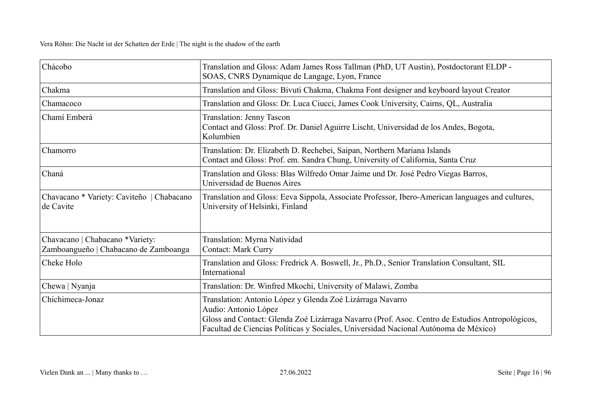| Chácobo                                                                  | Translation and Gloss: Adam James Ross Tallman (PhD, UT Austin), Postdoctorant ELDP -<br>SOAS, CNRS Dynamique de Langage, Lyon, France                                                                                                                                      |
|--------------------------------------------------------------------------|-----------------------------------------------------------------------------------------------------------------------------------------------------------------------------------------------------------------------------------------------------------------------------|
| Chakma                                                                   | Translation and Gloss: Bivuti Chakma, Chakma Font designer and keyboard layout Creator                                                                                                                                                                                      |
| Chamacoco                                                                | Translation and Gloss: Dr. Luca Ciucci, James Cook University, Cairns, QL, Australia                                                                                                                                                                                        |
| Chamí Emberá                                                             | <b>Translation: Jenny Tascon</b><br>Contact and Gloss: Prof. Dr. Daniel Aguirre Lischt, Universidad de los Andes, Bogota,<br>Kolumbien                                                                                                                                      |
| Chamorro                                                                 | Translation: Dr. Elizabeth D. Rechebei, Saipan, Northern Mariana Islands<br>Contact and Gloss: Prof. em. Sandra Chung, University of California, Santa Cruz                                                                                                                 |
| Chaná                                                                    | Translation and Gloss: Blas Wilfredo Omar Jaime und Dr. José Pedro Viegas Barros,<br>Universidad de Buenos Aires                                                                                                                                                            |
| Chavacano * Variety: Caviteño   Chabacano<br>de Cavite                   | Translation and Gloss: Eeva Sippola, Associate Professor, Ibero-American languages and cultures,<br>University of Helsinki, Finland                                                                                                                                         |
| Chavacano   Chabacano *Variety:<br>Zamboangueño   Chabacano de Zamboanga | Translation: Myrna Natividad<br><b>Contact: Mark Curry</b>                                                                                                                                                                                                                  |
| Cheke Holo                                                               | Translation and Gloss: Fredrick A. Boswell, Jr., Ph.D., Senior Translation Consultant, SIL<br>International                                                                                                                                                                 |
| Chewa   Nyanja                                                           | Translation: Dr. Winfred Mkochi, University of Malawi, Zomba                                                                                                                                                                                                                |
| Chichimeca-Jonaz                                                         | Translation: Antonio López y Glenda Zoé Lizárraga Navarro<br>Audio: Antonio López<br>Gloss and Contact: Glenda Zoé Lizárraga Navarro (Prof. Asoc. Centro de Estudios Antropológicos,<br>Facultad de Ciencias Políticas y Sociales, Universidad Nacional Autónoma de México) |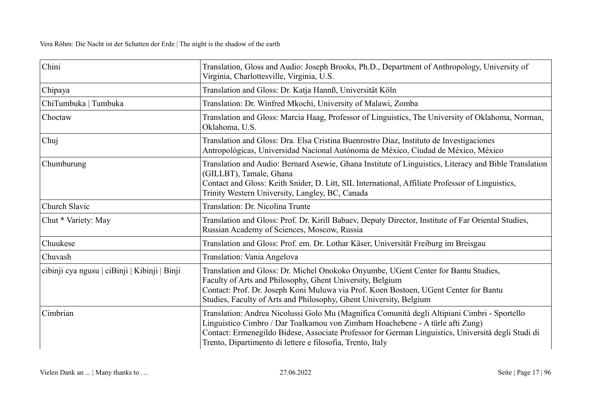| Chini                                         | Translation, Gloss and Audio: Joseph Brooks, Ph.D., Department of Anthropology, University of<br>Virginia, Charlottesville, Virginia, U.S.                                                                                                                                                                                                         |
|-----------------------------------------------|----------------------------------------------------------------------------------------------------------------------------------------------------------------------------------------------------------------------------------------------------------------------------------------------------------------------------------------------------|
| Chipaya                                       | Translation and Gloss: Dr. Katja Hannß, Universität Köln                                                                                                                                                                                                                                                                                           |
| ChiTumbuka   Tumbuka                          | Translation: Dr. Winfred Mkochi, University of Malawi, Zomba                                                                                                                                                                                                                                                                                       |
| Choctaw                                       | Translation and Gloss: Marcia Haag, Professor of Linguistics, The University of Oklahoma, Norman,<br>Oklahoma, U.S.                                                                                                                                                                                                                                |
| Chuj                                          | Translation and Gloss: Dra. Elsa Cristina Buenrostro Díaz, Instituto de Investigaciones<br>Antropológicas, Universidad Nacional Autónoma de México, Ciudad de México, México                                                                                                                                                                       |
| Chumburung                                    | Translation and Audio: Bernard Asewie, Ghana Institute of Linguistics, Literacy and Bible Translation<br>(GILLBT), Tamale, Ghana<br>Contact and Gloss: Keith Snider, D. Litt, SIL International, Affiliate Professor of Linguistics,<br>Trinity Western University, Langley, BC, Canada                                                            |
| Church Slavic                                 | Translation: Dr. Nicolina Trunte                                                                                                                                                                                                                                                                                                                   |
| Chut * Variety: May                           | Translation and Gloss: Prof. Dr. Kirill Babaev, Deputy Director, Institute of Far Oriental Studies,<br>Russian Academy of Sciences, Moscow, Russia                                                                                                                                                                                                 |
| Chuukese                                      | Translation and Gloss: Prof. em. Dr. Lothar Käser, Universität Freiburg im Breisgau                                                                                                                                                                                                                                                                |
| Chuvash                                       | Translation: Vania Angelova                                                                                                                                                                                                                                                                                                                        |
| cibinji cya ngusu   ciBinji   Kibinji   Binji | Translation and Gloss: Dr. Michel Onokoko Onyumbe, UGent Center for Bantu Studies,<br>Faculty of Arts and Philosophy, Ghent University, Belgium<br>Contact: Prof. Dr. Joseph Koni Muluwa via Prof. Koen Bostoen, UGent Center for Bantu<br>Studies, Faculty of Arts and Philosophy, Ghent University, Belgium                                      |
| Cimbrian                                      | Translation: Andrea Nicolussi Golo Mu (Magnifica Comunità degli Altipiani Cimbri - Sportello<br>Linguistico Cimbro / Dar Toalkamou von Zimbarn Hoachebene - A türle afti Zung)<br>Contact: Ermenegildo Bidese, Associate Professor for German Linguistics, Università degli Studi di<br>Trento, Dipartimento di lettere e filosofia, Trento, Italy |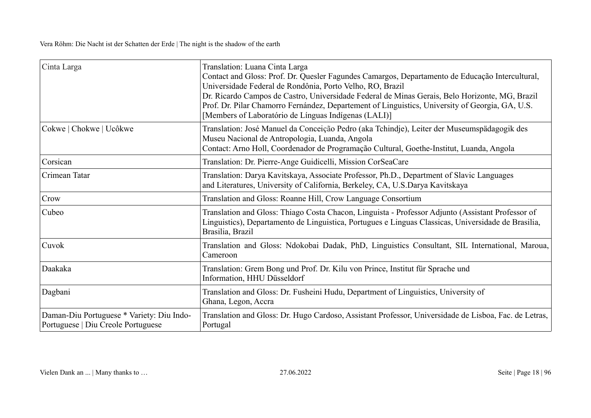| Cinta Larga                                                                     | Translation: Luana Cinta Larga<br>Contact and Gloss: Prof. Dr. Quesler Fagundes Camargos, Departamento de Educação Intercultural,<br>Universidade Federal de Rondônia, Porto Velho, RO, Brazil<br>Dr. Ricardo Campos de Castro, Universidade Federal de Minas Gerais, Belo Horizonte, MG, Brazil<br>Prof. Dr. Pilar Chamorro Fernández, Departement of Linguistics, University of Georgia, GA, U.S.<br>[Members of Laboratório de Línguas Indígenas (LALI)] |
|---------------------------------------------------------------------------------|-------------------------------------------------------------------------------------------------------------------------------------------------------------------------------------------------------------------------------------------------------------------------------------------------------------------------------------------------------------------------------------------------------------------------------------------------------------|
| Cokwe   Chokwe   Ucôkwe                                                         | Translation: José Manuel da Conceição Pedro (aka Tchindje), Leiter der Museumspädagogik des<br>Museu Nacional de Antropologia, Luanda, Angola<br>Contact: Arno Holl, Coordenador de Programação Cultural, Goethe-Institut, Luanda, Angola                                                                                                                                                                                                                   |
| Corsican                                                                        | Translation: Dr. Pierre-Ange Guidicelli, Mission CorSeaCare                                                                                                                                                                                                                                                                                                                                                                                                 |
| Crimean Tatar                                                                   | Translation: Darya Kavitskaya, Associate Professor, Ph.D., Department of Slavic Languages<br>and Literatures, University of California, Berkeley, CA, U.S.Darya Kavitskaya                                                                                                                                                                                                                                                                                  |
| Crow                                                                            | Translation and Gloss: Roanne Hill, Crow Language Consortium                                                                                                                                                                                                                                                                                                                                                                                                |
| Cubeo                                                                           | Translation and Gloss: Thiago Costa Chacon, Linguista - Professor Adjunto (Assistant Professor of<br>Linguistics), Departamento de Linguistica, Portugues e Linguas Classicas, Universidade de Brasilia,<br>Brasilia, Brazil                                                                                                                                                                                                                                |
| Cuvok                                                                           | Translation and Gloss: Ndokobai Dadak, PhD, Linguistics Consultant, SIL International, Maroua,<br>Cameroon                                                                                                                                                                                                                                                                                                                                                  |
| Daakaka                                                                         | Translation: Grem Bong und Prof. Dr. Kilu von Prince, Institut für Sprache und<br>Information, HHU Düsseldorf                                                                                                                                                                                                                                                                                                                                               |
| Dagbani                                                                         | Translation and Gloss: Dr. Fusheini Hudu, Department of Linguistics, University of<br>Ghana, Legon, Accra                                                                                                                                                                                                                                                                                                                                                   |
| Daman-Diu Portuguese * Variety: Diu Indo-<br>Portuguese   Diu Creole Portuguese | Translation and Gloss: Dr. Hugo Cardoso, Assistant Professor, Universidade de Lisboa, Fac. de Letras,<br>Portugal                                                                                                                                                                                                                                                                                                                                           |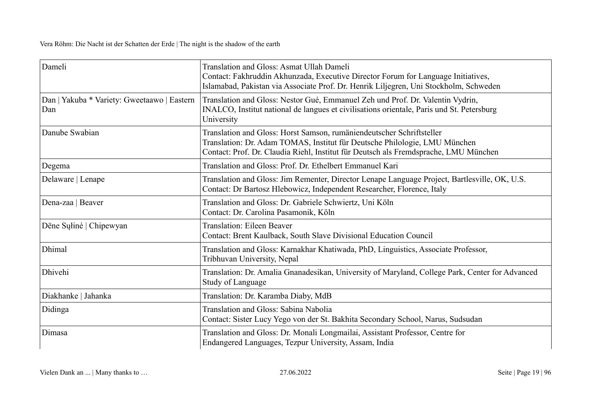| Dameli                                             | Translation and Gloss: Asmat Ullah Dameli<br>Contact: Fakhruddin Akhunzada, Executive Director Forum for Language Initiatives,<br>Islamabad, Pakistan via Associate Prof. Dr. Henrik Liljegren, Uni Stockholm, Schweden                     |
|----------------------------------------------------|---------------------------------------------------------------------------------------------------------------------------------------------------------------------------------------------------------------------------------------------|
| Dan   Yakuba * Variety: Gweetaawo   Eastern<br>Dan | Translation and Gloss: Nestor Gué, Emmanuel Zeh und Prof. Dr. Valentin Vydrin,<br>INALCO, Institut national de langues et civilisations orientale, Paris und St. Petersburg<br>University                                                   |
| Danube Swabian                                     | Translation and Gloss: Horst Samson, rumäniendeutscher Schriftsteller<br>Translation: Dr. Adam TOMAS, Institut für Deutsche Philologie, LMU München<br>Contact: Prof. Dr. Claudia Riehl, Institut für Deutsch als Fremdsprache, LMU München |
| Degema                                             | Translation and Gloss: Prof. Dr. Ethelbert Emmanuel Kari                                                                                                                                                                                    |
| Delaware   Lenape                                  | Translation and Gloss: Jim Rementer, Director Lenape Language Project, Bartlesville, OK, U.S.<br>Contact: Dr Bartosz Hlebowicz, Independent Researcher, Florence, Italy                                                                     |
| Dena-zaa   Beaver                                  | Translation and Gloss: Dr. Gabriele Schwiertz, Uni Köln<br>Contact: Dr. Carolina Pasamonik, Köln                                                                                                                                            |
| Dëne Suliné   Chipewyan                            | Translation: Eileen Beaver<br>Contact: Brent Kaulback, South Slave Divisional Education Council                                                                                                                                             |
| Dhimal                                             | Translation and Gloss: Karnakhar Khatiwada, PhD, Linguistics, Associate Professor,<br>Tribhuvan University, Nepal                                                                                                                           |
| Dhivehi                                            | Translation: Dr. Amalia Gnanadesikan, University of Maryland, College Park, Center for Advanced<br>Study of Language                                                                                                                        |
| Diakhanke   Jahanka                                | Translation: Dr. Karamba Diaby, MdB                                                                                                                                                                                                         |
| Didinga                                            | Translation and Gloss: Sabina Nabolia<br>Contact: Sister Lucy Yego von der St. Bakhita Secondary School, Narus, Sudsudan                                                                                                                    |
| Dimasa                                             | Translation and Gloss: Dr. Monali Longmailai, Assistant Professor, Centre for<br>Endangered Languages, Tezpur University, Assam, India                                                                                                      |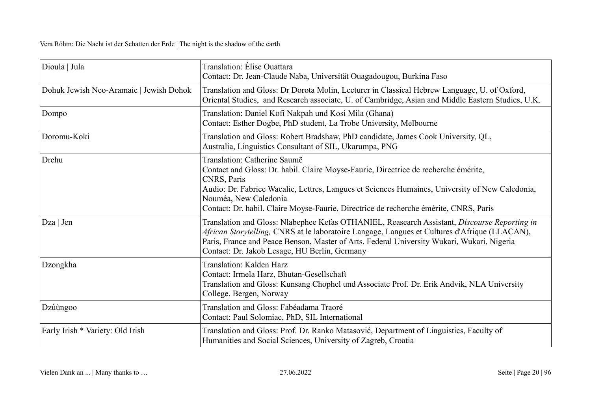| Dioula   Jula                           | Translation: Élise Ouattara<br>Contact: Dr. Jean-Claude Naba, Universität Ouagadougou, Burkina Faso                                                                                                                                                                                                                                                     |
|-----------------------------------------|---------------------------------------------------------------------------------------------------------------------------------------------------------------------------------------------------------------------------------------------------------------------------------------------------------------------------------------------------------|
| Dohuk Jewish Neo-Aramaic   Jewish Dohok | Translation and Gloss: Dr Dorota Molin, Lecturer in Classical Hebrew Language, U. of Oxford,<br>Oriental Studies, and Research associate, U. of Cambridge, Asian and Middle Eastern Studies, U.K.                                                                                                                                                       |
| Dompo                                   | Translation: Daniel Kofi Nakpah und Kosi Mila (Ghana)<br>Contact: Esther Dogbe, PhD student, La Trobe University, Melbourne                                                                                                                                                                                                                             |
| Doromu-Koki                             | Translation and Gloss: Robert Bradshaw, PhD candidate, James Cook University, QL,<br>Australia, Linguistics Consultant of SIL, Ukarumpa, PNG                                                                                                                                                                                                            |
| Drehu                                   | Translation: Catherine Saumë<br>Contact and Gloss: Dr. habil. Claire Moyse-Faurie, Directrice de recherche émérite,<br>CNRS, Paris<br>Audio: Dr. Fabrice Wacalie, Lettres, Langues et Sciences Humaines, University of New Caledonia,<br>Nouméa, New Caledonia<br>Contact: Dr. habil. Claire Moyse-Faurie, Directrice de recherche émérite, CNRS, Paris |
| $Dza \mid Jen$                          | Translation and Gloss: Nlabephee Kefas OTHANIEL, Reasearch Assistant, Discourse Reporting in<br>African Storytelling, CNRS at le laboratoire Langage, Langues et Cultures d'Afrique (LLACAN),<br>Paris, France and Peace Benson, Master of Arts, Federal University Wukari, Wukari, Nigeria<br>Contact: Dr. Jakob Lesage, HU Berlin, Germany            |
| Dzongkha                                | Translation: Kalden Harz<br>Contact: Irmela Harz, Bhutan-Gesellschaft<br>Translation and Gloss: Kunsang Chophel und Associate Prof. Dr. Erik Andvik, NLA University<br>College, Bergen, Norway                                                                                                                                                          |
| Dzùùngoo                                | Translation and Gloss: Fabéadama Traoré<br>Contact: Paul Solomiac, PhD, SIL International                                                                                                                                                                                                                                                               |
| Early Irish * Variety: Old Irish        | Translation and Gloss: Prof. Dr. Ranko Matasović, Department of Linguistics, Faculty of<br>Humanities and Social Sciences, University of Zagreb, Croatia                                                                                                                                                                                                |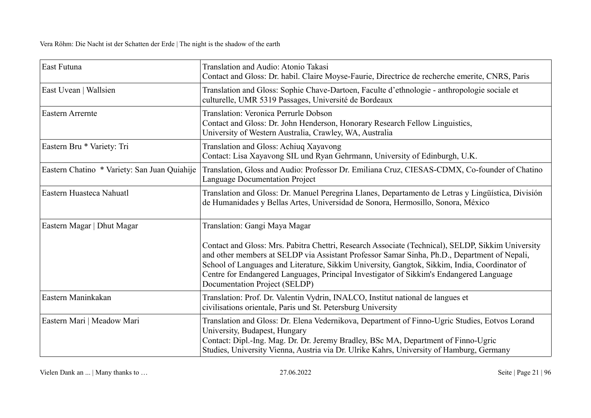| East Futuna                                  | Translation and Audio: Atonio Takasi<br>Contact and Gloss: Dr. habil. Claire Moyse-Faurie, Directrice de recherche emerite, CNRS, Paris                                                                                                                                                                                                                                                                                                                         |
|----------------------------------------------|-----------------------------------------------------------------------------------------------------------------------------------------------------------------------------------------------------------------------------------------------------------------------------------------------------------------------------------------------------------------------------------------------------------------------------------------------------------------|
| East Uvean   Wallsien                        | Translation and Gloss: Sophie Chave-Dartoen, Faculte d'ethnologie - anthropologie sociale et<br>culturelle, UMR 5319 Passages, Université de Bordeaux                                                                                                                                                                                                                                                                                                           |
| <b>Eastern Arrernte</b>                      | Translation: Veronica Perrurle Dobson<br>Contact and Gloss: Dr. John Henderson, Honorary Research Fellow Linguistics,<br>University of Western Australia, Crawley, WA, Australia                                                                                                                                                                                                                                                                                |
| Eastern Bru * Variety: Tri                   | Translation and Gloss: Achiuq Xayavong<br>Contact: Lisa Xayavong SIL und Ryan Gehrmann, University of Edinburgh, U.K.                                                                                                                                                                                                                                                                                                                                           |
| Eastern Chatino * Variety: San Juan Quiahije | Translation, Gloss and Audio: Professor Dr. Emiliana Cruz, CIESAS-CDMX, Co-founder of Chatino<br>Language Documentation Project                                                                                                                                                                                                                                                                                                                                 |
| Eastern Huasteca Nahuatl                     | Translation and Gloss: Dr. Manuel Peregrina Llanes, Departamento de Letras y Lingüística, División<br>de Humanidades y Bellas Artes, Universidad de Sonora, Hermosillo, Sonora, México                                                                                                                                                                                                                                                                          |
| Eastern Magar   Dhut Magar                   | Translation: Gangi Maya Magar<br>Contact and Gloss: Mrs. Pabitra Chettri, Research Associate (Technical), SELDP, Sikkim University<br>and other members at SELDP via Assistant Professor Samar Sinha, Ph.D., Department of Nepali,<br>School of Languages and Literature, Sikkim University, Gangtok, Sikkim, India, Coordinator of<br>Centre for Endangered Languages, Principal Investigator of Sikkim's Endangered Language<br>Documentation Project (SELDP) |
| Eastern Maninkakan                           | Translation: Prof. Dr. Valentin Vydrin, INALCO, Institut national de langues et<br>civilisations orientale, Paris und St. Petersburg University                                                                                                                                                                                                                                                                                                                 |
| Eastern Mari   Meadow Mari                   | Translation and Gloss: Dr. Elena Vedernikova, Department of Finno-Ugric Studies, Eotvos Lorand<br>University, Budapest, Hungary<br>Contact: Dipl.-Ing. Mag. Dr. Dr. Jeremy Bradley, BSc MA, Department of Finno-Ugric<br>Studies, University Vienna, Austria via Dr. Ulrike Kahrs, University of Hamburg, Germany                                                                                                                                               |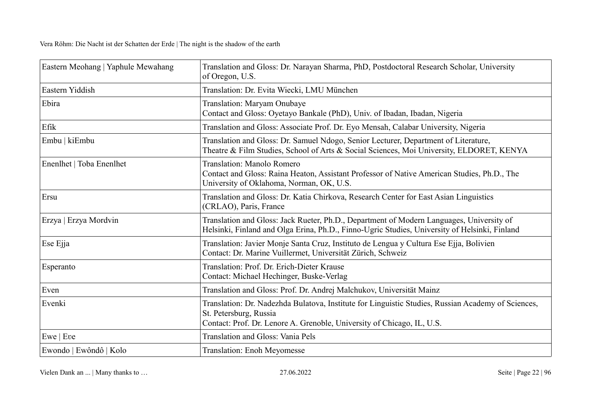| Eastern Meohang   Yaphule Mewahang | Translation and Gloss: Dr. Narayan Sharma, PhD, Postdoctoral Research Scholar, University<br>of Oregon, U.S.                                                                                           |
|------------------------------------|--------------------------------------------------------------------------------------------------------------------------------------------------------------------------------------------------------|
| Eastern Yiddish                    | Translation: Dr. Evita Wiecki, LMU München                                                                                                                                                             |
| Ebira                              | Translation: Maryam Onubaye<br>Contact and Gloss: Oyetayo Bankale (PhD), Univ. of Ibadan, Ibadan, Nigeria                                                                                              |
| Efik                               | Translation and Gloss: Associate Prof. Dr. Eyo Mensah, Calabar University, Nigeria                                                                                                                     |
| Embu   kiEmbu                      | Translation and Gloss: Dr. Samuel Ndogo, Senior Lecturer, Department of Literature,<br>Theatre & Film Studies, School of Arts & Social Sciences, Moi University, ELDORET, KENYA                        |
| Enenlhet   Toba Enenlhet           | Translation: Manolo Romero<br>Contact and Gloss: Raina Heaton, Assistant Professor of Native American Studies, Ph.D., The<br>University of Oklahoma, Norman, OK, U.S.                                  |
| Ersu                               | Translation and Gloss: Dr. Katia Chirkova, Research Center for East Asian Linguistics<br>(CRLAO), Paris, France                                                                                        |
| Erzya   Erzya Mordvin              | Translation and Gloss: Jack Rueter, Ph.D., Department of Modern Languages, University of<br>Helsinki, Finland and Olga Erina, Ph.D., Finno-Ugric Studies, University of Helsinki, Finland              |
| Ese Ejja                           | Translation: Javier Monje Santa Cruz, Instituto de Lengua y Cultura Ese Ejja, Bolivien<br>Contact: Dr. Marine Vuillermet, Universität Zürich, Schweiz                                                  |
| Esperanto                          | Translation: Prof. Dr. Erich-Dieter Krause<br>Contact: Michael Hechinger, Buske-Verlag                                                                                                                 |
| Even                               | Translation and Gloss: Prof. Dr. Andrej Malchukov, Universität Mainz                                                                                                                                   |
| Evenki                             | Translation: Dr. Nadezhda Bulatova, Institute for Linguistic Studies, Russian Academy of Sciences,<br>St. Petersburg, Russia<br>Contact: Prof. Dr. Lenore A. Grenoble, University of Chicago, IL, U.S. |
| Ewe   Eve                          | <b>Translation and Gloss: Vania Pels</b>                                                                                                                                                               |
| Ewondo   Ewôndô   Kolo             | <b>Translation: Enoh Meyomesse</b>                                                                                                                                                                     |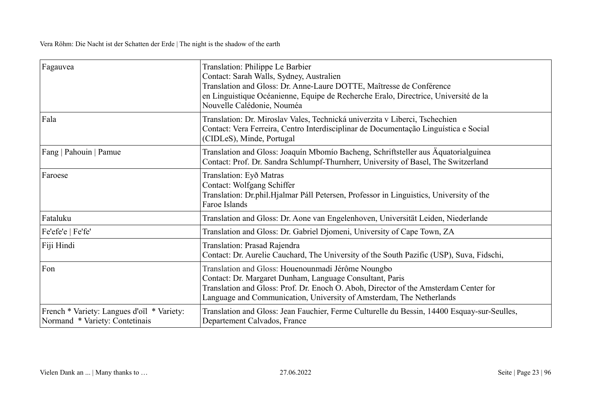| Fagauvea                                                                     | Translation: Philippe Le Barbier<br>Contact: Sarah Walls, Sydney, Australien<br>Translation and Gloss: Dr. Anne-Laure DOTTE, Maîtresse de Conférence<br>en Linguistique Océanienne, Equipe de Recherche Eralo, Directrice, Université de la<br>Nouvelle Calédonie, Nouméa      |
|------------------------------------------------------------------------------|--------------------------------------------------------------------------------------------------------------------------------------------------------------------------------------------------------------------------------------------------------------------------------|
| Fala                                                                         | Translation: Dr. Miroslav Vales, Technická univerzita v Liberci, Tschechien<br>Contact: Vera Ferreira, Centro Interdisciplinar de Documentação Linguística e Social<br>(CIDLeS), Minde, Portugal                                                                               |
| Fang   Pahouin   Pamue                                                       | Translation and Gloss: Joaquín Mbomío Bacheng, Schriftsteller aus Äquatorialguinea<br>Contact: Prof. Dr. Sandra Schlumpf-Thurnherr, University of Basel, The Switzerland                                                                                                       |
| Faroese                                                                      | Translation: Eyð Matras<br>Contact: Wolfgang Schiffer<br>Translation: Dr.phil.Hjalmar Páll Petersen, Professor in Linguistics, University of the<br>Faroe Islands                                                                                                              |
| Fataluku                                                                     | Translation and Gloss: Dr. Aone van Engelenhoven, Universität Leiden, Niederlande                                                                                                                                                                                              |
| Fe'efe'e   Fe'fe'                                                            | Translation and Gloss: Dr. Gabriel Djomeni, University of Cape Town, ZA                                                                                                                                                                                                        |
| Fiji Hindi                                                                   | Translation: Prasad Rajendra<br>Contact: Dr. Aurelie Cauchard, The University of the South Pazific (USP), Suva, Fidschi,                                                                                                                                                       |
| Fon                                                                          | Translation and Gloss: Houenounmadi Jérôme Noungbo<br>Contact: Dr. Margaret Dunham, Language Consultant, Paris<br>Translation and Gloss: Prof. Dr. Enoch O. Aboh, Director of the Amsterdam Center for<br>Language and Communication, University of Amsterdam, The Netherlands |
| French * Variety: Langues d'oïl * Variety:<br>Normand * Variety: Contetinais | Translation and Gloss: Jean Fauchier, Ferme Culturelle du Bessin, 14400 Esquay-sur-Seulles,<br>Departement Calvados, France                                                                                                                                                    |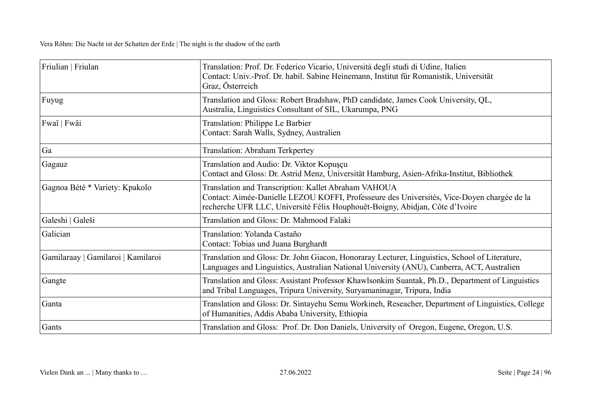| Friulian   Friulan                 | Translation: Prof. Dr. Federico Vicario, Università degli studi di Udine, Italien<br>Contact: Univ.-Prof. Dr. habil. Sabine Heinemann, Institut für Romanistik, Universität<br>Graz, Österreich                                    |
|------------------------------------|------------------------------------------------------------------------------------------------------------------------------------------------------------------------------------------------------------------------------------|
| Fuyug                              | Translation and Gloss: Robert Bradshaw, PhD candidate, James Cook University, QL,<br>Australia, Linguistics Consultant of SIL, Ukarumpa, PNG                                                                                       |
| Fwaï   Fwâi                        | Translation: Philippe Le Barbier<br>Contact: Sarah Walls, Sydney, Australien                                                                                                                                                       |
| Ga                                 | Translation: Abraham Terkpertey                                                                                                                                                                                                    |
| Gagauz                             | Translation and Audio: Dr. Viktor Kopuşçu<br>Contact and Gloss: Dr. Astrid Menz, Universität Hamburg, Asien-Afrika-Institut, Bibliothek                                                                                            |
| Gagnoa Bété * Variety: Kpakolo     | Translation and Transcription: Kallet Abraham VAHOUA<br>Contact: Aimée-Danielle LEZOU KOFFI, Professeure des Universités, Vice-Doyen chargée de la<br>recherche UFR LLC, Université Félix Houphouët-Boigny, Abidjan, Côte d'Ivoire |
| Galeshi   Galeši                   | Translation and Gloss: Dr. Mahmood Falaki                                                                                                                                                                                          |
| Galician                           | Translation: Yolanda Castaño<br>Contact: Tobias und Juana Burghardt                                                                                                                                                                |
| Gamilaraay   Gamilaroi   Kamilaroi | Translation and Gloss: Dr. John Giacon, Honoraray Lecturer, Linguistics, School of Literature,<br>Languages and Linguistics, Australian National University (ANU), Canberra, ACT, Australien                                       |
| Gangte                             | Translation and Gloss: Assistant Professor Khawlsonkim Suantak, Ph.D., Department of Linguistics<br>and Tribal Languages, Tripura University, Suryamaninagar, Tripura, India                                                       |
| Ganta                              | Translation and Gloss: Dr. Sintayehu Semu Workineh, Reseacher, Department of Linguistics, College<br>of Humanities, Addis Ababa University, Ethiopia                                                                               |
| Gants                              | Translation and Gloss: Prof. Dr. Don Daniels, University of Oregon, Eugene, Oregon, U.S.                                                                                                                                           |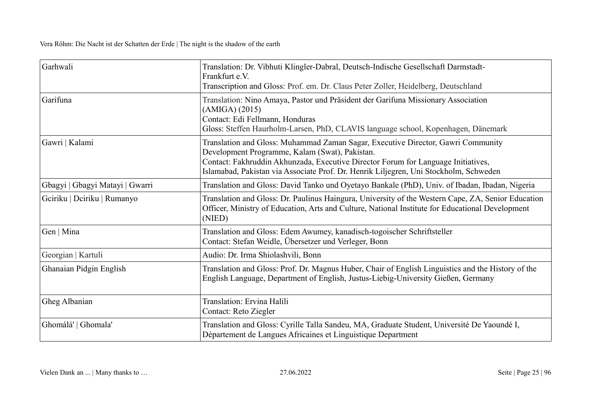| Garhwali                        | Translation: Dr. Vibhuti Klingler-Dabral, Deutsch-Indische Gesellschaft Darmstadt-<br>Frankfurt e.V.<br>Transcription and Gloss: Prof. em. Dr. Claus Peter Zoller, Heidelberg, Deutschland                                                                                                                       |
|---------------------------------|------------------------------------------------------------------------------------------------------------------------------------------------------------------------------------------------------------------------------------------------------------------------------------------------------------------|
| Garifuna                        | Translation: Nino Amaya, Pastor und Präsident der Garifuna Missionary Association<br>(AMIGA) (2015)<br>Contact: Edi Fellmann, Honduras<br>Gloss: Steffen Haurholm-Larsen, PhD, CLAVIS language school, Kopenhagen, Dänemark                                                                                      |
| Gawri   Kalami                  | Translation and Gloss: Muhammad Zaman Sagar, Executive Director, Gawri Community<br>Development Programme, Kalam (Swat), Pakistan.<br>Contact: Fakhruddin Akhunzada, Executive Director Forum for Language Initiatives,<br>Islamabad, Pakistan via Associate Prof. Dr. Henrik Liljegren, Uni Stockholm, Schweden |
| Gbagyi   Gbagyi Matayi   Gwarri | Translation and Gloss: David Tanko und Oyetayo Bankale (PhD), Univ. of Ibadan, Ibadan, Nigeria                                                                                                                                                                                                                   |
| Gciriku   Dciriku   Rumanyo     | Translation and Gloss: Dr. Paulinus Haingura, University of the Western Cape, ZA, Senior Education<br>Officer, Ministry of Education, Arts and Culture, National Institute for Educational Development<br>(NIED)                                                                                                 |
| Gen   Mina                      | Translation and Gloss: Edem Awumey, kanadisch-togoischer Schriftsteller<br>Contact: Stefan Weidle, Übersetzer und Verleger, Bonn                                                                                                                                                                                 |
| Georgian   Kartuli              | Audio: Dr. Irma Shiolashvili, Bonn                                                                                                                                                                                                                                                                               |
| Ghanaian Pidgin English         | Translation and Gloss: Prof. Dr. Magnus Huber, Chair of English Linguistics and the History of the<br>English Language, Department of English, Justus-Liebig-University Gießen, Germany                                                                                                                          |
| Gheg Albanian                   | Translation: Ervina Halili<br>Contact: Reto Ziegler                                                                                                                                                                                                                                                              |
| Ghomálá'   Ghomala'             | Translation and Gloss: Cyrille Talla Sandeu, MA, Graduate Student, Université De Yaoundé I,<br>Département de Langues Africaines et Linguistique Department                                                                                                                                                      |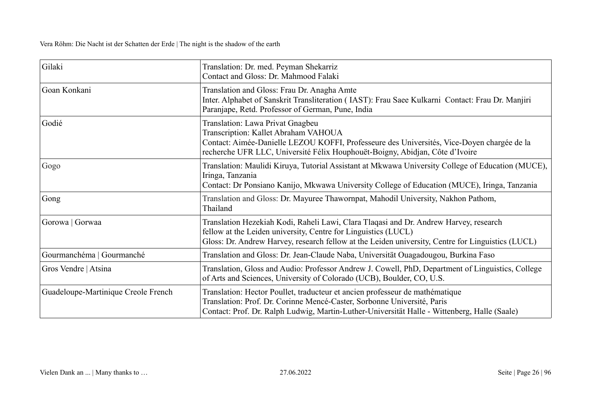| Gilaki                              | Translation: Dr. med. Peyman Shekarriz<br>Contact and Gloss: Dr. Mahmood Falaki                                                                                                                                                                              |
|-------------------------------------|--------------------------------------------------------------------------------------------------------------------------------------------------------------------------------------------------------------------------------------------------------------|
| Goan Konkani                        | Translation and Gloss: Frau Dr. Anagha Amte<br>Inter. Alphabet of Sanskrit Transliteration (IAST): Frau Saee Kulkarni Contact: Frau Dr. Manjiri<br>Paranjape, Retd. Professor of German, Pune, India                                                         |
| Godié                               | Translation: Lawa Privat Gnagbeu<br>Transcription: Kallet Abraham VAHOUA<br>Contact: Aimée-Danielle LEZOU KOFFI, Professeure des Universités, Vice-Doyen chargée de la<br>recherche UFR LLC, Université Félix Houphouët-Boigny, Abidjan, Côte d'Ivoire       |
| Gogo                                | Translation: Maulidi Kiruya, Tutorial Assistant at Mkwawa University College of Education (MUCE),<br>Iringa, Tanzania<br>Contact: Dr Ponsiano Kanijo, Mkwawa University College of Education (MUCE), Iringa, Tanzania                                        |
| Gong                                | Translation and Gloss: Dr. Mayuree Thawornpat, Mahodil University, Nakhon Pathom,<br>Thailand                                                                                                                                                                |
| Gorowa   Gorwaa                     | Translation Hezekiah Kodi, Raheli Lawi, Clara Tlaqasi and Dr. Andrew Harvey, research<br>fellow at the Leiden university, Centre for Linguistics (LUCL)<br>Gloss: Dr. Andrew Harvey, research fellow at the Leiden university, Centre for Linguistics (LUCL) |
| Gourmanchéma   Gourmanché           | Translation and Gloss: Dr. Jean-Claude Naba, Universität Ouagadougou, Burkina Faso                                                                                                                                                                           |
| Gros Vendre   Atsina                | Translation, Gloss and Audio: Professor Andrew J. Cowell, PhD, Department of Linguistics, College<br>of Arts and Sciences, University of Colorado (UCB), Boulder, CO, U.S.                                                                                   |
| Guadeloupe-Martinique Creole French | Translation: Hector Poullet, traducteur et ancien professeur de mathématique<br>Translation: Prof. Dr. Corinne Mencé-Caster, Sorbonne Université, Paris<br>Contact: Prof. Dr. Ralph Ludwig, Martin-Luther-Universität Halle - Wittenberg, Halle (Saale)      |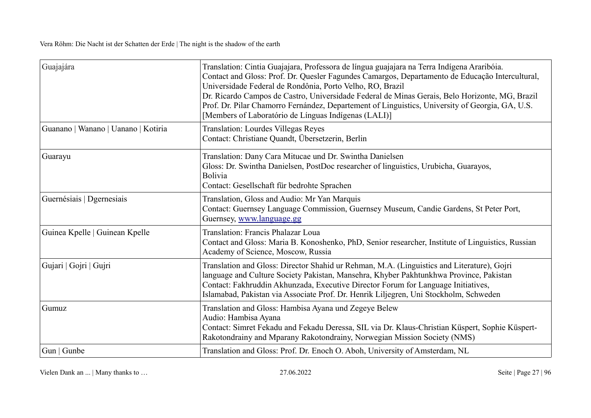| Guajajára                           | Translation: Cintia Guajajara, Professora de língua guajajara na Terra Indígena Araribóia.<br>Contact and Gloss: Prof. Dr. Quesler Fagundes Camargos, Departamento de Educação Intercultural,<br>Universidade Federal de Rondônia, Porto Velho, RO, Brazil<br>Dr. Ricardo Campos de Castro, Universidade Federal de Minas Gerais, Belo Horizonte, MG, Brazil<br>Prof. Dr. Pilar Chamorro Fernández, Departement of Linguistics, University of Georgia, GA, U.S.<br>[Members of Laboratório de Línguas Indígenas (LALI)] |
|-------------------------------------|-------------------------------------------------------------------------------------------------------------------------------------------------------------------------------------------------------------------------------------------------------------------------------------------------------------------------------------------------------------------------------------------------------------------------------------------------------------------------------------------------------------------------|
| Guanano   Wanano   Uanano   Kotiria | Translation: Lourdes Villegas Reyes<br>Contact: Christiane Quandt, Übersetzerin, Berlin                                                                                                                                                                                                                                                                                                                                                                                                                                 |
| Guarayu                             | Translation: Dany Cara Mitucae und Dr. Swintha Danielsen<br>Gloss: Dr. Swintha Danielsen, PostDoc researcher of linguistics, Urubicha, Guarayos,<br>Bolivia<br>Contact: Gesellschaft für bedrohte Sprachen                                                                                                                                                                                                                                                                                                              |
| Guernésiais   Dgernesiais           | Translation, Gloss and Audio: Mr Yan Marquis<br>Contact: Guernsey Language Commission, Guernsey Museum, Candie Gardens, St Peter Port,<br>Guernsey, www.language.gg                                                                                                                                                                                                                                                                                                                                                     |
| Guinea Kpelle   Guinean Kpelle      | Translation: Francis Phalazar Loua<br>Contact and Gloss: Maria B. Konoshenko, PhD, Senior researcher, Institute of Linguistics, Russian<br>Academy of Science, Moscow, Russia                                                                                                                                                                                                                                                                                                                                           |
| Gujari   Gojri   Gujri              | Translation and Gloss: Director Shahid ur Rehman, M.A. (Linguistics and Literature), Gojri<br>language and Culture Society Pakistan, Mansehra, Khyber Pakhtunkhwa Province, Pakistan<br>Contact: Fakhruddin Akhunzada, Executive Director Forum for Language Initiatives,<br>Islamabad, Pakistan via Associate Prof. Dr. Henrik Liljegren, Uni Stockholm, Schweden                                                                                                                                                      |
| Gumuz                               | Translation and Gloss: Hambisa Ayana und Zegeye Belew<br>Audio: Hambisa Ayana<br>Contact: Simret Fekadu and Fekadu Deressa, SIL via Dr. Klaus-Christian Küspert, Sophie Küspert-<br>Rakotondrainy and Mparany Rakotondrainy, Norwegian Mission Society (NMS)                                                                                                                                                                                                                                                            |
| Gun   Gunbe                         | Translation and Gloss: Prof. Dr. Enoch O. Aboh, University of Amsterdam, NL                                                                                                                                                                                                                                                                                                                                                                                                                                             |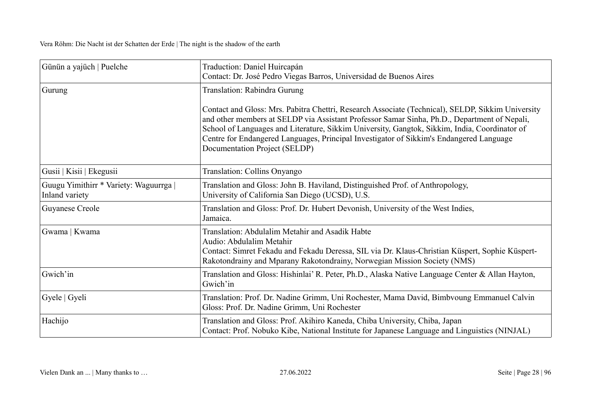| Günün a yajüch   Puelche                                 | Traduction: Daniel Huircapán<br>Contact: Dr. José Pedro Viegas Barros, Universidad de Buenos Aires                                                                                                                                                                                                                                                                                                                                                             |
|----------------------------------------------------------|----------------------------------------------------------------------------------------------------------------------------------------------------------------------------------------------------------------------------------------------------------------------------------------------------------------------------------------------------------------------------------------------------------------------------------------------------------------|
| Gurung                                                   | Translation: Rabindra Gurung<br>Contact and Gloss: Mrs. Pabitra Chettri, Research Associate (Technical), SELDP, Sikkim University<br>and other members at SELDP via Assistant Professor Samar Sinha, Ph.D., Department of Nepali,<br>School of Languages and Literature, Sikkim University, Gangtok, Sikkim, India, Coordinator of<br>Centre for Endangered Languages, Principal Investigator of Sikkim's Endangered Language<br>Documentation Project (SELDP) |
| Gusii   Kisii   Ekegusii                                 | Translation: Collins Onyango                                                                                                                                                                                                                                                                                                                                                                                                                                   |
| Guugu Yimithirr * Variety: Waguurrga  <br>Inland variety | Translation and Gloss: John B. Haviland, Distinguished Prof. of Anthropology,<br>University of California San Diego (UCSD), U.S.                                                                                                                                                                                                                                                                                                                               |
| Guyanese Creole                                          | Translation and Gloss: Prof. Dr. Hubert Devonish, University of the West Indies,<br>Jamaica.                                                                                                                                                                                                                                                                                                                                                                   |
| Gwama   Kwama                                            | Translation: Abdulalim Metahir and Asadik Habte<br>Audio: Abdulalim Metahir<br>Contact: Simret Fekadu and Fekadu Deressa, SIL via Dr. Klaus-Christian Küspert, Sophie Küspert-<br>Rakotondrainy and Mparany Rakotondrainy, Norwegian Mission Society (NMS)                                                                                                                                                                                                     |
| Gwich'in                                                 | Translation and Gloss: Hishinlai' R. Peter, Ph.D., Alaska Native Language Center & Allan Hayton,<br>Gwich'in                                                                                                                                                                                                                                                                                                                                                   |
| Gyele   Gyeli                                            | Translation: Prof. Dr. Nadine Grimm, Uni Rochester, Mama David, Bimbvoung Emmanuel Calvin<br>Gloss: Prof. Dr. Nadine Grimm, Uni Rochester                                                                                                                                                                                                                                                                                                                      |
| Hachijo                                                  | Translation and Gloss: Prof. Akihiro Kaneda, Chiba University, Chiba, Japan<br>Contact: Prof. Nobuko Kibe, National Institute for Japanese Language and Linguistics (NINJAL)                                                                                                                                                                                                                                                                                   |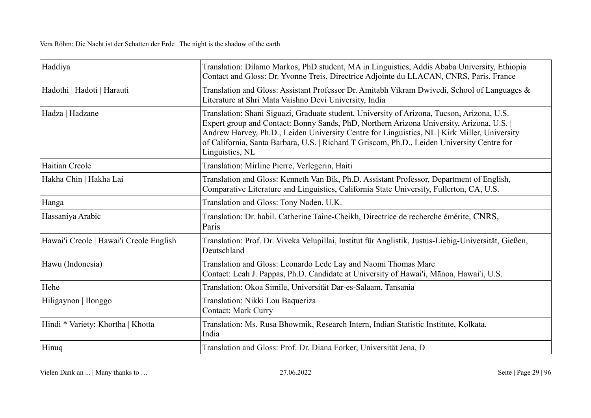| Haddiya                                 | Translation: Dilamo Markos, PhD student, MA in Linguistics, Addis Ababa University, Ethiopia<br>Contact and Gloss: Dr. Yvonne Treis, Directrice Adjointe du LLACAN, CNRS, Paris, France                                                                                                                                                                                                                  |
|-----------------------------------------|----------------------------------------------------------------------------------------------------------------------------------------------------------------------------------------------------------------------------------------------------------------------------------------------------------------------------------------------------------------------------------------------------------|
| Hadothi   Hadoti   Harauti              | Translation and Gloss: Assistant Professor Dr. Amitabh Vikram Dwivedi, School of Languages &<br>Literature at Shri Mata Vaishno Devi University, India                                                                                                                                                                                                                                                   |
| Hadza   Hadzane                         | Translation: Shani Siguazi, Graduate student, University of Arizona, Tucson, Arizona, U.S.<br>Expert group and Contact: Bonny Sands, PhD, Northern Arizona University, Arizona, U.S.  <br>Andrew Harvey, Ph.D., Leiden University Centre for Linguistics, NL   Kirk Miller, University<br>of California, Santa Barbara, U.S.   Richard T Griscom, Ph.D., Leiden University Centre for<br>Linguistics, NL |
| Haitian Creole                          | Translation: Mirline Pierre, Verlegerin, Haiti                                                                                                                                                                                                                                                                                                                                                           |
| Hakha Chin   Hakha Lai                  | Translation and Gloss: Kenneth Van Bik, Ph.D. Assistant Professor, Department of English,<br>Comparative Literature and Linguistics, California State University, Fullerton, CA, U.S.                                                                                                                                                                                                                    |
| Hanga                                   | Translation and Gloss: Tony Naden, U.K.                                                                                                                                                                                                                                                                                                                                                                  |
| Hassaniya Arabic                        | Translation: Dr. habil. Catherine Taine-Cheikh, Directrice de recherche émérite, CNRS,<br>Paris                                                                                                                                                                                                                                                                                                          |
| Hawai'i Creole   Hawai'i Creole English | Translation: Prof. Dr. Viveka Velupillai, Institut für Anglistik, Justus-Liebig-Universität, Gießen,<br>Deutschland                                                                                                                                                                                                                                                                                      |
| Hawu (Indonesia)                        | Translation and Gloss: Leonardo Lede Lay and Naomi Thomas Mare<br>Contact: Leah J. Pappas, Ph.D. Candidate at University of Hawai'i, Mānoa, Hawai'i, U.S.                                                                                                                                                                                                                                                |
| Hehe                                    | Translation: Okoa Simile, Universität Dar-es-Salaam, Tansania                                                                                                                                                                                                                                                                                                                                            |
| Hiligaynon   Ilonggo                    | Translation: Nikki Lou Baqueriza<br><b>Contact: Mark Curry</b>                                                                                                                                                                                                                                                                                                                                           |
| Hindi * Variety: Khortha   Khotta       | Translation: Ms. Rusa Bhowmik, Research Intern, Indian Statistic Institute, Kolkata,<br>India                                                                                                                                                                                                                                                                                                            |
| Hinuq                                   | Translation and Gloss: Prof. Dr. Diana Forker, Universität Jena, D                                                                                                                                                                                                                                                                                                                                       |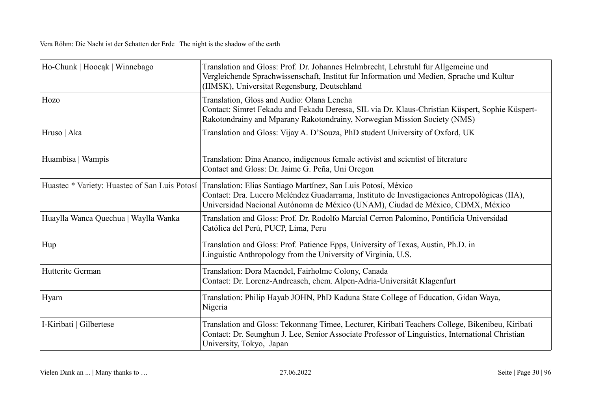| Ho-Chunk   Hoocak   Winnebago        | Translation and Gloss: Prof. Dr. Johannes Helmbrecht, Lehrstuhl fur Allgemeine und<br>Vergleichende Sprachwissenschaft, Institut fur Information und Medien, Sprache und Kultur<br>(IIMSK), Universitat Regensburg, Deutschland                                                                 |
|--------------------------------------|-------------------------------------------------------------------------------------------------------------------------------------------------------------------------------------------------------------------------------------------------------------------------------------------------|
| Hozo                                 | Translation, Gloss and Audio: Olana Lencha<br>Contact: Simret Fekadu and Fekadu Deressa, SIL via Dr. Klaus-Christian Küspert, Sophie Küspert-<br>Rakotondrainy and Mparany Rakotondrainy, Norwegian Mission Society (NMS)                                                                       |
| Hruso   Aka                          | Translation and Gloss: Vijay A. D'Souza, PhD student University of Oxford, UK                                                                                                                                                                                                                   |
| Huambisa   Wampis                    | Translation: Dina Ananco, indigenous female activist and scientist of literature<br>Contact and Gloss: Dr. Jaime G. Peña, Uni Oregon                                                                                                                                                            |
|                                      | Huastec * Variety: Huastec of San Luis Potosí   Translation: Elias Santiago Martínez, San Luis Potosí, México<br>Contact: Dra. Lucero Meléndez Guadarrama, Instituto de Investigaciones Antropológicas (IIA),<br>Universidad Nacional Autónoma de México (UNAM), Ciudad de México, CDMX, México |
| Huaylla Wanca Quechua   Waylla Wanka | Translation and Gloss: Prof. Dr. Rodolfo Marcial Cerron Palomino, Pontificia Universidad<br>Católica del Perú, PUCP, Lima, Peru                                                                                                                                                                 |
| Hup                                  | Translation and Gloss: Prof. Patience Epps, University of Texas, Austin, Ph.D. in<br>Linguistic Anthropology from the University of Virginia, U.S.                                                                                                                                              |
| Hutterite German                     | Translation: Dora Maendel, Fairholme Colony, Canada<br>Contact: Dr. Lorenz-Andreasch, ehem. Alpen-Adria-Universität Klagenfurt                                                                                                                                                                  |
| Hyam                                 | Translation: Philip Hayab JOHN, PhD Kaduna State College of Education, Gidan Waya,<br>Nigeria                                                                                                                                                                                                   |
| I-Kiribati   Gilbertese              | Translation and Gloss: Tekonnang Timee, Lecturer, Kiribati Teachers College, Bikenibeu, Kiribati<br>Contact: Dr. Seunghun J. Lee, Senior Associate Professor of Linguistics, International Christian<br>University, Tokyo, Japan                                                                |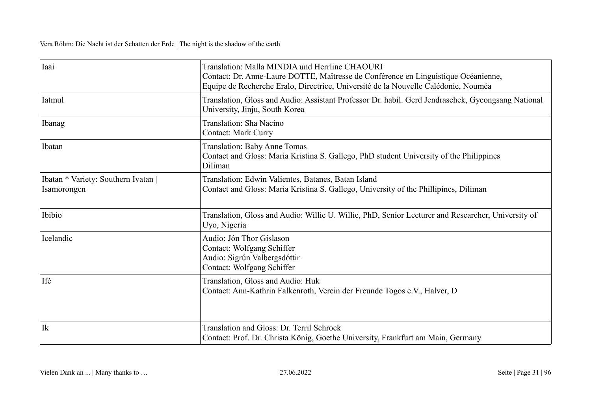| Iaai                                               | Translation: Malla MINDIA und Herrline CHAOURI<br>Contact: Dr. Anne-Laure DOTTE, Maîtresse de Conférence en Linguistique Océanienne,<br>Equipe de Recherche Eralo, Directrice, Université de la Nouvelle Calédonie, Nouméa |
|----------------------------------------------------|----------------------------------------------------------------------------------------------------------------------------------------------------------------------------------------------------------------------------|
| Iatmul                                             | Translation, Gloss and Audio: Assistant Professor Dr. habil. Gerd Jendraschek, Gyeongsang National<br>University, Jinju, South Korea                                                                                       |
| Ibanag                                             | Translation: Sha Nacino<br><b>Contact: Mark Curry</b>                                                                                                                                                                      |
| Ibatan                                             | Translation: Baby Anne Tomas<br>Contact and Gloss: Maria Kristina S. Gallego, PhD student University of the Philippines<br>Diliman                                                                                         |
| Ibatan * Variety: Southern Ivatan  <br>Isamorongen | Translation: Edwin Valientes, Batanes, Batan Island<br>Contact and Gloss: Maria Kristina S. Gallego, University of the Phillipines, Diliman                                                                                |
| Ibibio                                             | Translation, Gloss and Audio: Willie U. Willie, PhD, Senior Lecturer and Researcher, University of<br>Uyo, Nigeria                                                                                                         |
| Icelandic                                          | Audio: Jón Thor Gíslason<br>Contact: Wolfgang Schiffer<br>Audio: Sigrún Valbergsdóttir<br>Contact: Wolfgang Schiffer                                                                                                       |
| Ifè                                                | Translation, Gloss and Audio: Huk<br>Contact: Ann-Kathrin Falkenroth, Verein der Freunde Togos e.V., Halver, D                                                                                                             |
| $I\mathbf{k}$                                      | Translation and Gloss: Dr. Terril Schrock<br>Contact: Prof. Dr. Christa König, Goethe University, Frankfurt am Main, Germany                                                                                               |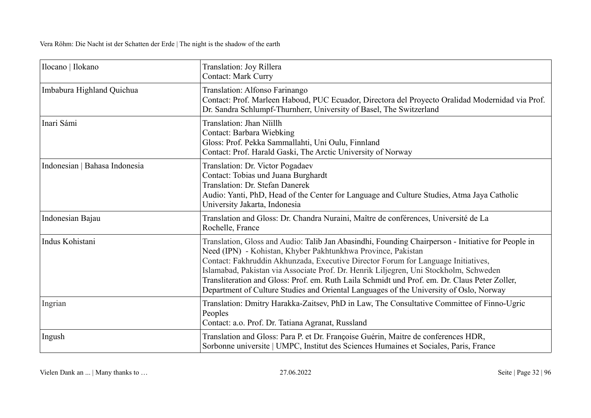| Ilocano   Ilokano             | Translation: Joy Rillera<br><b>Contact: Mark Curry</b>                                                                                                                                                                                                                                                                                                                                                                                                                                                                                      |
|-------------------------------|---------------------------------------------------------------------------------------------------------------------------------------------------------------------------------------------------------------------------------------------------------------------------------------------------------------------------------------------------------------------------------------------------------------------------------------------------------------------------------------------------------------------------------------------|
| Imbabura Highland Quichua     | Translation: Alfonso Farinango<br>Contact: Prof. Marleen Haboud, PUC Ecuador, Directora del Proyecto Oralidad Modernidad via Prof.<br>Dr. Sandra Schlumpf-Thurnherr, University of Basel, The Switzerland                                                                                                                                                                                                                                                                                                                                   |
| Inari Sámi                    | Translation: Jhan Nîillh<br>Contact: Barbara Wiebking<br>Gloss: Prof. Pekka Sammallahti, Uni Oulu, Finnland<br>Contact: Prof. Harald Gaski, The Arctic University of Norway                                                                                                                                                                                                                                                                                                                                                                 |
| Indonesian   Bahasa Indonesia | Translation: Dr. Victor Pogadaev<br>Contact: Tobias und Juana Burghardt<br>Translation: Dr. Stefan Danerek<br>Audio: Yanti, PhD, Head of the Center for Language and Culture Studies, Atma Jaya Catholic<br>University Jakarta, Indonesia                                                                                                                                                                                                                                                                                                   |
| Indonesian Bajau              | Translation and Gloss: Dr. Chandra Nuraini, Maître de conférences, Université de La<br>Rochelle, France                                                                                                                                                                                                                                                                                                                                                                                                                                     |
| Indus Kohistani               | Translation, Gloss and Audio: Talib Jan Abasindhi, Founding Chairperson - Initiative for People in<br>Need (IPN) - Kohistan, Khyber Pakhtunkhwa Province, Pakistan<br>Contact: Fakhruddin Akhunzada, Executive Director Forum for Language Initiatives,<br>Islamabad, Pakistan via Associate Prof. Dr. Henrik Liljegren, Uni Stockholm, Schweden<br>Transliteration and Gloss: Prof. em. Ruth Laila Schmidt und Prof. em. Dr. Claus Peter Zoller,<br>Department of Culture Studies and Oriental Languages of the University of Oslo, Norway |
| Ingrian                       | Translation: Dmitry Harakka-Zaitsev, PhD in Law, The Consultative Committee of Finno-Ugric<br>Peoples<br>Contact: a.o. Prof. Dr. Tatiana Agranat, Russland                                                                                                                                                                                                                                                                                                                                                                                  |
| Ingush                        | Translation and Gloss: Para P. et Dr. Françoise Guérin, Maitre de conferences HDR,<br>Sorbonne universite   UMPC, Institut des Sciences Humaines et Sociales, Paris, France                                                                                                                                                                                                                                                                                                                                                                 |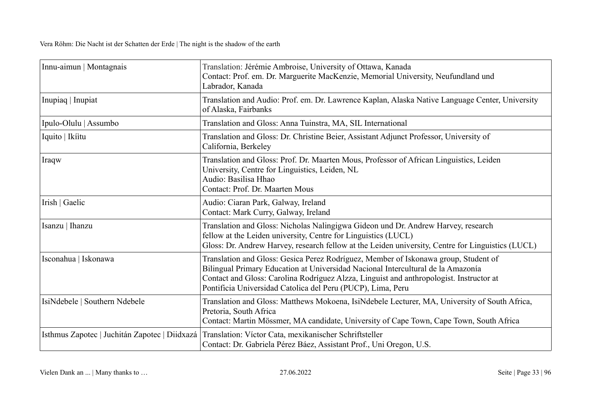| Innu-aimun   Montagnais                       | Translation: Jérémie Ambroise, University of Ottawa, Kanada<br>Contact: Prof. em. Dr. Marguerite MacKenzie, Memorial University, Neufundland und<br>Labrador, Kanada                                                                                                                                                              |
|-----------------------------------------------|-----------------------------------------------------------------------------------------------------------------------------------------------------------------------------------------------------------------------------------------------------------------------------------------------------------------------------------|
| Inupiaq   Inupiat                             | Translation and Audio: Prof. em. Dr. Lawrence Kaplan, Alaska Native Language Center, University<br>of Alaska, Fairbanks                                                                                                                                                                                                           |
| Ipulo-Olulu   Assumbo                         | Translation and Gloss: Anna Tuinstra, MA, SIL International                                                                                                                                                                                                                                                                       |
| Iquito   Ikitu                                | Translation and Gloss: Dr. Christine Beier, Assistant Adjunct Professor, University of<br>California, Berkeley                                                                                                                                                                                                                    |
| Iraqw                                         | Translation and Gloss: Prof. Dr. Maarten Mous, Professor of African Linguistics, Leiden<br>University, Centre for Linguistics, Leiden, NL<br>Audio: Basilisa Hhao<br>Contact: Prof. Dr. Maarten Mous                                                                                                                              |
| Irish   Gaelic                                | Audio: Ciaran Park, Galway, Ireland<br>Contact: Mark Curry, Galway, Ireland                                                                                                                                                                                                                                                       |
| Isanzu   Ihanzu                               | Translation and Gloss: Nicholas Nalingigwa Gideon und Dr. Andrew Harvey, research<br>fellow at the Leiden university, Centre for Linguistics (LUCL)<br>Gloss: Dr. Andrew Harvey, research fellow at the Leiden university, Centre for Linguistics (LUCL)                                                                          |
| Isconahua   Iskonawa                          | Translation and Gloss: Gesica Perez Rodríguez, Member of Iskonawa group, Student of<br>Bilingual Primary Education at Universidad Nacional Intercultural de la Amazonía<br>Contact and Gloss: Carolina Rodríguez Alzza, Linguist and anthropologist. Instructor at<br>Pontificia Universidad Catolica del Peru (PUCP), Lima, Peru |
| IsiNdebele   Southern Ndebele                 | Translation and Gloss: Matthews Mokoena, IsiNdebele Lecturer, MA, University of South Africa,<br>Pretoria, South Africa<br>Contact: Martin Mössmer, MA candidate, University of Cape Town, Cape Town, South Africa                                                                                                                |
| Isthmus Zapotec   Juchitán Zapotec   Diidxazá | Translation: Víctor Cata, mexikanischer Schriftsteller<br>Contact: Dr. Gabriela Pérez Báez, Assistant Prof., Uni Oregon, U.S.                                                                                                                                                                                                     |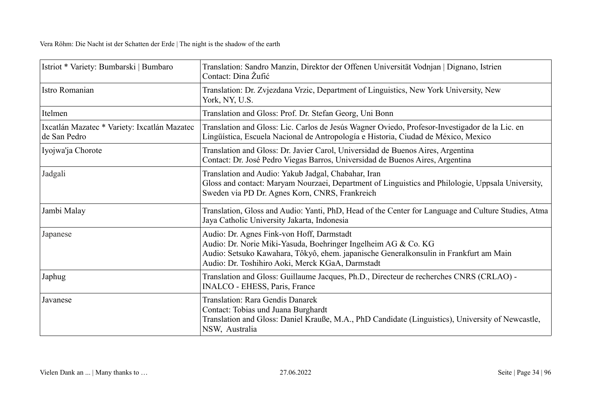| Istriot * Variety: Bumbarski   Bumbaro                       | Translation: Sandro Manzin, Direktor der Offenen Universität Vodnjan   Dignano, Istrien<br>Contact: Dina Žufić                                                                                                                                           |
|--------------------------------------------------------------|----------------------------------------------------------------------------------------------------------------------------------------------------------------------------------------------------------------------------------------------------------|
| Istro Romanian                                               | Translation: Dr. Zvjezdana Vrzic, Department of Linguistics, New York University, New<br>York, NY, U.S.                                                                                                                                                  |
| Itelmen                                                      | Translation and Gloss: Prof. Dr. Stefan Georg, Uni Bonn                                                                                                                                                                                                  |
| Ixcatlán Mazatec * Variety: Ixcatlán Mazatec<br>de San Pedro | Translation and Gloss: Lic. Carlos de Jesús Wagner Oviedo, Profesor-Investigador de la Lic. en<br>Lingüística, Escuela Nacional de Antropología e Historia, Ciudad de México, Mexico                                                                     |
| Iyojwa'ja Chorote                                            | Translation and Gloss: Dr. Javier Carol, Universidad de Buenos Aires, Argentina<br>Contact: Dr. José Pedro Viegas Barros, Universidad de Buenos Aires, Argentina                                                                                         |
| Jadgali                                                      | Translation and Audio: Yakub Jadgal, Chabahar, Iran<br>Gloss and contact: Maryam Nourzaei, Department of Linguistics and Philologie, Uppsala University,<br>Sweden via PD Dr. Agnes Korn, CNRS, Frankreich                                               |
| Jambi Malay                                                  | Translation, Gloss and Audio: Yanti, PhD, Head of the Center for Language and Culture Studies, Atma<br>Jaya Catholic University Jakarta, Indonesia                                                                                                       |
| Japanese                                                     | Audio: Dr. Agnes Fink-von Hoff, Darmstadt<br>Audio: Dr. Norie Miki-Yasuda, Boehringer Ingelheim AG & Co. KG<br>Audio: Setsuko Kawahara, Tôkyô, ehem. japanische Generalkonsulin in Frankfurt am Main<br>Audio: Dr. Toshihiro Aoki, Merck KGaA, Darmstadt |
| Japhug                                                       | Translation and Gloss: Guillaume Jacques, Ph.D., Directeur de recherches CNRS (CRLAO) -<br>INALCO - EHESS, Paris, France                                                                                                                                 |
| Javanese                                                     | Translation: Rara Gendis Danarek<br>Contact: Tobias und Juana Burghardt<br>Translation and Gloss: Daniel Krauße, M.A., PhD Candidate (Linguistics), University of Newcastle,<br>NSW, Australia                                                           |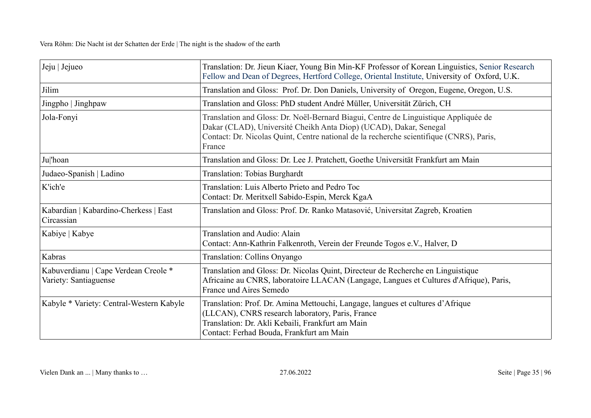| Jeju   Jejueo                                                 | Translation: Dr. Jieun Kiaer, Young Bin Min-KF Professor of Korean Linguistics, Senior Research<br>Fellow and Dean of Degrees, Hertford College, Oriental Institute, University of Oxford, U.K.                                                               |
|---------------------------------------------------------------|---------------------------------------------------------------------------------------------------------------------------------------------------------------------------------------------------------------------------------------------------------------|
| Jilim                                                         | Translation and Gloss: Prof. Dr. Don Daniels, University of Oregon, Eugene, Oregon, U.S.                                                                                                                                                                      |
| Jingpho   Jinghpaw                                            | Translation and Gloss: PhD student André Müller, Universität Zürich, CH                                                                                                                                                                                       |
| Jola-Fonyi                                                    | Translation and Gloss: Dr. Noël-Bernard Biagui, Centre de Linguistique Appliquée de<br>Dakar (CLAD), Université Cheikh Anta Diop) (UCAD), Dakar, Senegal<br>Contact: Dr. Nicolas Quint, Centre national de la recherche scientifique (CNRS), Paris,<br>France |
| Ju 'hoan                                                      | Translation and Gloss: Dr. Lee J. Pratchett, Goethe Universität Frankfurt am Main                                                                                                                                                                             |
| Judaeo-Spanish   Ladino                                       | <b>Translation: Tobias Burghardt</b>                                                                                                                                                                                                                          |
| K'ich'e                                                       | Translation: Luis Alberto Prieto and Pedro Toc<br>Contact: Dr. Meritxell Sabido-Espin, Merck KgaA                                                                                                                                                             |
| Kabardian   Kabardino-Cherkess   East<br>Circassian           | Translation and Gloss: Prof. Dr. Ranko Matasović, Universitat Zagreb, Kroatien                                                                                                                                                                                |
| Kabiye   Kabye                                                | Translation and Audio: Alain<br>Contact: Ann-Kathrin Falkenroth, Verein der Freunde Togos e.V., Halver, D                                                                                                                                                     |
| Kabras                                                        | Translation: Collins Onyango                                                                                                                                                                                                                                  |
| Kabuverdianu   Cape Verdean Creole *<br>Variety: Santiaguense | Translation and Gloss: Dr. Nicolas Quint, Directeur de Recherche en Linguistique<br>Africaine au CNRS, laboratoire LLACAN (Langage, Langues et Cultures d'Afrique), Paris,<br>France und Aires Semedo                                                         |
| Kabyle * Variety: Central-Western Kabyle                      | Translation: Prof. Dr. Amina Mettouchi, Langage, langues et cultures d'Afrique<br>(LLCAN), CNRS research laboratory, Paris, France<br>Translation: Dr. Akli Kebaili, Frankfurt am Main<br>Contact: Ferhad Bouda, Frankfurt am Main                            |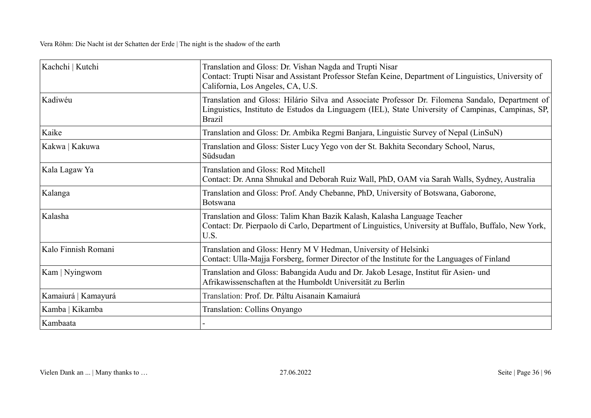| Kachchi   Kutchi    | Translation and Gloss: Dr. Vishan Nagda and Trupti Nisar<br>Contact: Trupti Nisar and Assistant Professor Stefan Keine, Department of Linguistics, University of<br>California, Los Angeles, CA, U.S.                  |
|---------------------|------------------------------------------------------------------------------------------------------------------------------------------------------------------------------------------------------------------------|
| Kadiwéu             | Translation and Gloss: Hilário Silva and Associate Professor Dr. Filomena Sandalo, Department of<br>Linguistics, Instituto de Estudos da Linguagem (IEL), State University of Campinas, Campinas, SP,<br><b>Brazil</b> |
| Kaike               | Translation and Gloss: Dr. Ambika Regmi Banjara, Linguistic Survey of Nepal (LinSuN)                                                                                                                                   |
| Kakwa   Kakuwa      | Translation and Gloss: Sister Lucy Yego von der St. Bakhita Secondary School, Narus,<br>Südsudan                                                                                                                       |
| Kala Lagaw Ya       | Translation and Gloss: Rod Mitchell<br>Contact: Dr. Anna Shnukal and Deborah Ruiz Wall, PhD, OAM via Sarah Walls, Sydney, Australia                                                                                    |
| Kalanga             | Translation and Gloss: Prof. Andy Chebanne, PhD, University of Botswana, Gaborone,<br>Botswana                                                                                                                         |
| Kalasha             | Translation and Gloss: Talim Khan Bazik Kalash, Kalasha Language Teacher<br>Contact: Dr. Pierpaolo di Carlo, Department of Linguistics, University at Buffalo, Buffalo, New York,<br>U.S.                              |
| Kalo Finnish Romani | Translation and Gloss: Henry M V Hedman, University of Helsinki<br>Contact: Ulla-Majja Forsberg, former Director of the Institute for the Languages of Finland                                                         |
| Kam   Nyingwom      | Translation and Gloss: Babangida Audu and Dr. Jakob Lesage, Institut für Asien- und<br>Afrikawissenschaften at the Humboldt Universität zu Berlin                                                                      |
| Kamaiurá   Kamayurá | Translation: Prof. Dr. Páltu Aisanain Kamaiurá                                                                                                                                                                         |
| Kamba   Kikamba     | Translation: Collins Onyango                                                                                                                                                                                           |
| Kambaata            |                                                                                                                                                                                                                        |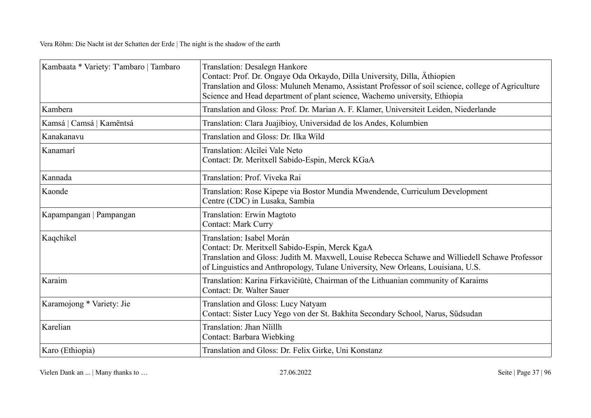| Kambaata * Variety: T'ambaro   Tambaro | <b>Translation: Desalegn Hankore</b><br>Contact: Prof. Dr. Ongaye Oda Orkaydo, Dilla University, Dilla, Äthiopien<br>Translation and Gloss: Muluneh Menamo, Assistant Professor of soil science, college of Agriculture<br>Science and Head department of plant science, Wachemo university, Ethiopia |
|----------------------------------------|-------------------------------------------------------------------------------------------------------------------------------------------------------------------------------------------------------------------------------------------------------------------------------------------------------|
| Kambera                                | Translation and Gloss: Prof. Dr. Marian A. F. Klamer, Universiteit Leiden, Niederlande                                                                                                                                                                                                                |
| Kamsá   Camsá   Kamëntsá               | Translation: Clara Juajibioy, Universidad de los Andes, Kolumbien                                                                                                                                                                                                                                     |
| Kanakanavu                             | Translation and Gloss: Dr. Ilka Wild                                                                                                                                                                                                                                                                  |
| Kanamarí                               | Translation: Alcilei Vale Neto<br>Contact: Dr. Meritxell Sabido-Espin, Merck KGaA                                                                                                                                                                                                                     |
| Kannada                                | Translation: Prof. Viveka Rai                                                                                                                                                                                                                                                                         |
| Kaonde                                 | Translation: Rose Kipepe via Bostor Mundia Mwendende, Curriculum Development<br>Centre (CDC) in Lusaka, Sambia                                                                                                                                                                                        |
| Kapampangan   Pampangan                | <b>Translation: Erwin Magtoto</b><br><b>Contact: Mark Curry</b>                                                                                                                                                                                                                                       |
| Kaqchikel                              | Translation: Isabel Morán<br>Contact: Dr. Meritxell Sabido-Espin, Merck KgaA<br>Translation and Gloss: Judith M. Maxwell, Louise Rebecca Schawe and Williedell Schawe Professor<br>of Linguistics and Anthropology, Tulane University, New Orleans, Louisiana, U.S.                                   |
| Karaim                                 | Translation: Karina Firkavičiūtė, Chairman of the Lithuanian community of Karaims<br>Contact: Dr. Walter Sauer                                                                                                                                                                                        |
| Karamojong * Variety: Jie              | Translation and Gloss: Lucy Natyam<br>Contact: Sister Lucy Yego von der St. Bakhita Secondary School, Narus, Südsudan                                                                                                                                                                                 |
| Karelian                               | Translation: Jhan Nîillh<br>Contact: Barbara Wiebking                                                                                                                                                                                                                                                 |
| Karo (Ethiopia)                        | Translation and Gloss: Dr. Felix Girke, Uni Konstanz                                                                                                                                                                                                                                                  |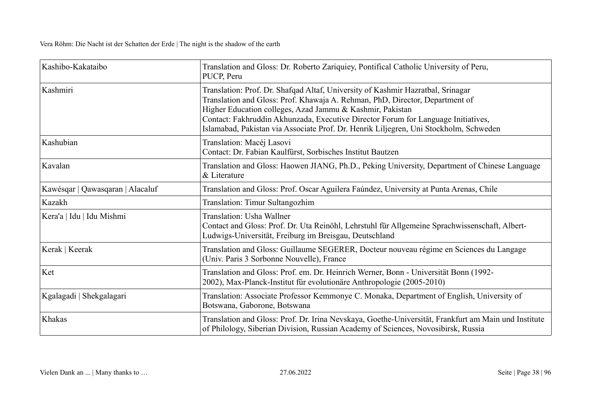| Kashibo-Kakataibo                | Translation and Gloss: Dr. Roberto Zariquiey, Pontifical Catholic University of Peru,<br>PUCP, Peru                                                                                                                                                                                                                                                                                                        |
|----------------------------------|------------------------------------------------------------------------------------------------------------------------------------------------------------------------------------------------------------------------------------------------------------------------------------------------------------------------------------------------------------------------------------------------------------|
| Kashmiri                         | Translation: Prof. Dr. Shafqad Altaf, University of Kashmir Hazratbal, Srinagar<br>Translation and Gloss: Prof. Khawaja A. Rehman, PhD, Director, Department of<br>Higher Education colleges, Azad Jammu & Kashmir, Pakistan<br>Contact: Fakhruddin Akhunzada, Executive Director Forum for Language Initiatives,<br>Islamabad, Pakistan via Associate Prof. Dr. Henrik Liljegren, Uni Stockholm, Schweden |
| Kashubian                        | Translation: Macéj Lasovi<br>Contact: Dr. Fabian Kaulfürst, Sorbisches Institut Bautzen                                                                                                                                                                                                                                                                                                                    |
| Kavalan                          | Translation and Gloss: Haowen JIANG, Ph.D., Peking University, Department of Chinese Language<br>& Literature                                                                                                                                                                                                                                                                                              |
| Kawésqar   Qawasqaran   Alacaluf | Translation and Gloss: Prof. Oscar Aguilera Faúndez, University at Punta Arenas, Chile                                                                                                                                                                                                                                                                                                                     |
| Kazakh                           | Translation: Timur Sultangozhim                                                                                                                                                                                                                                                                                                                                                                            |
| Kera'a   Idu   Idu Mishmi        | Translation: Usha Wallner<br>Contact and Gloss: Prof. Dr. Uta Reinöhl, Lehrstuhl für Allgemeine Sprachwissenschaft, Albert-<br>Ludwigs-Universität, Freiburg im Breisgau, Deutschland                                                                                                                                                                                                                      |
| Kerak   Keerak                   | Translation and Gloss: Guillaume SEGERER, Docteur nouveau régime en Sciences du Langage<br>(Univ. Paris 3 Sorbonne Nouvelle), France                                                                                                                                                                                                                                                                       |
| Ket                              | Translation and Gloss: Prof. em. Dr. Heinrich Werner, Bonn - Universität Bonn (1992-<br>2002), Max-Planck-Institut für evolutionäre Anthropologie (2005-2010)                                                                                                                                                                                                                                              |
| Kgalagadi   Shekgalagari         | Translation: Associate Professor Kemmonye C. Monaka, Department of English, University of<br>Botswana, Gaborone, Botswana                                                                                                                                                                                                                                                                                  |
| Khakas                           | Translation and Gloss: Prof. Dr. Irina Nevskaya, Goethe-Universität, Frankfurt am Main und Institute<br>of Philology, Siberian Division, Russian Academy of Sciences, Novosibirsk, Russia                                                                                                                                                                                                                  |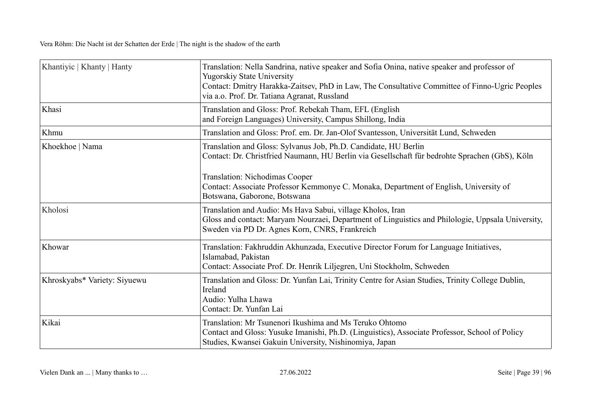| Khantiyic   Khanty   Hanty   | Translation: Nella Sandrina, native speaker and Sofia Onina, native speaker and professor of<br><b>Yugorskiy State University</b><br>Contact: Dmitry Harakka-Zaitsev, PhD in Law, The Consultative Committee of Finno-Ugric Peoples<br>via a.o. Prof. Dr. Tatiana Agranat, Russland |
|------------------------------|-------------------------------------------------------------------------------------------------------------------------------------------------------------------------------------------------------------------------------------------------------------------------------------|
| Khasi                        | Translation and Gloss: Prof. Rebekah Tham, EFL (English<br>and Foreign Languages) University, Campus Shillong, India                                                                                                                                                                |
| Khmu                         | Translation and Gloss: Prof. em. Dr. Jan-Olof Svantesson, Universität Lund, Schweden                                                                                                                                                                                                |
| Khoekhoe   Nama              | Translation and Gloss: Sylvanus Job, Ph.D. Candidate, HU Berlin<br>Contact: Dr. Christfried Naumann, HU Berlin via Gesellschaft für bedrohte Sprachen (GbS), Köln                                                                                                                   |
|                              | Translation: Nichodimas Cooper<br>Contact: Associate Professor Kemmonye C. Monaka, Department of English, University of<br>Botswana, Gaborone, Botswana                                                                                                                             |
| Kholosi                      | Translation and Audio: Ms Hava Sabui, village Kholos, Iran<br>Gloss and contact: Maryam Nourzaei, Department of Linguistics and Philologie, Uppsala University,<br>Sweden via PD Dr. Agnes Korn, CNRS, Frankreich                                                                   |
| Khowar                       | Translation: Fakhruddin Akhunzada, Executive Director Forum for Language Initiatives,<br>Islamabad, Pakistan<br>Contact: Associate Prof. Dr. Henrik Liljegren, Uni Stockholm, Schweden                                                                                              |
| Khroskyabs* Variety: Siyuewu | Translation and Gloss: Dr. Yunfan Lai, Trinity Centre for Asian Studies, Trinity College Dublin,<br>Ireland<br>Audio: Yulha Lhawa<br>Contact: Dr. Yunfan Lai                                                                                                                        |
| Kikai                        | Translation: Mr Tsunenori Ikushima and Ms Teruko Ohtomo<br>Contact and Gloss: Yusuke Imanishi, Ph.D. (Linguistics), Associate Professor, School of Policy<br>Studies, Kwansei Gakuin University, Nishinomiya, Japan                                                                 |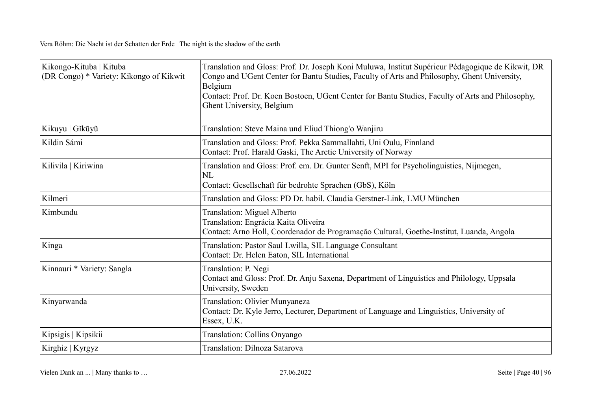| Kikongo-Kituba   Kituba<br>(DR Congo) * Variety: Kikongo of Kikwit | Translation and Gloss: Prof. Dr. Joseph Koni Muluwa, Institut Supérieur Pédagogique de Kikwit, DR<br>Congo and UGent Center for Bantu Studies, Faculty of Arts and Philosophy, Ghent University,<br>Belgium<br>Contact: Prof. Dr. Koen Bostoen, UGent Center for Bantu Studies, Faculty of Arts and Philosophy,<br>Ghent University, Belgium |
|--------------------------------------------------------------------|----------------------------------------------------------------------------------------------------------------------------------------------------------------------------------------------------------------------------------------------------------------------------------------------------------------------------------------------|
| Kikuyu   Gĩkũyũ                                                    | Translation: Steve Maina und Eliud Thiong'o Wanjiru                                                                                                                                                                                                                                                                                          |
| Kildin Sámi                                                        | Translation and Gloss: Prof. Pekka Sammallahti, Uni Oulu, Finnland<br>Contact: Prof. Harald Gaski, The Arctic University of Norway                                                                                                                                                                                                           |
| Kilivila   Kiriwina                                                | Translation and Gloss: Prof. em. Dr. Gunter Senft, MPI for Psycholinguistics, Nijmegen,<br><b>NL</b><br>Contact: Gesellschaft für bedrohte Sprachen (GbS), Köln                                                                                                                                                                              |
| Kilmeri                                                            | Translation and Gloss: PD Dr. habil. Claudia Gerstner-Link, LMU München                                                                                                                                                                                                                                                                      |
| Kimbundu                                                           | Translation: Miguel Alberto<br>Translation: Engrácia Kaita Oliveira<br>Contact: Arno Holl, Coordenador de Programação Cultural, Goethe-Institut, Luanda, Angola                                                                                                                                                                              |
| Kinga                                                              | Translation: Pastor Saul Lwilla, SIL Language Consultant<br>Contact: Dr. Helen Eaton, SIL International                                                                                                                                                                                                                                      |
| Kinnauri * Variety: Sangla                                         | Translation: P. Negi<br>Contact and Gloss: Prof. Dr. Anju Saxena, Department of Linguistics and Philology, Uppsala<br>University, Sweden                                                                                                                                                                                                     |
| Kinyarwanda                                                        | Translation: Olivier Munyaneza<br>Contact: Dr. Kyle Jerro, Lecturer, Department of Language and Linguistics, University of<br>Essex, U.K.                                                                                                                                                                                                    |
| Kipsigis   Kipsikii                                                | Translation: Collins Onyango                                                                                                                                                                                                                                                                                                                 |
| Kirghiz   Kyrgyz                                                   | Translation: Dilnoza Satarova                                                                                                                                                                                                                                                                                                                |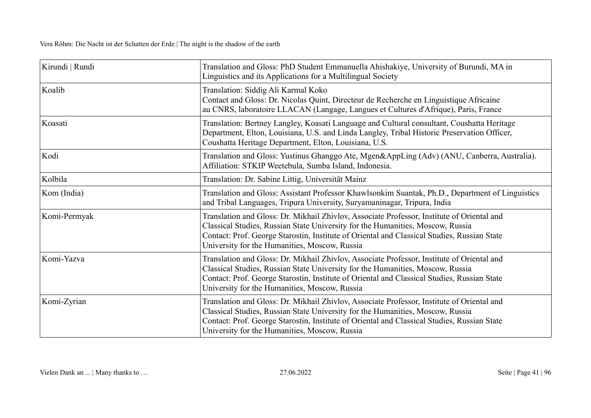| Kirundi   Rundi | Translation and Gloss: PhD Student Emmanuella Ahishakiye, University of Burundi, MA in<br>Linguistics and its Applications for a Multilingual Society                                                                                                                                                                        |
|-----------------|------------------------------------------------------------------------------------------------------------------------------------------------------------------------------------------------------------------------------------------------------------------------------------------------------------------------------|
| Koalib          | Translation: Siddig Ali Karmal Koko<br>Contact and Gloss: Dr. Nicolas Quint, Directeur de Recherche en Linguistique Africaine<br>au CNRS, laboratoire LLACAN (Langage, Langues et Cultures d'Afrique), Paris, France                                                                                                         |
| Koasati         | Translation: Bertney Langley, Koasati Language and Cultural consultant, Coushatta Heritage<br>Department, Elton, Louisiana, U.S. and Linda Langley, Tribal Historic Preservation Officer,<br>Coushatta Heritage Department, Elton, Louisiana, U.S.                                                                           |
| Kodi            | Translation and Gloss: Yustinus Ghanggo Ate, Mgen&AppLing (Adv) (ANU, Canberra, Australia).<br>Affiliation: STKIP Weetebula, Sumba Island, Indonesia.                                                                                                                                                                        |
| Kolbila         | Translation: Dr. Sabine Littig, Universität Mainz                                                                                                                                                                                                                                                                            |
| Kom (India)     | Translation and Gloss: Assistant Professor Khawlsonkim Suantak, Ph.D., Department of Linguistics<br>and Tribal Languages, Tripura University, Suryamaninagar, Tripura, India                                                                                                                                                 |
| Komi-Permyak    | Translation and Gloss: Dr. Mikhail Zhivlov, Associate Professor, Institute of Oriental and<br>Classical Studies, Russian State University for the Humanities, Moscow, Russia<br>Contact: Prof. George Starostin, Institute of Oriental and Classical Studies, Russian State<br>University for the Humanities, Moscow, Russia |
| Komi-Yazva      | Translation and Gloss: Dr. Mikhail Zhivlov, Associate Professor, Institute of Oriental and<br>Classical Studies, Russian State University for the Humanities, Moscow, Russia<br>Contact: Prof. George Starostin, Institute of Oriental and Classical Studies, Russian State<br>University for the Humanities, Moscow, Russia |
| Komi-Zyrian     | Translation and Gloss: Dr. Mikhail Zhivlov, Associate Professor, Institute of Oriental and<br>Classical Studies, Russian State University for the Humanities, Moscow, Russia<br>Contact: Prof. George Starostin, Institute of Oriental and Classical Studies, Russian State<br>University for the Humanities, Moscow, Russia |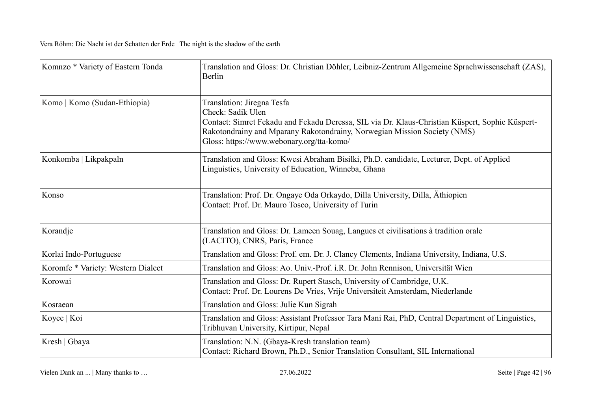| Komnzo * Variety of Eastern Tonda  | Translation and Gloss: Dr. Christian Döhler, Leibniz-Zentrum Allgemeine Sprachwissenschaft (ZAS),<br>Berlin                                                                                                                                                                 |
|------------------------------------|-----------------------------------------------------------------------------------------------------------------------------------------------------------------------------------------------------------------------------------------------------------------------------|
| Komo   Komo (Sudan-Ethiopia)       | Translation: Jiregna Tesfa<br>Check: Sadik Ulen<br>Contact: Simret Fekadu and Fekadu Deressa, SIL via Dr. Klaus-Christian Küspert, Sophie Küspert-<br>Rakotondrainy and Mparany Rakotondrainy, Norwegian Mission Society (NMS)<br>Gloss: https://www.webonary.org/tta-komo/ |
| Konkomba   Likpakpaln              | Translation and Gloss: Kwesi Abraham Bisilki, Ph.D. candidate, Lecturer, Dept. of Applied<br>Linguistics, University of Education, Winneba, Ghana                                                                                                                           |
| Konso                              | Translation: Prof. Dr. Ongaye Oda Orkaydo, Dilla University, Dilla, Athiopien<br>Contact: Prof. Dr. Mauro Tosco, University of Turin                                                                                                                                        |
| Korandje                           | Translation and Gloss: Dr. Lameen Souag, Langues et civilisations à tradition orale<br>(LACITO), CNRS, Paris, France                                                                                                                                                        |
| Korlai Indo-Portuguese             | Translation and Gloss: Prof. em. Dr. J. Clancy Clements, Indiana University, Indiana, U.S.                                                                                                                                                                                  |
| Koromfe * Variety: Western Dialect | Translation and Gloss: Ao. Univ.-Prof. i.R. Dr. John Rennison, Universität Wien                                                                                                                                                                                             |
| Korowai                            | Translation and Gloss: Dr. Rupert Stasch, University of Cambridge, U.K.<br>Contact: Prof. Dr. Lourens De Vries, Vrije Universiteit Amsterdam, Niederlande                                                                                                                   |
| Kosraean                           | Translation and Gloss: Julie Kun Sigrah                                                                                                                                                                                                                                     |
| Koyee   Koi                        | Translation and Gloss: Assistant Professor Tara Mani Rai, PhD, Central Department of Linguistics,<br>Tribhuvan University, Kirtipur, Nepal                                                                                                                                  |
| Kresh   Gbaya                      | Translation: N.N. (Gbaya-Kresh translation team)<br>Contact: Richard Brown, Ph.D., Senior Translation Consultant, SIL International                                                                                                                                         |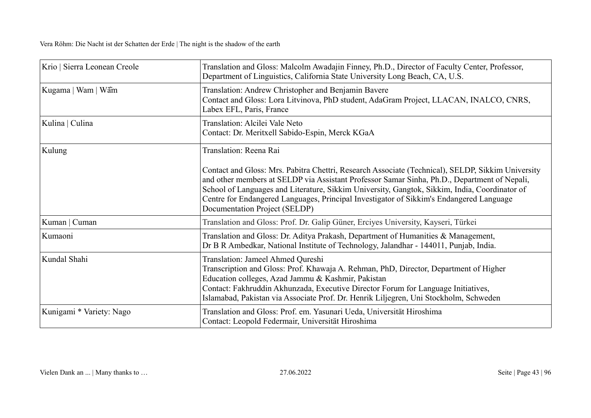| Krio   Sierra Leonean Creole | Translation and Gloss: Malcolm Awadajin Finney, Ph.D., Director of Faculty Center, Professor,<br>Department of Linguistics, California State University Long Beach, CA, U.S.                                                                                                                                                                                                                                                   |
|------------------------------|--------------------------------------------------------------------------------------------------------------------------------------------------------------------------------------------------------------------------------------------------------------------------------------------------------------------------------------------------------------------------------------------------------------------------------|
| Kugama   Wam   Wãm           | Translation: Andrew Christopher and Benjamin Bavere<br>Contact and Gloss: Lora Litvinova, PhD student, AdaGram Project, LLACAN, INALCO, CNRS,<br>Labex EFL, Paris, France                                                                                                                                                                                                                                                      |
| Kulina   Culina              | Translation: Alcilei Vale Neto<br>Contact: Dr. Meritxell Sabido-Espin, Merck KGaA                                                                                                                                                                                                                                                                                                                                              |
| Kulung                       | Translation: Reena Rai                                                                                                                                                                                                                                                                                                                                                                                                         |
|                              | Contact and Gloss: Mrs. Pabitra Chettri, Research Associate (Technical), SELDP, Sikkim University<br>and other members at SELDP via Assistant Professor Samar Sinha, Ph.D., Department of Nepali,<br>School of Languages and Literature, Sikkim University, Gangtok, Sikkim, India, Coordinator of<br>Centre for Endangered Languages, Principal Investigator of Sikkim's Endangered Language<br>Documentation Project (SELDP) |
| Kuman   Cuman                | Translation and Gloss: Prof. Dr. Galip Güner, Erciyes University, Kayseri, Türkei                                                                                                                                                                                                                                                                                                                                              |
| Kumaoni                      | Translation and Gloss: Dr. Aditya Prakash, Department of Humanities & Management,<br>Dr B R Ambedkar, National Institute of Technology, Jalandhar - 144011, Punjab, India.                                                                                                                                                                                                                                                     |
| Kundal Shahi                 | Translation: Jameel Ahmed Qureshi<br>Transcription and Gloss: Prof. Khawaja A. Rehman, PhD, Director, Department of Higher<br>Education colleges, Azad Jammu & Kashmir, Pakistan<br>Contact: Fakhruddin Akhunzada, Executive Director Forum for Language Initiatives,<br>Islamabad, Pakistan via Associate Prof. Dr. Henrik Liljegren, Uni Stockholm, Schweden                                                                 |
| Kunigami * Variety: Nago     | Translation and Gloss: Prof. em. Yasunari Ueda, Universität Hiroshima<br>Contact: Leopold Federmair, Universität Hiroshima                                                                                                                                                                                                                                                                                                     |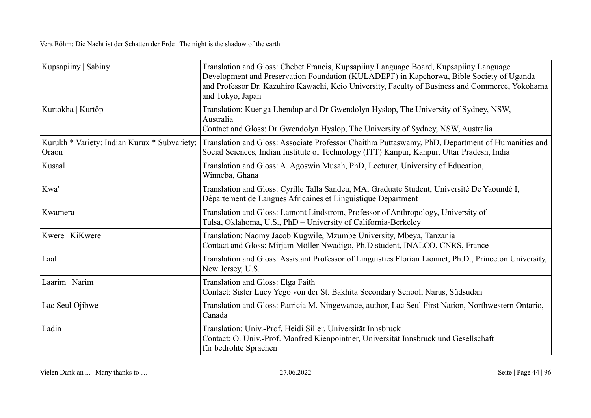| Kupsapiiny   Sabiny                                   | Translation and Gloss: Chebet Francis, Kupsapiiny Language Board, Kupsapiiny Language<br>Development and Preservation Foundation (KULADEPF) in Kapchorwa, Bible Society of Uganda<br>and Professor Dr. Kazuhiro Kawachi, Keio University, Faculty of Business and Commerce, Yokohama<br>and Tokyo, Japan |
|-------------------------------------------------------|----------------------------------------------------------------------------------------------------------------------------------------------------------------------------------------------------------------------------------------------------------------------------------------------------------|
| Kurtokha   Kurtöp                                     | Translation: Kuenga Lhendup and Dr Gwendolyn Hyslop, The University of Sydney, NSW,<br>Australia<br>Contact and Gloss: Dr Gwendolyn Hyslop, The University of Sydney, NSW, Australia                                                                                                                     |
| Kurukh * Variety: Indian Kurux * Subvariety:<br>Oraon | Translation and Gloss: Associate Professor Chaithra Puttaswamy, PhD, Department of Humanities and<br>Social Sciences, Indian Institute of Technology (ITT) Kanpur, Kanpur, Uttar Pradesh, India                                                                                                          |
| Kusaal                                                | Translation and Gloss: A. Agoswin Musah, PhD, Lecturer, University of Education,<br>Winneba, Ghana                                                                                                                                                                                                       |
| Kwa'                                                  | Translation and Gloss: Cyrille Talla Sandeu, MA, Graduate Student, Université De Yaoundé I,<br>Département de Langues Africaines et Linguistique Department                                                                                                                                              |
| Kwamera                                               | Translation and Gloss: Lamont Lindstrom, Professor of Anthropology, University of<br>Tulsa, Oklahoma, U.S., PhD - University of California-Berkeley                                                                                                                                                      |
| Kwere   KiKwere                                       | Translation: Naomy Jacob Kugwile, Mzumbe University, Mbeya, Tanzania<br>Contact and Gloss: Mirjam Möller Nwadigo, Ph.D student, INALCO, CNRS, France                                                                                                                                                     |
| Laal                                                  | Translation and Gloss: Assistant Professor of Linguistics Florian Lionnet, Ph.D., Princeton University,<br>New Jersey, U.S.                                                                                                                                                                              |
| Laarim   Narim                                        | Translation and Gloss: Elga Faith<br>Contact: Sister Lucy Yego von der St. Bakhita Secondary School, Narus, Südsudan                                                                                                                                                                                     |
| Lac Seul Ojibwe                                       | Translation and Gloss: Patricia M. Ningewance, author, Lac Seul First Nation, Northwestern Ontario,<br>Canada                                                                                                                                                                                            |
| Ladin                                                 | Translation: Univ.-Prof. Heidi Siller, Universität Innsbruck<br>Contact: O. Univ.-Prof. Manfred Kienpointner, Universität Innsbruck und Gesellschaft<br>für bedrohte Sprachen                                                                                                                            |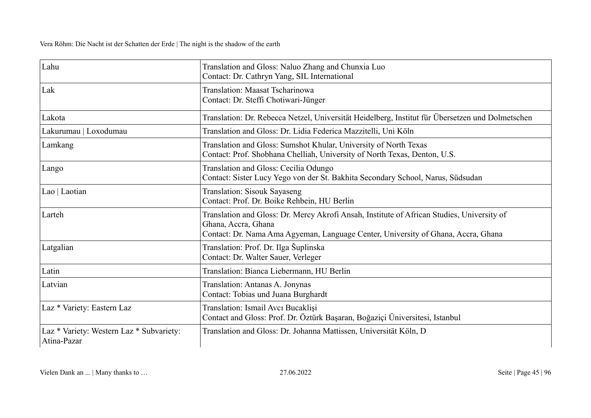| Lahu                                                    | Translation and Gloss: Naluo Zhang and Chunxia Luo<br>Contact: Dr. Cathryn Yang, SIL International                                                                                                     |
|---------------------------------------------------------|--------------------------------------------------------------------------------------------------------------------------------------------------------------------------------------------------------|
| Lak                                                     | Translation: Maasat Tscharinowa<br>Contact: Dr. Steffi Chotiwari-Jünger                                                                                                                                |
| Lakota                                                  | Translation: Dr. Rebecca Netzel, Universität Heidelberg, Institut für Übersetzen und Dolmetschen                                                                                                       |
| Lakurumau   Loxodumau                                   | Translation and Gloss: Dr. Lidia Federica Mazzitelli, Uni Köln                                                                                                                                         |
| Lamkang                                                 | Translation and Gloss: Sumshot Khular, University of North Texas<br>Contact: Prof. Shobhana Chelliah, University of North Texas, Denton, U.S.                                                          |
| Lango                                                   | Translation and Gloss: Cecilia Odungo<br>Contact: Sister Lucy Yego von der St. Bakhita Secondary School, Narus, Südsudan                                                                               |
| Lao   Laotian                                           | Translation: Sisouk Sayaseng<br>Contact: Prof. Dr. Boike Rehbein, HU Berlin                                                                                                                            |
| Larteh                                                  | Translation and Gloss: Dr. Mercy Akrofi Ansah, Institute of African Studies, University of<br>Ghana, Accra, Ghana<br>Contact: Dr. Nama Ama Agyeman, Language Center, University of Ghana, Accra, Ghana |
| Latgalian                                               | Translation: Prof. Dr. Ilga Šuplinska<br>Contact: Dr. Walter Sauer, Verleger                                                                                                                           |
| Latin                                                   | Translation: Bianca Liebermann, HU Berlin                                                                                                                                                              |
| Latvian                                                 | Translation: Antanas A. Jonynas<br>Contact: Tobias und Juana Burghardt                                                                                                                                 |
| Laz * Variety: Eastern Laz                              | Translation: Ismail Aver Bucaklisi<br>Contact and Gloss: Prof. Dr. Öztürk Başaran, Boğaziçi Üniversitesi, Istanbul                                                                                     |
| Laz * Variety: Western Laz * Subvariety:<br>Atina-Pazar | Translation and Gloss: Dr. Johanna Mattissen, Universität Köln, D                                                                                                                                      |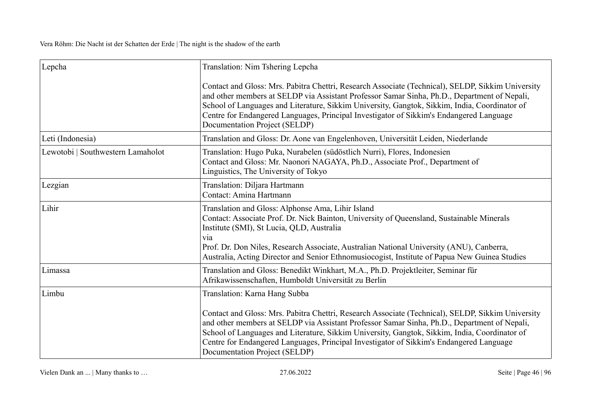| Lepcha                            | Translation: Nim Tshering Lepcha                                                                                                                                                                                                                                                                                                                                                                                                                                |
|-----------------------------------|-----------------------------------------------------------------------------------------------------------------------------------------------------------------------------------------------------------------------------------------------------------------------------------------------------------------------------------------------------------------------------------------------------------------------------------------------------------------|
|                                   | Contact and Gloss: Mrs. Pabitra Chettri, Research Associate (Technical), SELDP, Sikkim University<br>and other members at SELDP via Assistant Professor Samar Sinha, Ph.D., Department of Nepali,<br>School of Languages and Literature, Sikkim University, Gangtok, Sikkim, India, Coordinator of<br>Centre for Endangered Languages, Principal Investigator of Sikkim's Endangered Language<br>Documentation Project (SELDP)                                  |
| Leti (Indonesia)                  | Translation and Gloss: Dr. Aone van Engelenhoven, Universität Leiden, Niederlande                                                                                                                                                                                                                                                                                                                                                                               |
| Lewotobi   Southwestern Lamaholot | Translation: Hugo Puka, Nurabelen (südöstlich Nurri), Flores, Indonesien<br>Contact and Gloss: Mr. Naonori NAGAYA, Ph.D., Associate Prof., Department of<br>Linguistics, The University of Tokyo                                                                                                                                                                                                                                                                |
| Lezgian                           | Translation: Diljara Hartmann<br>Contact: Amina Hartmann                                                                                                                                                                                                                                                                                                                                                                                                        |
| Lihir                             | Translation and Gloss: Alphonse Ama, Lihir Island<br>Contact: Associate Prof. Dr. Nick Bainton, University of Queensland, Sustainable Minerals<br>Institute (SMI), St Lucia, QLD, Australia<br>via<br>Prof. Dr. Don Niles, Research Associate, Australian National University (ANU), Canberra,<br>Australia, Acting Director and Senior Ethnomusiocogist, Institute of Papua New Guinea Studies                                                                 |
| Limassa                           | Translation and Gloss: Benedikt Winkhart, M.A., Ph.D. Projektleiter, Seminar für<br>Afrikawissenschaften, Humboldt Universität zu Berlin                                                                                                                                                                                                                                                                                                                        |
| Limbu                             | Translation: Karna Hang Subba<br>Contact and Gloss: Mrs. Pabitra Chettri, Research Associate (Technical), SELDP, Sikkim University<br>and other members at SELDP via Assistant Professor Samar Sinha, Ph.D., Department of Nepali,<br>School of Languages and Literature, Sikkim University, Gangtok, Sikkim, India, Coordinator of<br>Centre for Endangered Languages, Principal Investigator of Sikkim's Endangered Language<br>Documentation Project (SELDP) |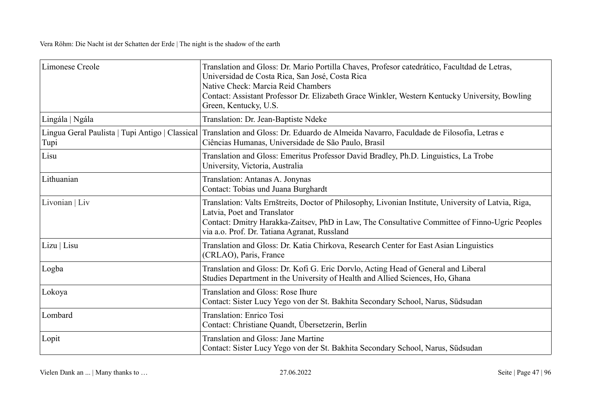| Limonese Creole                                           | Translation and Gloss: Dr. Mario Portilla Chaves, Profesor catedrático, Facultdad de Letras,<br>Universidad de Costa Rica, San José, Costa Rica<br>Native Check: Marcia Reid Chambers<br>Contact: Assistant Professor Dr. Elizabeth Grace Winkler, Western Kentucky University, Bowling<br>Green, Kentucky, U.S. |
|-----------------------------------------------------------|------------------------------------------------------------------------------------------------------------------------------------------------------------------------------------------------------------------------------------------------------------------------------------------------------------------|
| Lingála   Ngála                                           | Translation: Dr. Jean-Baptiste Ndeke                                                                                                                                                                                                                                                                             |
| Lingua Geral Paulista   Tupi Antigo   Classical  <br>Tupi | Translation and Gloss: Dr. Eduardo de Almeida Navarro, Faculdade de Filosofia, Letras e<br>Ciências Humanas, Universidade de São Paulo, Brasil                                                                                                                                                                   |
| Lisu                                                      | Translation and Gloss: Emeritus Professor David Bradley, Ph.D. Linguistics, La Trobe<br>University, Victoria, Australia                                                                                                                                                                                          |
| Lithuanian                                                | Translation: Antanas A. Jonynas<br>Contact: Tobias und Juana Burghardt                                                                                                                                                                                                                                           |
| Livonian   Liv                                            | Translation: Valts Ernštreits, Doctor of Philosophy, Livonian Institute, University of Latvia, Riga,<br>Latvia, Poet and Translator<br>Contact: Dmitry Harakka-Zaitsev, PhD in Law, The Consultative Committee of Finno-Ugric Peoples<br>via a.o. Prof. Dr. Tatiana Agranat, Russland                            |
| Lizu   Lisu                                               | Translation and Gloss: Dr. Katia Chirkova, Research Center for East Asian Linguistics<br>(CRLAO), Paris, France                                                                                                                                                                                                  |
| Logba                                                     | Translation and Gloss: Dr. Kofi G. Eric Dorvlo, Acting Head of General and Liberal<br>Studies Department in the University of Health and Allied Sciences, Ho, Ghana                                                                                                                                              |
| Lokoya                                                    | <b>Translation and Gloss: Rose Ihure</b><br>Contact: Sister Lucy Yego von der St. Bakhita Secondary School, Narus, Südsudan                                                                                                                                                                                      |
| Lombard                                                   | <b>Translation: Enrico Tosi</b><br>Contact: Christiane Quandt, Übersetzerin, Berlin                                                                                                                                                                                                                              |
| Lopit                                                     | <b>Translation and Gloss: Jane Martine</b><br>Contact: Sister Lucy Yego von der St. Bakhita Secondary School, Narus, Südsudan                                                                                                                                                                                    |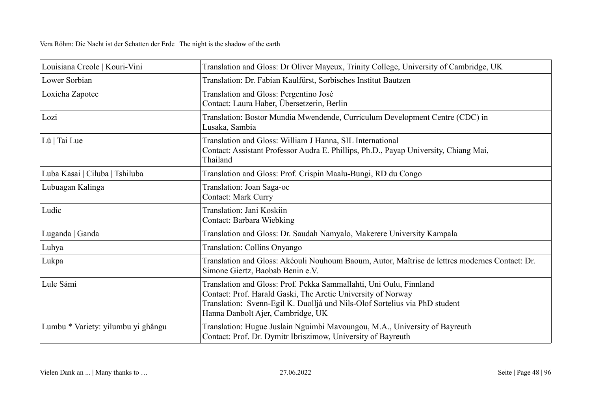| Louisiana Creole   Kouri-Vini      | Translation and Gloss: Dr Oliver Mayeux, Trinity College, University of Cambridge, UK                                                                                                                                                                 |
|------------------------------------|-------------------------------------------------------------------------------------------------------------------------------------------------------------------------------------------------------------------------------------------------------|
| Lower Sorbian                      | Translation: Dr. Fabian Kaulfürst, Sorbisches Institut Bautzen                                                                                                                                                                                        |
| Loxicha Zapotec                    | Translation and Gloss: Pergentino José<br>Contact: Laura Haber, Übersetzerin, Berlin                                                                                                                                                                  |
| Lozi                               | Translation: Bostor Mundia Mwendende, Curriculum Development Centre (CDC) in<br>Lusaka, Sambia                                                                                                                                                        |
| Lü   Tai Lue                       | Translation and Gloss: William J Hanna, SIL International<br>Contact: Assistant Professor Audra E. Phillips, Ph.D., Payap University, Chiang Mai,<br>Thailand                                                                                         |
| Luba Kasai   Ciluba   Tshiluba     | Translation and Gloss: Prof. Crispin Maalu-Bungi, RD du Congo                                                                                                                                                                                         |
| Lubuagan Kalinga                   | Translation: Joan Saga-oc<br><b>Contact: Mark Curry</b>                                                                                                                                                                                               |
| Ludic                              | Translation: Jani Koskiin<br>Contact: Barbara Wiebking                                                                                                                                                                                                |
| Luganda   Ganda                    | Translation and Gloss: Dr. Saudah Namyalo, Makerere University Kampala                                                                                                                                                                                |
| Luhya                              | Translation: Collins Onyango                                                                                                                                                                                                                          |
| Lukpa                              | Translation and Gloss: Akéouli Nouhoum Baoum, Autor, Maîtrise de lettres modernes Contact: Dr.<br>Simone Giertz, Baobab Benin e.V.                                                                                                                    |
| Lule Sámi                          | Translation and Gloss: Prof. Pekka Sammallahti, Uni Oulu, Finnland<br>Contact: Prof. Harald Gaski, The Arctic University of Norway<br>Translation: Svenn-Egil K. Duolljá und Nils-Olof Sortelius via PhD student<br>Hanna Danbolt Ajer, Cambridge, UK |
| Lumbu * Variety: yilumbu yi ghângu | Translation: Hugue Juslain Nguimbi Mavoungou, M.A., University of Bayreuth<br>Contact: Prof. Dr. Dymitr Ibriszimow, University of Bayreuth                                                                                                            |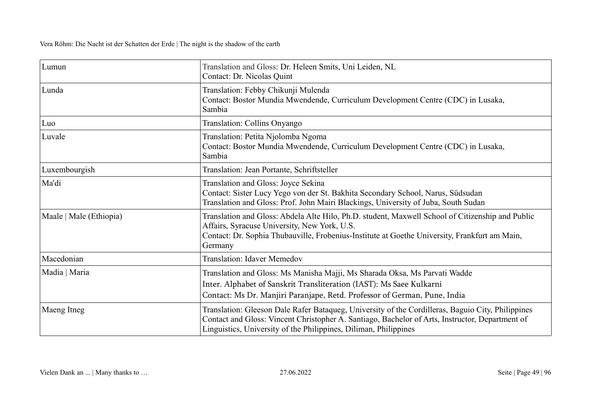| Lumun                   | Translation and Gloss: Dr. Heleen Smits, Uni Leiden, NL<br>Contact: Dr. Nicolas Quint                                                                                                                                                                                    |
|-------------------------|--------------------------------------------------------------------------------------------------------------------------------------------------------------------------------------------------------------------------------------------------------------------------|
| Lunda                   | Translation: Febby Chikunji Mulenda<br>Contact: Bostor Mundia Mwendende, Curriculum Development Centre (CDC) in Lusaka,<br>Sambia                                                                                                                                        |
| Luo                     | Translation: Collins Onyango                                                                                                                                                                                                                                             |
| Luvale                  | Translation: Petita Njolomba Ngoma<br>Contact: Bostor Mundia Mwendende, Curriculum Development Centre (CDC) in Lusaka,<br>Sambia                                                                                                                                         |
| Luxembourgish           | Translation: Jean Portante, Schriftsteller                                                                                                                                                                                                                               |
| Ma'di                   | Translation and Gloss: Joyce Sekina<br>Contact: Sister Lucy Yego von der St. Bakhita Secondary School, Narus, Südsudan<br>Translation and Gloss: Prof. John Mairi Blackings, University of Juba, South Sudan                                                             |
| Maale   Male (Ethiopia) | Translation and Gloss: Abdela Alte Hilo, Ph.D. student, Maxwell School of Citizenship and Public<br>Affairs, Syracuse University, New York, U.S.<br>Contact: Dr. Sophia Thubauville, Frobenius-Institute at Goethe University, Frankfurt am Main,<br>Germany             |
| Macedonian              | <b>Translation: Idaver Memedov</b>                                                                                                                                                                                                                                       |
| Madia   Maria           | Translation and Gloss: Ms Manisha Majji, Ms Sharada Oksa, Ms Parvati Wadde<br>Inter. Alphabet of Sanskrit Transliteration (IAST): Ms Saee Kulkarni<br>Contact: Ms Dr. Manjiri Paranjape, Retd. Professor of German, Pune, India                                          |
| Maeng Itneg             | Translation: Gleeson Dale Rafer Bataqueg, University of the Cordilleras, Baguio City, Philippines<br>Contact and Gloss: Vincent Christopher A. Santiago, Bachelor of Arts, Instructor, Department of<br>Linguistics, University of the Philippines, Diliman, Philippines |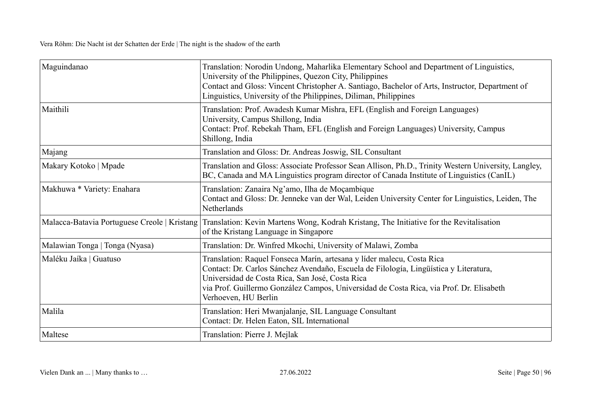| Maguindanao                    | Translation: Norodin Undong, Maharlika Elementary School and Department of Linguistics,<br>University of the Philippines, Quezon City, Philippines<br>Contact and Gloss: Vincent Christopher A. Santiago, Bachelor of Arts, Instructor, Department of<br>Linguistics, University of the Philippines, Diliman, Philippines             |
|--------------------------------|---------------------------------------------------------------------------------------------------------------------------------------------------------------------------------------------------------------------------------------------------------------------------------------------------------------------------------------|
| Maithili                       | Translation: Prof. Awadesh Kumar Mishra, EFL (English and Foreign Languages)<br>University, Campus Shillong, India<br>Contact: Prof. Rebekah Tham, EFL (English and Foreign Languages) University, Campus<br>Shillong, India                                                                                                          |
| Majang                         | Translation and Gloss: Dr. Andreas Joswig, SIL Consultant                                                                                                                                                                                                                                                                             |
| Makary Kotoko   Mpade          | Translation and Gloss: Associate Professor Sean Allison, Ph.D., Trinity Western University, Langley,<br>BC, Canada and MA Linguistics program director of Canada Institute of Linguistics (CanIL)                                                                                                                                     |
| Makhuwa * Variety: Enahara     | Translation: Zanaira Ng'amo, Ilha de Moçambique<br>Contact and Gloss: Dr. Jenneke van der Wal, Leiden University Center for Linguistics, Leiden, The<br>Netherlands                                                                                                                                                                   |
|                                | Malacca-Batavia Portuguese Creole   Kristang   Translation: Kevin Martens Wong, Kodrah Kristang, The Initiative for the Revitalisation<br>of the Kristang Language in Singapore                                                                                                                                                       |
| Malawian Tonga   Tonga (Nyasa) | Translation: Dr. Winfred Mkochi, University of Malawi, Zomba                                                                                                                                                                                                                                                                          |
| Maléku Jaíka   Guatuso         | Translation: Raquel Fonseca Marín, artesana y líder malecu, Costa Rica<br>Contact: Dr. Carlos Sánchez Avendaño, Escuela de Filología, Lingüística y Literatura,<br>Universidad de Costa Rica, San José, Costa Rica<br>via Prof. Guillermo González Campos, Universidad de Costa Rica, via Prof. Dr. Elisabeth<br>Verhoeven, HU Berlin |
| Malila                         | Translation: Heri Mwanjalanje, SIL Language Consultant<br>Contact: Dr. Helen Eaton, SIL International                                                                                                                                                                                                                                 |
| Maltese                        | Translation: Pierre J. Mejlak                                                                                                                                                                                                                                                                                                         |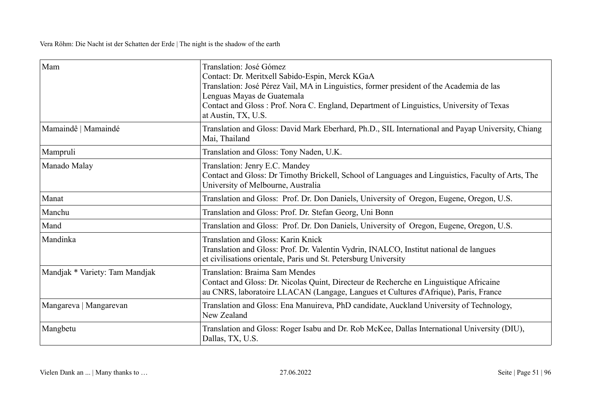| Mam                            | Translation: José Gómez<br>Contact: Dr. Meritxell Sabido-Espin, Merck KGaA<br>Translation: José Pérez Vail, MA in Linguistics, former president of the Academia de las<br>Lenguas Mayas de Guatemala<br>Contact and Gloss: Prof. Nora C. England, Department of Linguistics, University of Texas<br>at Austin, TX, U.S. |
|--------------------------------|-------------------------------------------------------------------------------------------------------------------------------------------------------------------------------------------------------------------------------------------------------------------------------------------------------------------------|
| Mamaindê   Mamaindé            | Translation and Gloss: David Mark Eberhard, Ph.D., SIL International and Payap University, Chiang<br>Mai, Thailand                                                                                                                                                                                                      |
| Mampruli                       | Translation and Gloss: Tony Naden, U.K.                                                                                                                                                                                                                                                                                 |
| Manado Malay                   | Translation: Jenry E.C. Mandey<br>Contact and Gloss: Dr Timothy Brickell, School of Languages and Linguistics, Faculty of Arts, The<br>University of Melbourne, Australia                                                                                                                                               |
| Manat                          | Translation and Gloss: Prof. Dr. Don Daniels, University of Oregon, Eugene, Oregon, U.S.                                                                                                                                                                                                                                |
| Manchu                         | Translation and Gloss: Prof. Dr. Stefan Georg, Uni Bonn                                                                                                                                                                                                                                                                 |
| Mand                           | Translation and Gloss: Prof. Dr. Don Daniels, University of Oregon, Eugene, Oregon, U.S.                                                                                                                                                                                                                                |
| Mandinka                       | Translation and Gloss: Karin Knick<br>Translation and Gloss: Prof. Dr. Valentin Vydrin, INALCO, Institut national de langues<br>et civilisations orientale, Paris und St. Petersburg University                                                                                                                         |
| Mandjak * Variety: Tam Mandjak | Translation: Braima Sam Mendes<br>Contact and Gloss: Dr. Nicolas Quint, Directeur de Recherche en Linguistique Africaine<br>au CNRS, laboratoire LLACAN (Langage, Langues et Cultures d'Afrique), Paris, France                                                                                                         |
| Mangareva   Mangarevan         | Translation and Gloss: Ena Manuireva, PhD candidate, Auckland University of Technology,<br>New Zealand                                                                                                                                                                                                                  |
| Mangbetu                       | Translation and Gloss: Roger Isabu and Dr. Rob McKee, Dallas International University (DIU),<br>Dallas, TX, U.S.                                                                                                                                                                                                        |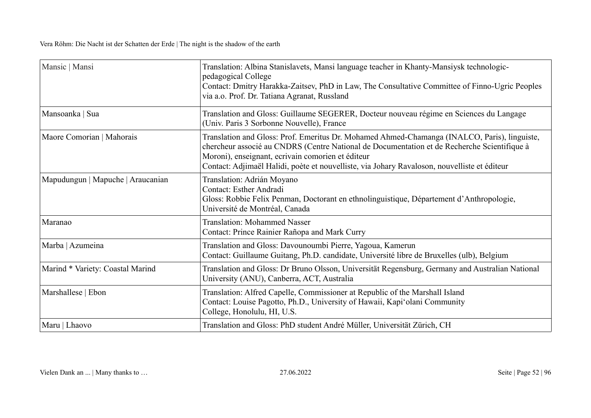| Mansic   Mansi                    | Translation: Albina Stanislavets, Mansi language teacher in Khanty-Mansiysk technologic-<br>pedagogical College<br>Contact: Dmitry Harakka-Zaitsev, PhD in Law, The Consultative Committee of Finno-Ugric Peoples<br>via a.o. Prof. Dr. Tatiana Agranat, Russland                                                                                |
|-----------------------------------|--------------------------------------------------------------------------------------------------------------------------------------------------------------------------------------------------------------------------------------------------------------------------------------------------------------------------------------------------|
| Mansoanka   Sua                   | Translation and Gloss: Guillaume SEGERER, Docteur nouveau régime en Sciences du Langage<br>(Univ. Paris 3 Sorbonne Nouvelle), France                                                                                                                                                                                                             |
| Maore Comorian   Mahorais         | Translation and Gloss: Prof. Emeritus Dr. Mohamed Ahmed-Chamanga (INALCO, Paris), linguiste,<br>chercheur associé au CNDRS (Centre National de Documentation et de Recherche Scientifique à<br>Moroni), enseignant, ecrivain comorien et éditeur<br>Contact: Adjimaël Halidi, poète et nouvelliste, via Johary Ravaloson, nouvelliste et éditeur |
| Mapudungun   Mapuche   Araucanian | Translation: Adrián Moyano<br>Contact: Esther Andradi<br>Gloss: Robbie Felix Penman, Doctorant en ethnolinguistique, Département d'Anthropologie,<br>Université de Montréal, Canada                                                                                                                                                              |
| Maranao                           | <b>Translation: Mohammed Nasser</b><br>Contact: Prince Rainier Rañopa and Mark Curry                                                                                                                                                                                                                                                             |
| Marba   Azumeina                  | Translation and Gloss: Davounoumbi Pierre, Yagoua, Kamerun<br>Contact: Guillaume Guitang, Ph.D. candidate, Université libre de Bruxelles (ulb), Belgium                                                                                                                                                                                          |
| Marind * Variety: Coastal Marind  | Translation and Gloss: Dr Bruno Olsson, Universität Regensburg, Germany and Australian National<br>University (ANU), Canberra, ACT, Australia                                                                                                                                                                                                    |
| Marshallese   Ebon                | Translation: Alfred Capelle, Commissioner at Republic of the Marshall Island<br>Contact: Louise Pagotto, Ph.D., University of Hawaii, Kapi'olani Community<br>College, Honolulu, HI, U.S.                                                                                                                                                        |
| Maru   Lhaovo                     | Translation and Gloss: PhD student André Müller, Universität Zürich, CH                                                                                                                                                                                                                                                                          |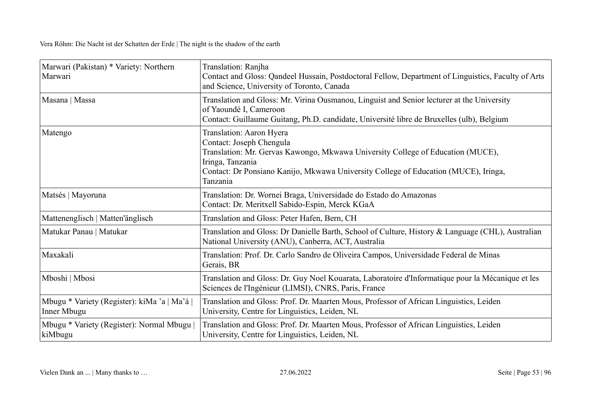| Marwari (Pakistan) * Variety: Northern<br>Marwari           | Translation: Ranjha<br>Contact and Gloss: Qandeel Hussain, Postdoctoral Fellow, Department of Linguistics, Faculty of Arts<br>and Science, University of Toronto, Canada                                                                                       |
|-------------------------------------------------------------|----------------------------------------------------------------------------------------------------------------------------------------------------------------------------------------------------------------------------------------------------------------|
| Masana   Massa                                              | Translation and Gloss: Mr. Virina Ousmanou, Linguist and Senior lecturer at the University<br>of Yaoundé I, Cameroon<br>Contact: Guillaume Guitang, Ph.D. candidate, Université libre de Bruxelles (ulb), Belgium                                              |
| Matengo                                                     | Translation: Aaron Hyera<br>Contact: Joseph Chengula<br>Translation: Mr. Gervas Kawongo, Mkwawa University College of Education (MUCE),<br>Iringa, Tanzania<br>Contact: Dr Ponsiano Kanijo, Mkwawa University College of Education (MUCE), Iringa,<br>Tanzania |
| Matsés   Mayoruna                                           | Translation: Dr. Wornei Braga, Universidade do Estado do Amazonas<br>Contact: Dr. Meritxell Sabido-Espin, Merck KGaA                                                                                                                                           |
| Mattenenglisch   Matten'änglisch                            | Translation and Gloss: Peter Hafen, Bern, CH                                                                                                                                                                                                                   |
| Matukar Panau   Matukar                                     | Translation and Gloss: Dr Danielle Barth, School of Culture, History & Language (CHL), Australian<br>National University (ANU), Canberra, ACT, Australia                                                                                                       |
| Maxakali                                                    | Translation: Prof. Dr. Carlo Sandro de Oliveira Campos, Universidade Federal de Minas<br>Gerais, BR                                                                                                                                                            |
| Mboshi   Mbosi                                              | Translation and Gloss: Dr. Guy Noel Kouarata, Laboratoire d'Informatique pour la Mécanique et les<br>Sciences de l'Ingénieur (LIMSI), CNRS, Paris, France                                                                                                      |
| Mbugu * Variety (Register): kiMa 'a   Ma'á  <br>Inner Mbugu | Translation and Gloss: Prof. Dr. Maarten Mous, Professor of African Linguistics, Leiden<br>University, Centre for Linguistics, Leiden, NL                                                                                                                      |
| Mbugu * Variety (Register): Normal Mbugu  <br>kiMbugu       | Translation and Gloss: Prof. Dr. Maarten Mous, Professor of African Linguistics, Leiden<br>University, Centre for Linguistics, Leiden, NL                                                                                                                      |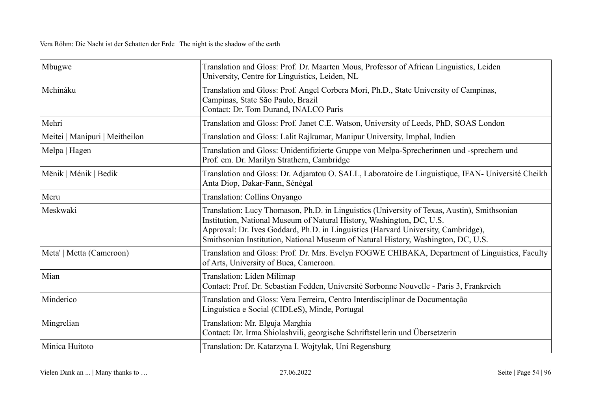| Mbugwe                         | Translation and Gloss: Prof. Dr. Maarten Mous, Professor of African Linguistics, Leiden<br>University, Centre for Linguistics, Leiden, NL                                                                                                                                                                                                      |
|--------------------------------|------------------------------------------------------------------------------------------------------------------------------------------------------------------------------------------------------------------------------------------------------------------------------------------------------------------------------------------------|
| Mehináku                       | Translation and Gloss: Prof. Angel Corbera Mori, Ph.D., State University of Campinas,<br>Campinas, State São Paulo, Brazil<br>Contact: Dr. Tom Durand, INALCO Paris                                                                                                                                                                            |
| Mehri                          | Translation and Gloss: Prof. Janet C.E. Watson, University of Leeds, PhD, SOAS London                                                                                                                                                                                                                                                          |
| Meitei   Manipuri   Meitheilon | Translation and Gloss: Lalit Rajkumar, Manipur University, Imphal, Indien                                                                                                                                                                                                                                                                      |
| Melpa   Hagen                  | Translation and Gloss: Unidentifizierte Gruppe von Melpa-Sprecherinnen und -sprechern und<br>Prof. em. Dr. Marilyn Strathern, Cambridge                                                                                                                                                                                                        |
| Mënik   Ménik   Bedik          | Translation and Gloss: Dr. Adjaratou O. SALL, Laboratoire de Linguistique, IFAN- Université Cheikh<br>Anta Diop, Dakar-Fann, Sénégal                                                                                                                                                                                                           |
| Meru                           | Translation: Collins Onyango                                                                                                                                                                                                                                                                                                                   |
| Meskwaki                       | Translation: Lucy Thomason, Ph.D. in Linguistics (University of Texas, Austin), Smithsonian<br>Institution, National Museum of Natural History, Washington, DC, U.S.<br>Approval: Dr. Ives Goddard, Ph.D. in Linguistics (Harvard University, Cambridge),<br>Smithsonian Institution, National Museum of Natural History, Washington, DC, U.S. |
| Meta'   Metta (Cameroon)       | Translation and Gloss: Prof. Dr. Mrs. Evelyn FOGWE CHIBAKA, Department of Linguistics, Faculty<br>of Arts, University of Buea, Cameroon.                                                                                                                                                                                                       |
| Mian                           | Translation: Liden Milimap<br>Contact: Prof. Dr. Sebastian Fedden, Université Sorbonne Nouvelle - Paris 3, Frankreich                                                                                                                                                                                                                          |
| Minderico                      | Translation and Gloss: Vera Ferreira, Centro Interdisciplinar de Documentação<br>Linguística e Social (CIDLeS), Minde, Portugal                                                                                                                                                                                                                |
| Mingrelian                     | Translation: Mr. Elguja Marghia<br>Contact: Dr. Irma Shiolashvili, georgische Schriftstellerin und Übersetzerin                                                                                                                                                                                                                                |
| Minica Huitoto                 | Translation: Dr. Katarzyna I. Wojtylak, Uni Regensburg                                                                                                                                                                                                                                                                                         |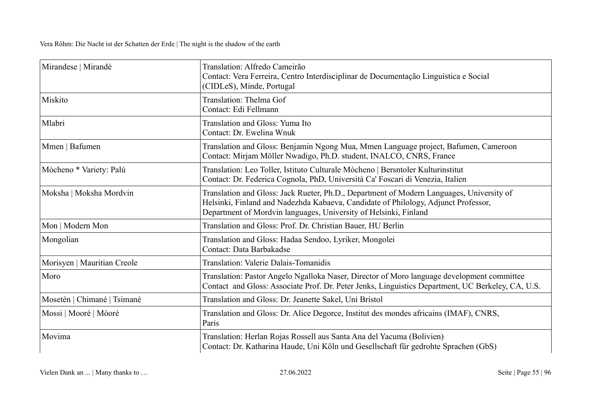| Mirandese   Mirandé         | Translation: Alfredo Cameirão<br>Contact: Vera Ferreira, Centro Interdisciplinar de Documentação Linguística e Social<br>(CIDLeS), Minde, Portugal                                                                                                 |
|-----------------------------|----------------------------------------------------------------------------------------------------------------------------------------------------------------------------------------------------------------------------------------------------|
| Miskito                     | Translation: Thelma Gof<br>Contact: Edi Fellmann                                                                                                                                                                                                   |
| Mlabri                      | Translation and Gloss: Yuma Ito<br>Contact: Dr. Ewelina Wnuk                                                                                                                                                                                       |
| Mmen   Bafumen              | Translation and Gloss: Benjamin Ngong Mua, Mmen Language project, Bafumen, Cameroon<br>Contact: Mirjam Möller Nwadigo, Ph.D. student, INALCO, CNRS, France                                                                                         |
| Mòcheno * Variety: Palú     | Translation: Leo Toller, Istituto Culturale Mòcheno   Bersntoler Kulturinstitut<br>Contact: Dr. Federica Cognola, PhD, Università Ca' Foscari di Venezia, Italien                                                                                  |
| Moksha   Moksha Mordvin     | Translation and Gloss: Jack Rueter, Ph.D., Department of Modern Languages, University of<br>Helsinki, Finland and Nadezhda Kabaeva, Candidate of Philology, Adjunct Professor,<br>Department of Mordvin languages, University of Helsinki, Finland |
| Mon   Modern Mon            | Translation and Gloss: Prof. Dr. Christian Bauer, HU Berlin                                                                                                                                                                                        |
| Mongolian                   | Translation and Gloss: Hadaa Sendoo, Lyriker, Mongolei<br>Contact: Data Barbakadse                                                                                                                                                                 |
| Morisyen   Mauritian Creole | Translation: Valerie Dalais-Tomanidis                                                                                                                                                                                                              |
| Moro                        | Translation: Pastor Angelo Ngalloka Naser, Director of Moro language development committee<br>Contact and Gloss: Associate Prof. Dr. Peter Jenks, Linguistics Department, UC Berkeley, CA, U.S.                                                    |
| Mosetén   Chimané   Tsimané | Translation and Gloss: Dr. Jeanette Sakel, Uni Bristol                                                                                                                                                                                             |
| Mossi   Mooré   Mòoré       | Translation and Gloss: Dr. Alice Degorce, Institut des mondes africains (IMAF), CNRS,<br>Paris                                                                                                                                                     |
| Movima                      | Translation: Herlan Rojas Rossell aus Santa Ana del Yacuma (Bolivien)<br>Contact: Dr. Katharina Haude, Uni Köln und Gesellschaft für gedrohte Sprachen (GbS)                                                                                       |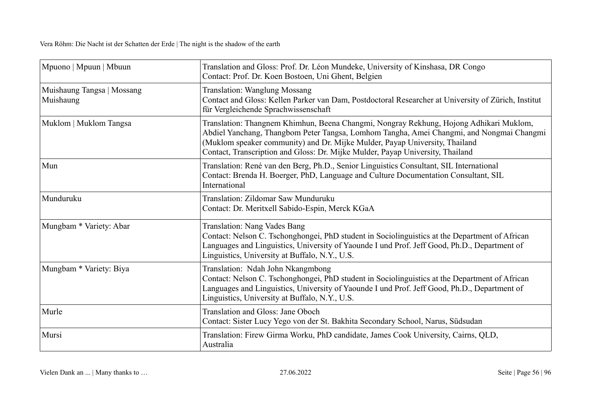| Mpuono   Mpuun   Mbuun                  | Translation and Gloss: Prof. Dr. Léon Mundeke, University of Kinshasa, DR Congo<br>Contact: Prof. Dr. Koen Bostoen, Uni Ghent, Belgien                                                                                                                                                                                                              |
|-----------------------------------------|-----------------------------------------------------------------------------------------------------------------------------------------------------------------------------------------------------------------------------------------------------------------------------------------------------------------------------------------------------|
| Muishaung Tangsa   Mossang<br>Muishaung | <b>Translation: Wanglung Mossang</b><br>Contact and Gloss: Kellen Parker van Dam, Postdoctoral Researcher at University of Zürich, Institut<br>für Vergleichende Sprachwissenschaft                                                                                                                                                                 |
| Muklom   Muklom Tangsa                  | Translation: Thangnem Khimhun, Beena Changmi, Nongray Rekhung, Hojong Adhikari Muklom,<br>Abdiel Yanchang, Thangbom Peter Tangsa, Lomhom Tangha, Amei Changmi, and Nongmai Changmi<br>(Muklom speaker community) and Dr. Mijke Mulder, Payap University, Thailand<br>Contact, Transcription and Gloss: Dr. Mijke Mulder, Payap University, Thailand |
| Mun                                     | Translation: René van den Berg, Ph.D., Senior Linguistics Consultant, SIL International<br>Contact: Brenda H. Boerger, PhD, Language and Culture Documentation Consultant, SIL<br>International                                                                                                                                                     |
| Munduruku                               | Translation: Zildomar Saw Munduruku<br>Contact: Dr. Meritxell Sabido-Espin, Merck KGaA                                                                                                                                                                                                                                                              |
| Mungbam * Variety: Abar                 | Translation: Nang Vades Bang<br>Contact: Nelson C. Tschonghongei, PhD student in Sociolinguistics at the Department of African<br>Languages and Linguistics, University of Yaounde I und Prof. Jeff Good, Ph.D., Department of<br>Linguistics, University at Buffalo, N.Y., U.S.                                                                    |
| Mungbam * Variety: Biya                 | Translation: Ndah John Nkangmbong<br>Contact: Nelson C. Tschonghongei, PhD student in Sociolinguistics at the Department of African<br>Languages and Linguistics, University of Yaounde I und Prof. Jeff Good, Ph.D., Department of<br>Linguistics, University at Buffalo, N.Y., U.S.                                                               |
| Murle                                   | Translation and Gloss: Jane Oboch<br>Contact: Sister Lucy Yego von der St. Bakhita Secondary School, Narus, Südsudan                                                                                                                                                                                                                                |
| Mursi                                   | Translation: Firew Girma Worku, PhD candidate, James Cook University, Cairns, QLD,<br>Australia                                                                                                                                                                                                                                                     |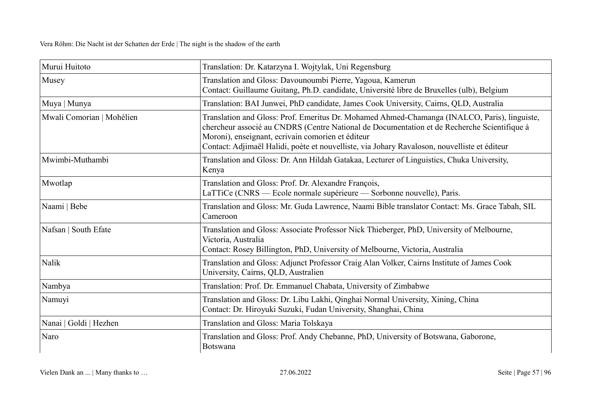| Murui Huitoto             | Translation: Dr. Katarzyna I. Wojtylak, Uni Regensburg                                                                                                                                                                                                                                                                                           |
|---------------------------|--------------------------------------------------------------------------------------------------------------------------------------------------------------------------------------------------------------------------------------------------------------------------------------------------------------------------------------------------|
| Musey                     | Translation and Gloss: Davounoumbi Pierre, Yagoua, Kamerun<br>Contact: Guillaume Guitang, Ph.D. candidate, Université libre de Bruxelles (ulb), Belgium                                                                                                                                                                                          |
| Muya   Munya              | Translation: BAI Junwei, PhD candidate, James Cook University, Cairns, QLD, Australia                                                                                                                                                                                                                                                            |
| Mwali Comorian   Mohélien | Translation and Gloss: Prof. Emeritus Dr. Mohamed Ahmed-Chamanga (INALCO, Paris), linguiste,<br>chercheur associé au CNDRS (Centre National de Documentation et de Recherche Scientifique à<br>Moroni), enseignant, ecrivain comorien et éditeur<br>Contact: Adjimaël Halidi, poète et nouvelliste, via Johary Ravaloson, nouvelliste et éditeur |
| Mwimbi-Muthambi           | Translation and Gloss: Dr. Ann Hildah Gatakaa, Lecturer of Linguistics, Chuka University,<br>Kenya                                                                                                                                                                                                                                               |
| Mwotlap                   | Translation and Gloss: Prof. Dr. Alexandre François,<br>LaTTiCe (CNRS — Ecole normale supérieure — Sorbonne nouvelle), Paris.                                                                                                                                                                                                                    |
| Naami   Bebe              | Translation and Gloss: Mr. Guda Lawrence, Naami Bible translator Contact: Ms. Grace Tabah, SIL<br>Cameroon                                                                                                                                                                                                                                       |
| Nafsan   South Efate      | Translation and Gloss: Associate Professor Nick Thieberger, PhD, University of Melbourne,<br>Victoria, Australia<br>Contact: Rosey Billington, PhD, University of Melbourne, Victoria, Australia                                                                                                                                                 |
| Nalik                     | Translation and Gloss: Adjunct Professor Craig Alan Volker, Cairns Institute of James Cook<br>University, Cairns, QLD, Australien                                                                                                                                                                                                                |
| Nambya                    | Translation: Prof. Dr. Emmanuel Chabata, University of Zimbabwe                                                                                                                                                                                                                                                                                  |
| Namuyi                    | Translation and Gloss: Dr. Libu Lakhi, Qinghai Normal University, Xining, China<br>Contact: Dr. Hiroyuki Suzuki, Fudan University, Shanghai, China                                                                                                                                                                                               |
| Nanai   Goldi   Hezhen    | Translation and Gloss: Maria Tolskaya                                                                                                                                                                                                                                                                                                            |
| Naro                      | Translation and Gloss: Prof. Andy Chebanne, PhD, University of Botswana, Gaborone,<br>Botswana                                                                                                                                                                                                                                                   |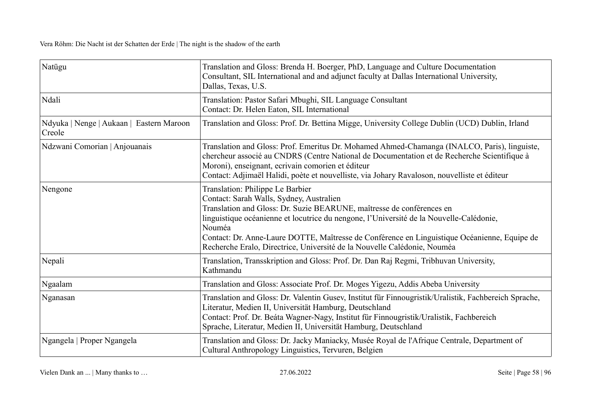| Natügu                                             | Translation and Gloss: Brenda H. Boerger, PhD, Language and Culture Documentation<br>Consultant, SIL International and and adjunct faculty at Dallas International University,<br>Dallas, Texas, U.S.                                                                                                                                                                                                                                  |
|----------------------------------------------------|----------------------------------------------------------------------------------------------------------------------------------------------------------------------------------------------------------------------------------------------------------------------------------------------------------------------------------------------------------------------------------------------------------------------------------------|
| Ndali                                              | Translation: Pastor Safari Mbughi, SIL Language Consultant<br>Contact: Dr. Helen Eaton, SIL International                                                                                                                                                                                                                                                                                                                              |
| Ndyuka   Nenge   Aukaan   Eastern Maroon<br>Creole | Translation and Gloss: Prof. Dr. Bettina Migge, University College Dublin (UCD) Dublin, Irland                                                                                                                                                                                                                                                                                                                                         |
| Ndzwani Comorian   Anjouanais                      | Translation and Gloss: Prof. Emeritus Dr. Mohamed Ahmed-Chamanga (INALCO, Paris), linguiste,<br>chercheur associé au CNDRS (Centre National de Documentation et de Recherche Scientifique à<br>Moroni), enseignant, ecrivain comorien et éditeur<br>Contact: Adjimaël Halidi, poète et nouvelliste, via Johary Ravaloson, nouvelliste et éditeur                                                                                       |
| Nengone                                            | Translation: Philippe Le Barbier<br>Contact: Sarah Walls, Sydney, Australien<br>Translation and Gloss: Dr. Suzie BEARUNE, maîtresse de conférences en<br>linguistique océanienne et locutrice du nengone, l'Université de la Nouvelle-Calédonie,<br>Nouméa<br>Contact: Dr. Anne-Laure DOTTE, Maîtresse de Conférence en Linguistique Océanienne, Equipe de<br>Recherche Eralo, Directrice, Université de la Nouvelle Calédonie, Nouméa |
| Nepali                                             | Translation, Transskription and Gloss: Prof. Dr. Dan Raj Regmi, Tribhuvan University,<br>Kathmandu                                                                                                                                                                                                                                                                                                                                     |
| Ngaalam                                            | Translation and Gloss: Associate Prof. Dr. Moges Yigezu, Addis Abeba University                                                                                                                                                                                                                                                                                                                                                        |
| Nganasan                                           | Translation and Gloss: Dr. Valentin Gusev, Institut für Finnougristik/Uralistik, Fachbereich Sprache,<br>Literatur, Medien II, Universität Hamburg, Deutschland<br>Contact: Prof. Dr. Beáta Wagner-Nagy, Institut für Finnougristik/Uralistik, Fachbereich<br>Sprache, Literatur, Medien II, Universität Hamburg, Deutschland                                                                                                          |
| Ngangela   Proper Ngangela                         | Translation and Gloss: Dr. Jacky Maniacky, Musée Royal de l'Afrique Centrale, Department of<br>Cultural Anthropology Linguistics, Tervuren, Belgien                                                                                                                                                                                                                                                                                    |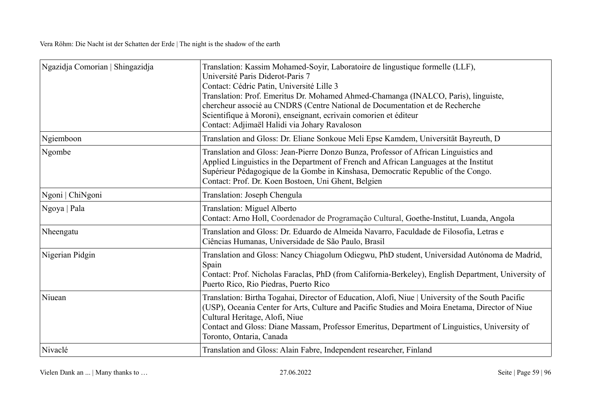| Ngazidja Comorian   Shingazidja | Translation: Kassim Mohamed-Soyir, Laboratoire de lingustique formelle (LLF),<br>Université Paris Diderot-Paris 7<br>Contact: Cédric Patin, Université Lille 3<br>Translation: Prof. Emeritus Dr. Mohamed Ahmed-Chamanga (INALCO, Paris), linguiste,<br>chercheur associé au CNDRS (Centre National de Documentation et de Recherche<br>Scientifique à Moroni), enseignant, ecrivain comorien et éditeur<br>Contact: Adjimaël Halidi via Johary Ravaloson |
|---------------------------------|-----------------------------------------------------------------------------------------------------------------------------------------------------------------------------------------------------------------------------------------------------------------------------------------------------------------------------------------------------------------------------------------------------------------------------------------------------------|
| Ngiemboon                       | Translation and Gloss: Dr. Eliane Sonkoue Meli Epse Kamdem, Universität Bayreuth, D                                                                                                                                                                                                                                                                                                                                                                       |
| Ngombe                          | Translation and Gloss: Jean-Pierre Donzo Bunza, Professor of African Linguistics and<br>Applied Linguistics in the Department of French and African Languages at the Institut<br>Supérieur Pédagogique de la Gombe in Kinshasa, Democratic Republic of the Congo.<br>Contact: Prof. Dr. Koen Bostoen, Uni Ghent, Belgien                                                                                                                                  |
| Ngoni   ChiNgoni                | Translation: Joseph Chengula                                                                                                                                                                                                                                                                                                                                                                                                                              |
| Ngoya   Pala                    | Translation: Miguel Alberto<br>Contact: Arno Holl, Coordenador de Programação Cultural, Goethe-Institut, Luanda, Angola                                                                                                                                                                                                                                                                                                                                   |
| Nheengatu                       | Translation and Gloss: Dr. Eduardo de Almeida Navarro, Faculdade de Filosofia, Letras e<br>Ciências Humanas, Universidade de São Paulo, Brasil                                                                                                                                                                                                                                                                                                            |
| Nigerian Pidgin                 | Translation and Gloss: Nancy Chiagolum Odiegwu, PhD student, Universidad Autónoma de Madrid,<br>Spain<br>Contact: Prof. Nicholas Faraclas, PhD (from California-Berkeley), English Department, University of<br>Puerto Rico, Rio Piedras, Puerto Rico                                                                                                                                                                                                     |
| Niuean                          | Translation: Birtha Togahai, Director of Education, Alofi, Niue   University of the South Pacific<br>(USP), Oceania Center for Arts, Culture and Pacific Studies and Moira Enetama, Director of Niue<br>Cultural Heritage, Alofi, Niue<br>Contact and Gloss: Diane Massam, Professor Emeritus, Department of Linguistics, University of<br>Toronto, Ontaria, Canada                                                                                       |
| Nivaclé                         | Translation and Gloss: Alain Fabre, Independent researcher, Finland                                                                                                                                                                                                                                                                                                                                                                                       |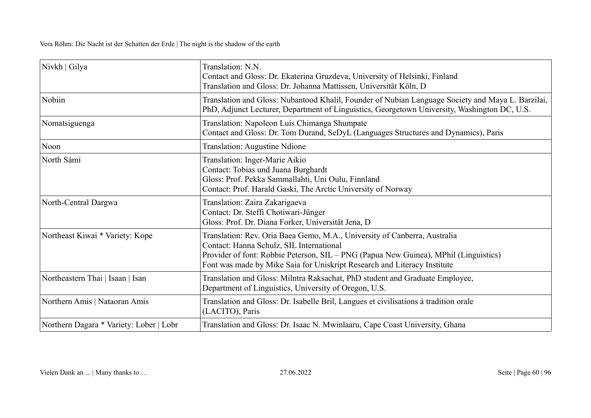| Nivkh   Gilya                           | Translation: N.N.<br>Contact and Gloss: Dr. Ekaterina Gruzdeva, University of Helsinki, Finland<br>Translation and Gloss: Dr. Johanna Mattissen, Universität Köln, D                                                                                                                      |
|-----------------------------------------|-------------------------------------------------------------------------------------------------------------------------------------------------------------------------------------------------------------------------------------------------------------------------------------------|
| Nobiin                                  | Translation and Gloss: Nubantood Khalil, Founder of Nubian Language Society and Maya L. Barzilai,<br>PhD, Adjunct Lecturer, Department of Linguistics, Georgetown University, Washington DC, U.S.                                                                                         |
| Nomatsiguenga                           | Translation: Napoleon Luis Chimanga Shumpate<br>Contact and Gloss: Dr. Tom Durand, SeDyL (Languages Structures and Dynamics), Paris                                                                                                                                                       |
| Noon                                    | Translation: Augustine Ndione                                                                                                                                                                                                                                                             |
| North Sámi                              | Translation: Inger-Marie Aikio<br>Contact: Tobias und Juana Burghardt<br>Gloss: Prof. Pekka Sammallahti, Uni Oulu, Finnland<br>Contact: Prof. Harald Gaski, The Arctic University of Norway                                                                                               |
| North-Central Dargwa                    | Translation: Zaira Zakarigaeva<br>Contact: Dr. Steffi Chotiwari-Jünger<br>Gloss: Prof. Dr. Diana Forker, Universität Jena, D                                                                                                                                                              |
| Northeast Kiwai * Variety: Kope         | Translation: Rev. Oria Baea Gemo, M.A., University of Canberra, Australia<br>Contact: Hanna Schulz, SIL International<br>Provider of font: Robbie Peterson, SIL – PNG (Papua New Guinea), MPhil (Linguistics)<br>Font was made by Mike Saia for Uniskript Research and Literacy Institute |
| Northeastern Thai   Isaan   Isan        | Translation and Gloss: Milntra Raksachat, PhD student and Graduate Employee,<br>Department of Linguistics, University of Oregon, U.S.                                                                                                                                                     |
| Northern Amis   Nataoran Amis           | Translation and Gloss: Dr. Isabelle Bril, Langues et civilisations à tradition orale<br>(LACITO), Paris                                                                                                                                                                                   |
| Northern Dagara * Variety: Lober   Lobr | Translation and Gloss: Dr. Isaac N. Mwinlaaru, Cape Coast University, Ghana                                                                                                                                                                                                               |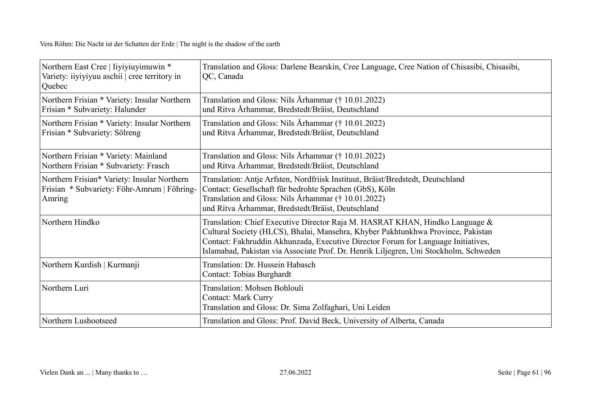| Northern East Cree   Iiyiyiuyimuwin *<br>Variety: iiyiyiyuu aschii   cree territory in<br>Quebec     | Translation and Gloss: Darlene Bearskin, Cree Language, Cree Nation of Chisasibi, Chisasibi,<br>QC, Canada                                                                                                                                                                                                                                     |
|------------------------------------------------------------------------------------------------------|------------------------------------------------------------------------------------------------------------------------------------------------------------------------------------------------------------------------------------------------------------------------------------------------------------------------------------------------|
| Northern Frisian * Variety: Insular Northern<br>Frisian * Subvariety: Halunder                       | Translation and Gloss: Nils Århammar († 10.01.2022)<br>und Ritva Århammar, Bredstedt/Bräist, Deutschland                                                                                                                                                                                                                                       |
| Northern Frisian * Variety: Insular Northern<br>Frisian * Subvariety: Sölreng                        | Translation and Gloss: Nils Århammar († 10.01.2022)<br>und Ritva Århammar, Bredstedt/Bräist, Deutschland                                                                                                                                                                                                                                       |
| Northern Frisian * Variety: Mainland<br>Northern Frisian * Subvariety: Frasch                        | Translation and Gloss: Nils Århammar († 10.01.2022)<br>und Ritva Århammar, Bredstedt/Bräist, Deutschland                                                                                                                                                                                                                                       |
| Northern Frisian* Variety: Insular Northern<br>Frisian * Subvariety: Föhr-Amrum   Föhring-<br>Amring | Translation: Antje Arfsten, Nordfriisk Instituut, Bräist/Bredstedt, Deutschland<br>Contact: Gesellschaft für bedrohte Sprachen (GbS), Köln<br>Translation and Gloss: Nils Århammar († 10.01.2022)<br>und Ritva Århammar, Bredstedt/Bräist, Deutschland                                                                                         |
| Northern Hindko                                                                                      | Translation: Chief Executive Director Raja M. HASRAT KHAN, Hindko Language &<br>Cultural Society (HLCS), Bhalai, Mansehra, Khyber Pakhtunkhwa Province, Pakistan<br>Contact: Fakhruddin Akhunzada, Executive Director Forum for Language Initiatives,<br>Islamabad, Pakistan via Associate Prof. Dr. Henrik Liljegren, Uni Stockholm, Schweden |
| Northern Kurdish   Kurmanji                                                                          | Translation: Dr. Hussein Habasch<br>Contact: Tobias Burghardt                                                                                                                                                                                                                                                                                  |
| Northern Luri                                                                                        | Translation: Mohsen Bohlouli<br><b>Contact: Mark Curry</b><br>Translation and Gloss: Dr. Sima Zolfaghari, Uni Leiden                                                                                                                                                                                                                           |
| Northern Lushootseed                                                                                 | Translation and Gloss: Prof. David Beck, University of Alberta, Canada                                                                                                                                                                                                                                                                         |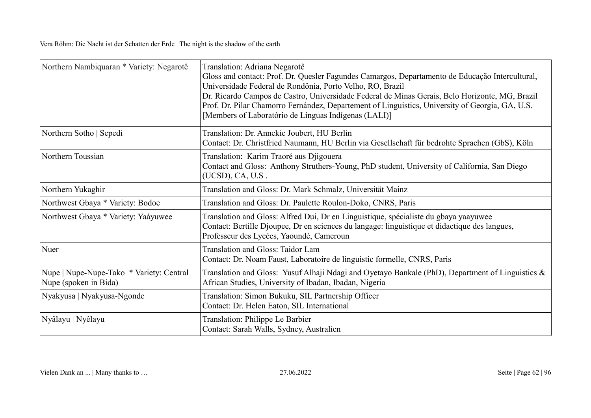| Northern Nambiquaran * Variety: Negarotê                          | Translation: Adriana Negarotê<br>Gloss and contact: Prof. Dr. Quesler Fagundes Camargos, Departamento de Educação Intercultural,<br>Universidade Federal de Rondônia, Porto Velho, RO, Brazil<br>Dr. Ricardo Campos de Castro, Universidade Federal de Minas Gerais, Belo Horizonte, MG, Brazil<br>Prof. Dr. Pilar Chamorro Fernández, Departement of Linguistics, University of Georgia, GA, U.S.<br>[Members of Laboratório de Línguas Indígenas (LALI)] |
|-------------------------------------------------------------------|------------------------------------------------------------------------------------------------------------------------------------------------------------------------------------------------------------------------------------------------------------------------------------------------------------------------------------------------------------------------------------------------------------------------------------------------------------|
| Northern Sotho   Sepedi                                           | Translation: Dr. Annekie Joubert, HU Berlin<br>Contact: Dr. Christfried Naumann, HU Berlin via Gesellschaft für bedrohte Sprachen (GbS), Köln                                                                                                                                                                                                                                                                                                              |
| Northern Toussian                                                 | Translation: Karim Traoré aus Djigouera<br>Contact and Gloss: Anthony Struthers-Young, PhD student, University of California, San Diego<br>$(UCSD)$ , CA, U.S.                                                                                                                                                                                                                                                                                             |
| Northern Yukaghir                                                 | Translation and Gloss: Dr. Mark Schmalz, Universität Mainz                                                                                                                                                                                                                                                                                                                                                                                                 |
| Northwest Gbaya * Variety: Bodoe                                  | Translation and Gloss: Dr. Paulette Roulon-Doko, CNRS, Paris                                                                                                                                                                                                                                                                                                                                                                                               |
| Northwest Gbaya * Variety: Yaáyuwee                               | Translation and Gloss: Alfred Dui, Dr en Linguistique, spécialiste du gbaya yaayuwee<br>Contact: Bertille Djoupee, Dr en sciences du langage: linguistique et didactique des langues,<br>Professeur des Lycées, Yaoundé, Cameroun                                                                                                                                                                                                                          |
| Nuer                                                              | Translation and Gloss: Taidor Lam<br>Contact: Dr. Noam Faust, Laboratoire de linguistic formelle, CNRS, Paris                                                                                                                                                                                                                                                                                                                                              |
| Nupe   Nupe-Nupe-Tako * Variety: Central<br>Nupe (spoken in Bida) | Translation and Gloss: Yusuf Alhaji Ndagi and Oyetayo Bankale (PhD), Department of Linguistics &<br>African Studies, University of Ibadan, Ibadan, Nigeria                                                                                                                                                                                                                                                                                                 |
| Nyakyusa   Nyakyusa-Ngonde                                        | Translation: Simon Bukuku, SIL Partnership Officer<br>Contact: Dr. Helen Eaton, SIL International                                                                                                                                                                                                                                                                                                                                                          |
| Nyâlayu   Nyêlayu                                                 | Translation: Philippe Le Barbier<br>Contact: Sarah Walls, Sydney, Australien                                                                                                                                                                                                                                                                                                                                                                               |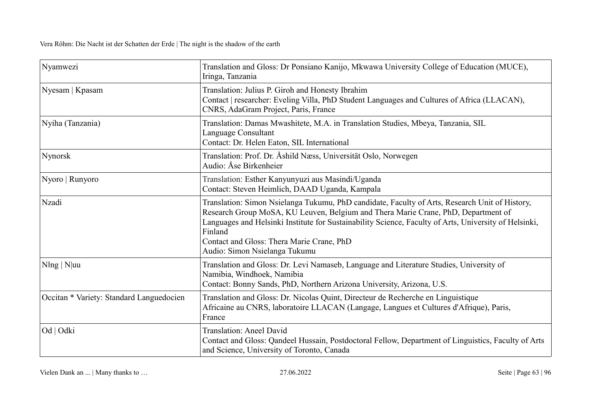| Nyamwezi                                 | Translation and Gloss: Dr Ponsiano Kanijo, Mkwawa University College of Education (MUCE),<br>Iringa, Tanzania                                                                                                                                                                                                                                                                         |
|------------------------------------------|---------------------------------------------------------------------------------------------------------------------------------------------------------------------------------------------------------------------------------------------------------------------------------------------------------------------------------------------------------------------------------------|
| Nyesam   Kpasam                          | Translation: Julius P. Giroh and Honesty Ibrahim<br>Contact   researcher: Eveling Villa, PhD Student Languages and Cultures of Africa (LLACAN),<br>CNRS, AdaGram Project, Paris, France                                                                                                                                                                                               |
| Nyiha (Tanzania)                         | Translation: Damas Mwashitete, M.A. in Translation Studies, Mbeya, Tanzania, SIL<br>Language Consultant<br>Contact: Dr. Helen Eaton, SIL International                                                                                                                                                                                                                                |
| Nynorsk                                  | Translation: Prof. Dr. Åshild Næss, Universität Oslo, Norwegen<br>Audio: Åse Birkenheier                                                                                                                                                                                                                                                                                              |
| Nyoro   Runyoro                          | Translation: Esther Kanyunyuzi aus Masindi/Uganda<br>Contact: Steven Heimlich, DAAD Uganda, Kampala                                                                                                                                                                                                                                                                                   |
| Nzadi                                    | Translation: Simon Nsielanga Tukumu, PhD candidate, Faculty of Arts, Research Unit of History,<br>Research Group MoSA, KU Leuven, Belgium and Thera Marie Crane, PhD, Department of<br>Languages and Helsinki Institute for Sustainability Science, Faculty of Arts, University of Helsinki,<br>Finland<br>Contact and Gloss: Thera Marie Crane, PhD<br>Audio: Simon Nsielanga Tukumu |
| $N\ln g \mid N\ln u$                     | Translation and Gloss: Dr. Levi Namaseb, Language and Literature Studies, University of<br>Namibia, Windhoek, Namibia<br>Contact: Bonny Sands, PhD, Northern Arizona University, Arizona, U.S.                                                                                                                                                                                        |
| Occitan * Variety: Standard Languedocien | Translation and Gloss: Dr. Nicolas Quint, Directeur de Recherche en Linguistique<br>Africaine au CNRS, laboratoire LLACAN (Langage, Langues et Cultures d'Afrique), Paris,<br>France                                                                                                                                                                                                  |
| Od   Odki                                | <b>Translation: Aneel David</b><br>Contact and Gloss: Qandeel Hussain, Postdoctoral Fellow, Department of Linguistics, Faculty of Arts<br>and Science, University of Toronto, Canada                                                                                                                                                                                                  |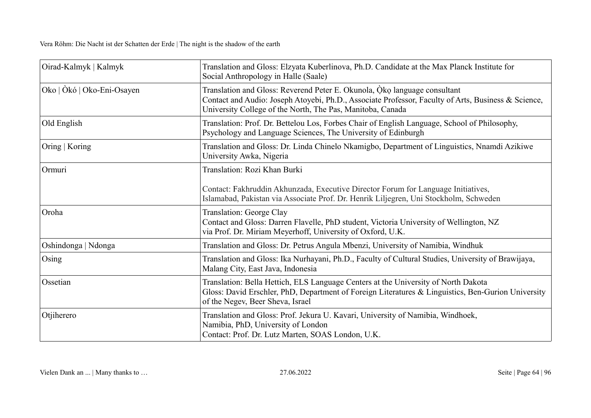| Oirad-Kalmyk   Kalmyk      | Translation and Gloss: Elzyata Kuberlinova, Ph.D. Candidate at the Max Planck Institute for<br>Social Anthropology in Halle (Saale)                                                                                                            |
|----------------------------|------------------------------------------------------------------------------------------------------------------------------------------------------------------------------------------------------------------------------------------------|
| Oko   Òkó   Oko-Eni-Osayen | Translation and Gloss: Reverend Peter E. Okunola, Oko language consultant<br>Contact and Audio: Joseph Atoyebi, Ph.D., Associate Professor, Faculty of Arts, Business & Science,<br>University College of the North, The Pas, Manitoba, Canada |
| Old English                | Translation: Prof. Dr. Bettelou Los, Forbes Chair of English Language, School of Philosophy,<br>Psychology and Language Sciences, The University of Edinburgh                                                                                  |
| Oring   Koring             | Translation and Gloss: Dr. Linda Chinelo Nkamigbo, Department of Linguistics, Nnamdi Azikiwe<br>University Awka, Nigeria                                                                                                                       |
| Ormuri                     | Translation: Rozi Khan Burki<br>Contact: Fakhruddin Akhunzada, Executive Director Forum for Language Initiatives,<br>Islamabad, Pakistan via Associate Prof. Dr. Henrik Liljegren, Uni Stockholm, Schweden                                     |
| Oroha                      | Translation: George Clay<br>Contact and Gloss: Darren Flavelle, PhD student, Victoria University of Wellington, NZ<br>via Prof. Dr. Miriam Meyerhoff, University of Oxford, U.K.                                                               |
| Oshindonga   Ndonga        | Translation and Gloss: Dr. Petrus Angula Mbenzi, University of Namibia, Windhuk                                                                                                                                                                |
| Osing                      | Translation and Gloss: Ika Nurhayani, Ph.D., Faculty of Cultural Studies, University of Brawijaya,<br>Malang City, East Java, Indonesia                                                                                                        |
| Ossetian                   | Translation: Bella Hettich, ELS Language Centers at the University of North Dakota<br>Gloss: David Erschler, PhD, Department of Foreign Literatures & Linguistics, Ben-Gurion University<br>of the Negev, Beer Sheva, Israel                   |
| Otjiherero                 | Translation and Gloss: Prof. Jekura U. Kavari, University of Namibia, Windhoek,<br>Namibia, PhD, University of London<br>Contact: Prof. Dr. Lutz Marten, SOAS London, U.K.                                                                     |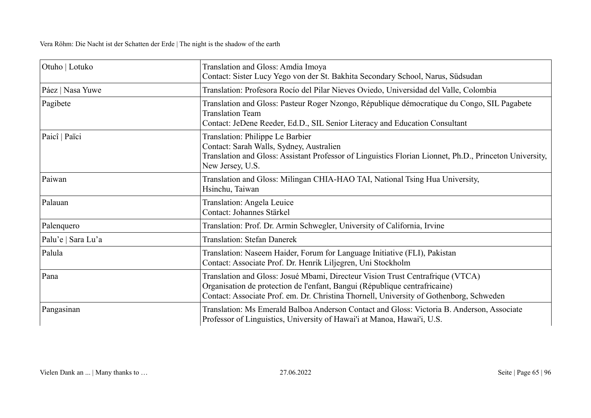| Otuho   Lotuko     | Translation and Gloss: Amdia Imoya<br>Contact: Sister Lucy Yego von der St. Bakhita Secondary School, Narus, Südsudan                                                                                                                                   |
|--------------------|---------------------------------------------------------------------------------------------------------------------------------------------------------------------------------------------------------------------------------------------------------|
| Páez   Nasa Yuwe   | Translation: Profesora Rocío del Pilar Nieves Oviedo, Universidad del Valle, Colombia                                                                                                                                                                   |
| Pagibete           | Translation and Gloss: Pasteur Roger Nzongo, République démocratique du Congo, SIL Pagabete<br><b>Translation Team</b><br>Contact: JeDene Reeder, Ed.D., SIL Senior Literacy and Education Consultant                                                   |
| Paicî   Païci      | Translation: Philippe Le Barbier<br>Contact: Sarah Walls, Sydney, Australien<br>Translation and Gloss: Assistant Professor of Linguistics Florian Lionnet, Ph.D., Princeton University,<br>New Jersey, U.S.                                             |
| Paiwan             | Translation and Gloss: Milingan CHIA-HAO TAI, National Tsing Hua University,<br>Hsinchu, Taiwan                                                                                                                                                         |
| Palauan            | Translation: Angela Leuice<br>Contact: Johannes Stärkel                                                                                                                                                                                                 |
| Palenquero         | Translation: Prof. Dr. Armin Schwegler, University of California, Irvine                                                                                                                                                                                |
| Palu'e   Sara Lu'a | <b>Translation: Stefan Danerek</b>                                                                                                                                                                                                                      |
| Palula             | Translation: Naseem Haider, Forum for Language Initiative (FLI), Pakistan<br>Contact: Associate Prof. Dr. Henrik Liljegren, Uni Stockholm                                                                                                               |
| Pana               | Translation and Gloss: Josué Mbami, Directeur Vision Trust Centrafrique (VTCA)<br>Organisation de protection de l'enfant, Bangui (République centrafricaine)<br>Contact: Associate Prof. em. Dr. Christina Thornell, University of Gothenborg, Schweden |
| Pangasinan         | Translation: Ms Emerald Balboa Anderson Contact and Gloss: Victoria B. Anderson, Associate<br>Professor of Linguistics, University of Hawai'i at Manoa, Hawai'i, U.S.                                                                                   |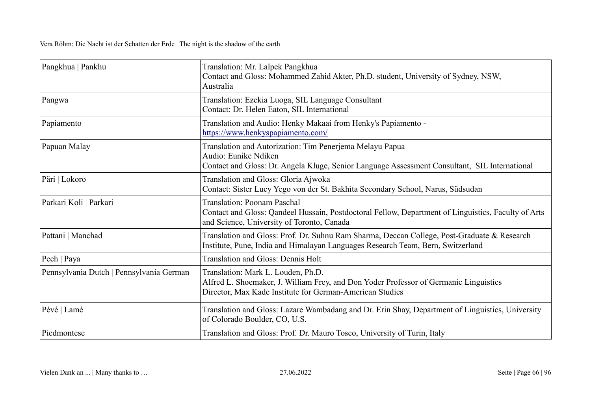| Pangkhua   Pankhu                        | Translation: Mr. Lalpek Pangkhua<br>Contact and Gloss: Mohammed Zahid Akter, Ph.D. student, University of Sydney, NSW,<br>Australia                                                     |
|------------------------------------------|-----------------------------------------------------------------------------------------------------------------------------------------------------------------------------------------|
| Pangwa                                   | Translation: Ezekia Luoga, SIL Language Consultant<br>Contact: Dr. Helen Eaton, SIL International                                                                                       |
| Papiamento                               | Translation and Audio: Henky Makaai from Henky's Papiamento -<br>https://www.henkyspapiamento.com/                                                                                      |
| Papuan Malay                             | Translation and Autorization: Tim Penerjema Melayu Papua<br>Audio: Eunike Ndiken<br>Contact and Gloss: Dr. Angela Kluge, Senior Language Assessment Consultant, SIL International       |
| Päri   Lokoro                            | Translation and Gloss: Gloria Ajwoka<br>Contact: Sister Lucy Yego von der St. Bakhita Secondary School, Narus, Südsudan                                                                 |
| Parkari Koli   Parkari                   | <b>Translation: Poonam Paschal</b><br>Contact and Gloss: Qandeel Hussain, Postdoctoral Fellow, Department of Linguistics, Faculty of Arts<br>and Science, University of Toronto, Canada |
| Pattani   Manchad                        | Translation and Gloss: Prof. Dr. Suhnu Ram Sharma, Deccan College, Post-Graduate & Research<br>Institute, Pune, India and Himalayan Languages Research Team, Bern, Switzerland          |
| Pech   Paya                              | <b>Translation and Gloss: Dennis Holt</b>                                                                                                                                               |
| Pennsylvania Dutch   Pennsylvania German | Translation: Mark L. Louden, Ph.D.<br>Alfred L. Shoemaker, J. William Frey, and Don Yoder Professor of Germanic Linguistics<br>Director, Max Kade Institute for German-American Studies |
| Pévé   Lamé                              | Translation and Gloss: Lazare Wambadang and Dr. Erin Shay, Department of Linguistics, University<br>of Colorado Boulder, CO, U.S.                                                       |
| Piedmontese                              | Translation and Gloss: Prof. Dr. Mauro Tosco, University of Turin, Italy                                                                                                                |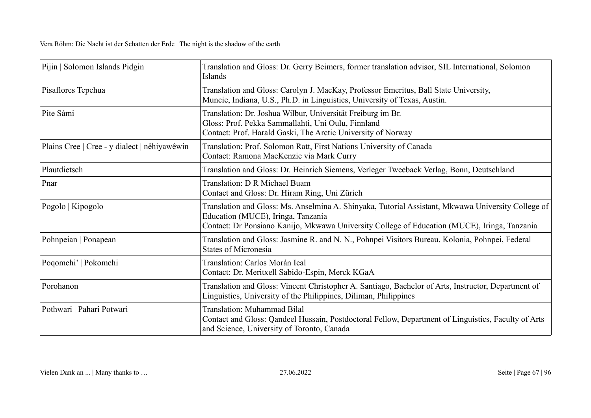| Pijin   Solomon Islands Pidgin               | Translation and Gloss: Dr. Gerry Beimers, former translation advisor, SIL International, Solomon<br>Islands                                                                                                                              |
|----------------------------------------------|------------------------------------------------------------------------------------------------------------------------------------------------------------------------------------------------------------------------------------------|
| Pisaflores Tepehua                           | Translation and Gloss: Carolyn J. MacKay, Professor Emeritus, Ball State University,<br>Muncie, Indiana, U.S., Ph.D. in Linguistics, University of Texas, Austin.                                                                        |
| Pite Sámi                                    | Translation: Dr. Joshua Wilbur, Universität Freiburg im Br.<br>Gloss: Prof. Pekka Sammallahti, Uni Oulu, Finnland<br>Contact: Prof. Harald Gaski, The Arctic University of Norway                                                        |
| Plains Cree   Cree - y dialect   nêhiyawêwin | Translation: Prof. Solomon Ratt, First Nations University of Canada<br>Contact: Ramona MacKenzie via Mark Curry                                                                                                                          |
| Plautdietsch                                 | Translation and Gloss: Dr. Heinrich Siemens, Verleger Tweeback Verlag, Bonn, Deutschland                                                                                                                                                 |
| Pnar                                         | Translation: D R Michael Buam<br>Contact and Gloss: Dr. Hiram Ring, Uni Zürich                                                                                                                                                           |
| Pogolo   Kipogolo                            | Translation and Gloss: Ms. Anselmina A. Shinyaka, Tutorial Assistant, Mkwawa University College of<br>Education (MUCE), Iringa, Tanzania<br>Contact: Dr Ponsiano Kanijo, Mkwawa University College of Education (MUCE), Iringa, Tanzania |
| Pohnpeian   Ponapean                         | Translation and Gloss: Jasmine R. and N. N., Pohnpei Visitors Bureau, Kolonia, Pohnpei, Federal<br><b>States of Micronesia</b>                                                                                                           |
| Poqomchi'   Pokomchi                         | Translation: Carlos Morán Ical<br>Contact: Dr. Meritxell Sabido-Espin, Merck KGaA                                                                                                                                                        |
| Porohanon                                    | Translation and Gloss: Vincent Christopher A. Santiago, Bachelor of Arts, Instructor, Department of<br>Linguistics, University of the Philippines, Diliman, Philippines                                                                  |
| Pothwari   Pahari Potwari                    | <b>Translation: Muhammad Bilal</b><br>Contact and Gloss: Qandeel Hussain, Postdoctoral Fellow, Department of Linguistics, Faculty of Arts<br>and Science, University of Toronto, Canada                                                  |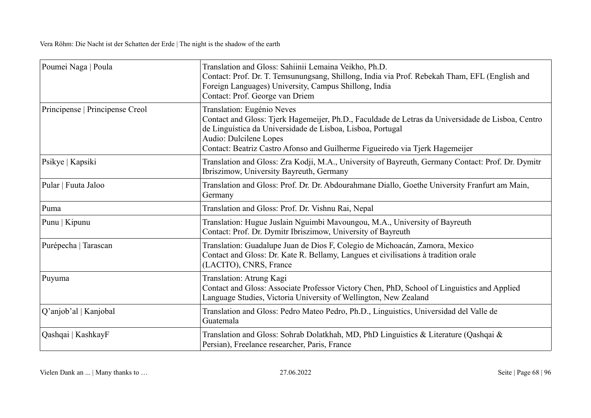| Poumei Naga   Poula             | Translation and Gloss: Sahiinii Lemaina Veikho, Ph.D.<br>Contact: Prof. Dr. T. Temsunungsang, Shillong, India via Prof. Rebekah Tham, EFL (English and<br>Foreign Languages) University, Campus Shillong, India<br>Contact: Prof. George van Driem                                                      |
|---------------------------------|---------------------------------------------------------------------------------------------------------------------------------------------------------------------------------------------------------------------------------------------------------------------------------------------------------|
| Principense   Principense Creol | Translation: Eugénio Neves<br>Contact and Gloss: Tjerk Hagemeijer, Ph.D., Faculdade de Letras da Universidade de Lisboa, Centro<br>de Linguística da Universidade de Lisboa, Lisboa, Portugal<br>Audio: Dulcilene Lopes<br>Contact: Beatriz Castro Afonso and Guilherme Figueiredo via Tjerk Hagemeijer |
| Psikye   Kapsiki                | Translation and Gloss: Zra Kodji, M.A., University of Bayreuth, Germany Contact: Prof. Dr. Dymitr<br>Ibriszimow, University Bayreuth, Germany                                                                                                                                                           |
| Pular   Fuuta Jaloo             | Translation and Gloss: Prof. Dr. Dr. Abdourahmane Diallo, Goethe University Franfurt am Main,<br>Germany                                                                                                                                                                                                |
| Puma                            | Translation and Gloss: Prof. Dr. Vishnu Rai, Nepal                                                                                                                                                                                                                                                      |
| Punu   Kipunu                   | Translation: Hugue Juslain Nguimbi Mavoungou, M.A., University of Bayreuth<br>Contact: Prof. Dr. Dymitr Ibriszimow, University of Bayreuth                                                                                                                                                              |
| Purépecha   Tarascan            | Translation: Guadalupe Juan de Dios F, Colegio de Michoacán, Zamora, Mexico<br>Contact and Gloss: Dr. Kate R. Bellamy, Langues et civilisations à tradition orale<br>(LACITO), CNRS, France                                                                                                             |
| Puyuma                          | Translation: Atrung Kagi<br>Contact and Gloss: Associate Professor Victory Chen, PhD, School of Linguistics and Applied<br>Language Studies, Victoria University of Wellington, New Zealand                                                                                                             |
| Q'anjob'al   Kanjobal           | Translation and Gloss: Pedro Mateo Pedro, Ph.D., Linguistics, Universidad del Valle de<br>Guatemala                                                                                                                                                                                                     |
| Qashqai   KashkayF              | Translation and Gloss: Sohrab Dolatkhah, MD, PhD Linguistics & Literature (Qashqai &<br>Persian), Freelance researcher, Paris, France                                                                                                                                                                   |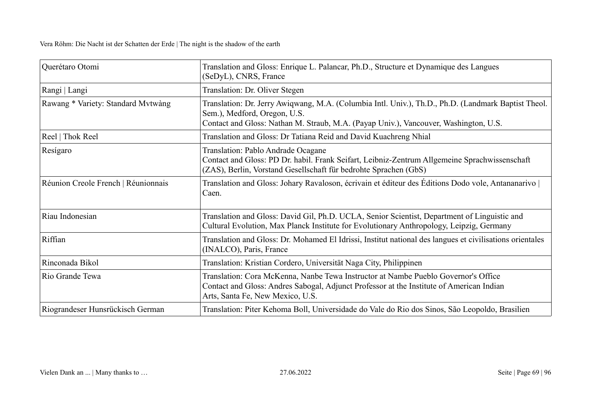| Querétaro Otomi                     | Translation and Gloss: Enrique L. Palancar, Ph.D., Structure et Dynamique des Langues<br>(SeDyL), CNRS, France                                                                                                              |
|-------------------------------------|-----------------------------------------------------------------------------------------------------------------------------------------------------------------------------------------------------------------------------|
| Rangi   Langi                       | Translation: Dr. Oliver Stegen                                                                                                                                                                                              |
| Rawang * Variety: Standard Mvtwàng  | Translation: Dr. Jerry Awiqwang, M.A. (Columbia Intl. Univ.), Th.D., Ph.D. (Landmark Baptist Theol.<br>Sem.), Medford, Oregon, U.S.<br>Contact and Gloss: Nathan M. Straub, M.A. (Payap Univ.), Vancouver, Washington, U.S. |
| Reel   Thok Reel                    | Translation and Gloss: Dr Tatiana Reid and David Kuachreng Nhial                                                                                                                                                            |
| Resígaro                            | Translation: Pablo Andrade Ocagane<br>Contact and Gloss: PD Dr. habil. Frank Seifart, Leibniz-Zentrum Allgemeine Sprachwissenschaft<br>(ZAS), Berlin, Vorstand Gesellschaft für bedrohte Sprachen (GbS)                     |
| Réunion Creole French   Réunionnais | Translation and Gloss: Johary Ravaloson, écrivain et éditeur des Éditions Dodo vole, Antananarivo  <br>Caen.                                                                                                                |
| Riau Indonesian                     | Translation and Gloss: David Gil, Ph.D. UCLA, Senior Scientist, Department of Linguistic and<br>Cultural Evolution, Max Planck Institute for Evolutionary Anthropology, Leipzig, Germany                                    |
| Riffian                             | Translation and Gloss: Dr. Mohamed El Idrissi, Institut national des langues et civilisations orientales<br>(INALCO), Paris, France                                                                                         |
| Rinconada Bikol                     | Translation: Kristian Cordero, Universität Naga City, Philippinen                                                                                                                                                           |
| Rio Grande Tewa                     | Translation: Cora McKenna, Nanbe Tewa Instructor at Nambe Pueblo Governor's Office<br>Contact and Gloss: Andres Sabogal, Adjunct Professor at the Institute of American Indian<br>Arts, Santa Fe, New Mexico, U.S.          |
| Riograndeser Hunsrückisch German    | Translation: Piter Kehoma Boll, Universidade do Vale do Rio dos Sinos, São Leopoldo, Brasilien                                                                                                                              |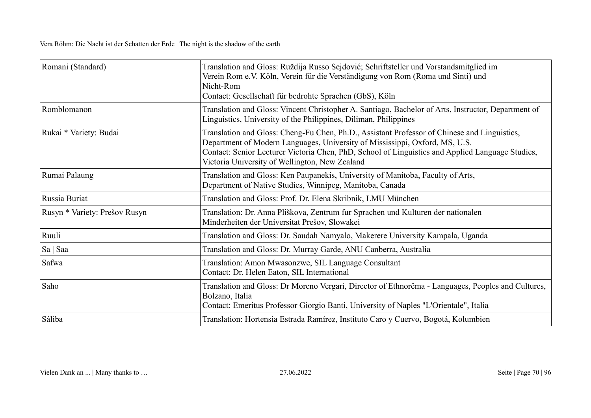| Romani (Standard)             | Translation and Gloss: Ruždija Russo Sejdović; Schriftsteller und Vorstandsmitglied im<br>Verein Rom e.V. Köln, Verein für die Verständigung von Rom (Roma und Sinti) und<br>Nicht-Rom<br>Contact: Gesellschaft für bedrohte Sprachen (GbS), Köln                                                                                 |
|-------------------------------|-----------------------------------------------------------------------------------------------------------------------------------------------------------------------------------------------------------------------------------------------------------------------------------------------------------------------------------|
| Romblomanon                   | Translation and Gloss: Vincent Christopher A. Santiago, Bachelor of Arts, Instructor, Department of<br>Linguistics, University of the Philippines, Diliman, Philippines                                                                                                                                                           |
| Rukai * Variety: Budai        | Translation and Gloss: Cheng-Fu Chen, Ph.D., Assistant Professor of Chinese and Linguistics,<br>Department of Modern Languages, University of Mississippi, Oxford, MS, U.S.<br>Contact: Senior Lecturer Victoria Chen, PhD, School of Linguistics and Applied Language Studies,<br>Victoria University of Wellington, New Zealand |
| Rumai Palaung                 | Translation and Gloss: Ken Paupanekis, University of Manitoba, Faculty of Arts,<br>Department of Native Studies, Winnipeg, Manitoba, Canada                                                                                                                                                                                       |
| Russia Buriat                 | Translation and Gloss: Prof. Dr. Elena Skribnik, LMU München                                                                                                                                                                                                                                                                      |
| Rusyn * Variety: Prešov Rusyn | Translation: Dr. Anna Pliškova, Zentrum fur Sprachen und Kulturen der nationalen<br>Minderheiten der Universitat Prešov, Slowakei                                                                                                                                                                                                 |
| Ruuli                         | Translation and Gloss: Dr. Saudah Namyalo, Makerere University Kampala, Uganda                                                                                                                                                                                                                                                    |
| Sa   Saa                      | Translation and Gloss: Dr. Murray Garde, ANU Canberra, Australia                                                                                                                                                                                                                                                                  |
| Safwa                         | Translation: Amon Mwasonzwe, SIL Language Consultant<br>Contact: Dr. Helen Eaton, SIL International                                                                                                                                                                                                                               |
| Saho                          | Translation and Gloss: Dr Moreno Vergari, Director of Ethnorêma - Languages, Peoples and Cultures,<br>Bolzano, Italia<br>Contact: Emeritus Professor Giorgio Banti, University of Naples "L'Orientale", Italia                                                                                                                    |
| Sáliba                        | Translation: Hortensia Estrada Ramírez, Instituto Caro y Cuervo, Bogotá, Kolumbien                                                                                                                                                                                                                                                |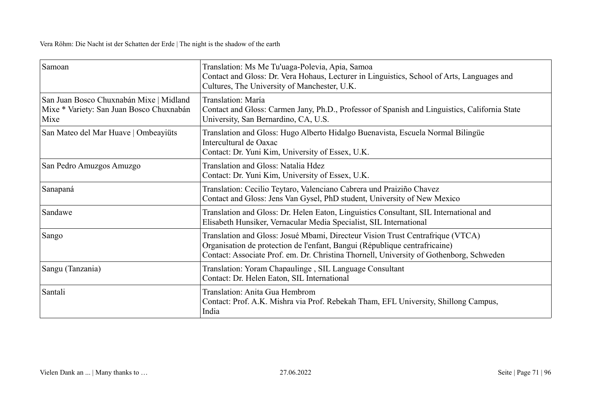| Samoan                                                                                      | Translation: Ms Me Tu'uaga-Polevia, Apia, Samoa<br>Contact and Gloss: Dr. Vera Hohaus, Lecturer in Linguistics, School of Arts, Languages and<br>Cultures, The University of Manchester, U.K.                                                           |
|---------------------------------------------------------------------------------------------|---------------------------------------------------------------------------------------------------------------------------------------------------------------------------------------------------------------------------------------------------------|
| San Juan Bosco Chuxnabán Mixe   Midland<br>Mixe * Variety: San Juan Bosco Chuxnabán<br>Mixe | Translation: María<br>Contact and Gloss: Carmen Jany, Ph.D., Professor of Spanish and Linguistics, California State<br>University, San Bernardino, CA, U.S.                                                                                             |
| San Mateo del Mar Huave   Ombeayiüts                                                        | Translation and Gloss: Hugo Alberto Hidalgo Buenavista, Escuela Normal Bilingüe<br>Intercultural de Oaxac<br>Contact: Dr. Yuni Kim, University of Essex, U.K.                                                                                           |
| San Pedro Amuzgos Amuzgo                                                                    | Translation and Gloss: Natalia Hdez<br>Contact: Dr. Yuni Kim, University of Essex, U.K.                                                                                                                                                                 |
| Sanapaná                                                                                    | Translation: Cecilio Teytaro, Valenciano Cabrera und Praiziño Chavez<br>Contact and Gloss: Jens Van Gysel, PhD student, University of New Mexico                                                                                                        |
| Sandawe                                                                                     | Translation and Gloss: Dr. Helen Eaton, Linguistics Consultant, SIL International and<br>Elisabeth Hunsiker, Vernacular Media Specialist, SIL International                                                                                             |
| Sango                                                                                       | Translation and Gloss: Josué Mbami, Directeur Vision Trust Centrafrique (VTCA)<br>Organisation de protection de l'enfant, Bangui (République centrafricaine)<br>Contact: Associate Prof. em. Dr. Christina Thornell, University of Gothenborg, Schweden |
| Sangu (Tanzania)                                                                            | Translation: Yoram Chapaulinge, SIL Language Consultant<br>Contact: Dr. Helen Eaton, SIL International                                                                                                                                                  |
| Santali                                                                                     | Translation: Anita Gua Hembrom<br>Contact: Prof. A.K. Mishra via Prof. Rebekah Tham, EFL University, Shillong Campus,<br>India                                                                                                                          |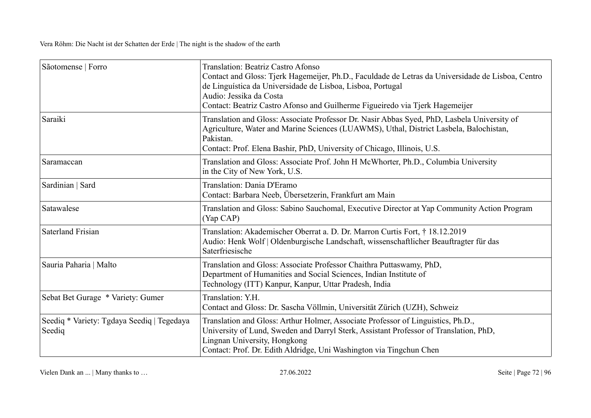| Sãotomense   Forro                                   | Translation: Beatriz Castro Afonso<br>Contact and Gloss: Tjerk Hagemeijer, Ph.D., Faculdade de Letras da Universidade de Lisboa, Centro<br>de Linguística da Universidade de Lisboa, Lisboa, Portugal<br>Audio: Jessika da Costa<br>Contact: Beatriz Castro Afonso and Guilherme Figueiredo via Tjerk Hagemeijer |
|------------------------------------------------------|------------------------------------------------------------------------------------------------------------------------------------------------------------------------------------------------------------------------------------------------------------------------------------------------------------------|
| Saraiki                                              | Translation and Gloss: Associate Professor Dr. Nasir Abbas Syed, PhD, Lasbela University of<br>Agriculture, Water and Marine Sciences (LUAWMS), Uthal, District Lasbela, Balochistan,<br>Pakistan.<br>Contact: Prof. Elena Bashir, PhD, University of Chicago, Illinois, U.S.                                    |
| Saramaccan                                           | Translation and Gloss: Associate Prof. John H McWhorter, Ph.D., Columbia University<br>in the City of New York, U.S.                                                                                                                                                                                             |
| Sardinian   Sard                                     | Translation: Dania D'Eramo<br>Contact: Barbara Neeb, Übersetzerin, Frankfurt am Main                                                                                                                                                                                                                             |
| Satawalese                                           | Translation and Gloss: Sabino Sauchomal, Executive Director at Yap Community Action Program<br>$(Yap$ CAP $)$                                                                                                                                                                                                    |
| <b>Saterland Frisian</b>                             | Translation: Akademischer Oberrat a. D. Dr. Marron Curtis Fort, † 18.12.2019<br>Audio: Henk Wolf   Oldenburgische Landschaft, wissenschaftlicher Beauftragter für das<br>Saterfriesische                                                                                                                         |
| Sauria Paharia   Malto                               | Translation and Gloss: Associate Professor Chaithra Puttaswamy, PhD,<br>Department of Humanities and Social Sciences, Indian Institute of<br>Technology (ITT) Kanpur, Kanpur, Uttar Pradesh, India                                                                                                               |
| Sebat Bet Gurage * Variety: Gumer                    | Translation: Y.H.<br>Contact and Gloss: Dr. Sascha Völlmin, Universität Zürich (UZH), Schweiz                                                                                                                                                                                                                    |
| Seediq * Variety: Tgdaya Seediq   Tegedaya<br>Seediq | Translation and Gloss: Arthur Holmer, Associate Professor of Linguistics, Ph.D.,<br>University of Lund, Sweden and Darryl Sterk, Assistant Professor of Translation, PhD,<br>Lingnan University, Hongkong<br>Contact: Prof. Dr. Edith Aldridge, Uni Washington via Tingchun Chen                                 |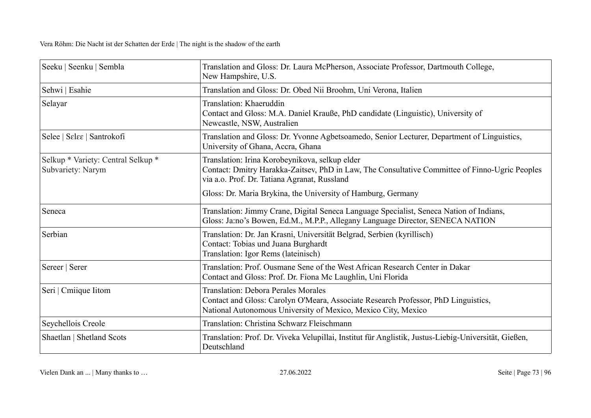| Seeku   Seenku   Sembla                                 | Translation and Gloss: Dr. Laura McPherson, Associate Professor, Dartmouth College,<br>New Hampshire, U.S.                                                                                        |
|---------------------------------------------------------|---------------------------------------------------------------------------------------------------------------------------------------------------------------------------------------------------|
| Sehwi   Esahie                                          | Translation and Gloss: Dr. Obed Nii Broohm, Uni Verona, Italien                                                                                                                                   |
| Selayar                                                 | Translation: Khaeruddin<br>Contact and Gloss: M.A. Daniel Krauße, PhD candidate (Linguistic), University of<br>Newcastle, NSW, Australien                                                         |
| Selee   Selee   Santrokofi                              | Translation and Gloss: Dr. Yvonne Agbetsoamedo, Senior Lecturer, Department of Linguistics,<br>University of Ghana, Accra, Ghana                                                                  |
| Selkup * Variety: Central Selkup *<br>Subvariety: Narym | Translation: Irina Korobeynikova, selkup elder<br>Contact: Dmitry Harakka-Zaitsev, PhD in Law, The Consultative Committee of Finno-Ugric Peoples<br>via a.o. Prof. Dr. Tatiana Agranat, Russland  |
|                                                         | Gloss: Dr. Maria Brykina, the University of Hamburg, Germany                                                                                                                                      |
| Seneca                                                  | Translation: Jimmy Crane, Digital Seneca Language Specialist, Seneca Nation of Indians,<br>Gloss: Ja:no's Bowen, Ed.M., M.P.P., Allegany Language Director, SENECA NATION                         |
| Serbian                                                 | Translation: Dr. Jan Krasni, Universität Belgrad, Serbien (kyrillisch)<br>Contact: Tobias und Juana Burghardt<br>Translation: Igor Rems (lateinisch)                                              |
| Sereer   Serer                                          | Translation: Prof. Ousmane Sene of the West African Research Center in Dakar<br>Contact and Gloss: Prof. Dr. Fiona Mc Laughlin, Uni Florida                                                       |
| Seri   Cmiique Iitom                                    | <b>Translation: Debora Perales Morales</b><br>Contact and Gloss: Carolyn O'Meara, Associate Research Professor, PhD Linguistics,<br>National Autonomous University of Mexico, Mexico City, Mexico |
| Seychellois Creole                                      | Translation: Christina Schwarz Fleischmann                                                                                                                                                        |
| Shaetlan   Shetland Scots                               | Translation: Prof. Dr. Viveka Velupillai, Institut für Anglistik, Justus-Liebig-Universität, Gießen,<br>Deutschland                                                                               |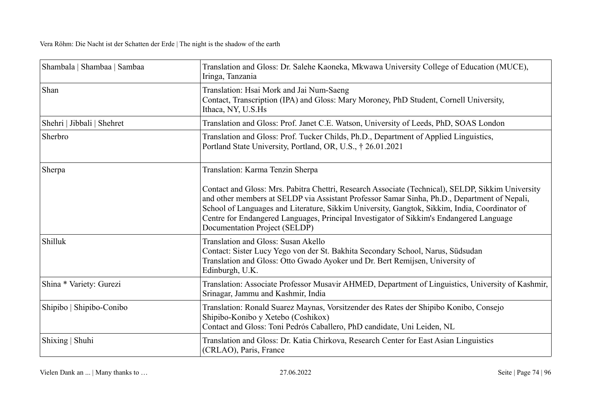| Shambala   Shambaa   Sambaa | Translation and Gloss: Dr. Salehe Kaoneka, Mkwawa University College of Education (MUCE),<br>Iringa, Tanzania                                                                                                                                                                                                                                                                                                                  |
|-----------------------------|--------------------------------------------------------------------------------------------------------------------------------------------------------------------------------------------------------------------------------------------------------------------------------------------------------------------------------------------------------------------------------------------------------------------------------|
| Shan                        | Translation: Hsai Mork and Jai Num-Saeng<br>Contact, Transcription (IPA) and Gloss: Mary Moroney, PhD Student, Cornell University,<br>Ithaca, NY, U.S.Hs                                                                                                                                                                                                                                                                       |
| Shehri   Jibbali   Shehret  | Translation and Gloss: Prof. Janet C.E. Watson, University of Leeds, PhD, SOAS London                                                                                                                                                                                                                                                                                                                                          |
| Sherbro                     | Translation and Gloss: Prof. Tucker Childs, Ph.D., Department of Applied Linguistics,<br>Portland State University, Portland, OR, U.S., † 26.01.2021                                                                                                                                                                                                                                                                           |
| Sherpa                      | Translation: Karma Tenzin Sherpa                                                                                                                                                                                                                                                                                                                                                                                               |
|                             | Contact and Gloss: Mrs. Pabitra Chettri, Research Associate (Technical), SELDP, Sikkim University<br>and other members at SELDP via Assistant Professor Samar Sinha, Ph.D., Department of Nepali,<br>School of Languages and Literature, Sikkim University, Gangtok, Sikkim, India, Coordinator of<br>Centre for Endangered Languages, Principal Investigator of Sikkim's Endangered Language<br>Documentation Project (SELDP) |
| Shilluk                     | Translation and Gloss: Susan Akello<br>Contact: Sister Lucy Yego von der St. Bakhita Secondary School, Narus, Südsudan<br>Translation and Gloss: Otto Gwado Ayoker und Dr. Bert Remijsen, University of<br>Edinburgh, U.K.                                                                                                                                                                                                     |
| Shina * Variety: Gurezi     | Translation: Associate Professor Musavir AHMED, Department of Linguistics, University of Kashmir,<br>Srinagar, Jammu and Kashmir, India                                                                                                                                                                                                                                                                                        |
| Shipibo   Shipibo-Conibo    | Translation: Ronald Suarez Maynas, Vorsitzender des Rates der Shipibo Konibo, Consejo<br>Shipibo-Konibo y Xetebo (Coshikox)<br>Contact and Gloss: Toni Pedrós Caballero, PhD candidate, Uni Leiden, NL                                                                                                                                                                                                                         |
| Shixing   Shuhi             | Translation and Gloss: Dr. Katia Chirkova, Research Center for East Asian Linguistics<br>(CRLAO), Paris, France                                                                                                                                                                                                                                                                                                                |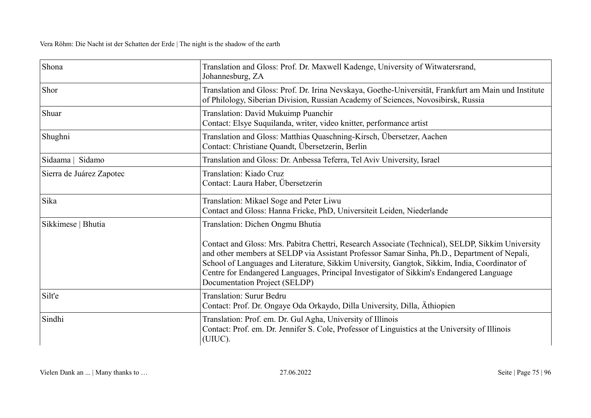| Shona                    | Translation and Gloss: Prof. Dr. Maxwell Kadenge, University of Witwatersrand,<br>Johannesburg, ZA                                                                                                                                                                                                                                                                                                                             |
|--------------------------|--------------------------------------------------------------------------------------------------------------------------------------------------------------------------------------------------------------------------------------------------------------------------------------------------------------------------------------------------------------------------------------------------------------------------------|
| Shor                     | Translation and Gloss: Prof. Dr. Irina Nevskaya, Goethe-Universität, Frankfurt am Main und Institute<br>of Philology, Siberian Division, Russian Academy of Sciences, Novosibirsk, Russia                                                                                                                                                                                                                                      |
| Shuar                    | Translation: David Mukuimp Puanchir<br>Contact: Elsye Suquilanda, writer, video knitter, performance artist                                                                                                                                                                                                                                                                                                                    |
| Shughni                  | Translation and Gloss: Matthias Quaschning-Kirsch, Übersetzer, Aachen<br>Contact: Christiane Quandt, Übersetzerin, Berlin                                                                                                                                                                                                                                                                                                      |
| Sidaama   Sidamo         | Translation and Gloss: Dr. Anbessa Teferra, Tel Aviv University, Israel                                                                                                                                                                                                                                                                                                                                                        |
| Sierra de Juárez Zapotec | Translation: Kiado Cruz<br>Contact: Laura Haber, Übersetzerin                                                                                                                                                                                                                                                                                                                                                                  |
| Sika                     | Translation: Mikael Soge and Peter Liwu<br>Contact and Gloss: Hanna Fricke, PhD, Universiteit Leiden, Niederlande                                                                                                                                                                                                                                                                                                              |
| Sikkimese   Bhutia       | Translation: Dichen Ongmu Bhutia                                                                                                                                                                                                                                                                                                                                                                                               |
|                          | Contact and Gloss: Mrs. Pabitra Chettri, Research Associate (Technical), SELDP, Sikkim University<br>and other members at SELDP via Assistant Professor Samar Sinha, Ph.D., Department of Nepali,<br>School of Languages and Literature, Sikkim University, Gangtok, Sikkim, India, Coordinator of<br>Centre for Endangered Languages, Principal Investigator of Sikkim's Endangered Language<br>Documentation Project (SELDP) |
| Silt'e                   | <b>Translation: Surur Bedru</b><br>Contact: Prof. Dr. Ongaye Oda Orkaydo, Dilla University, Dilla, Athiopien                                                                                                                                                                                                                                                                                                                   |
| Sindhi                   | Translation: Prof. em. Dr. Gul Agha, University of Illinois<br>Contact: Prof. em. Dr. Jennifer S. Cole, Professor of Linguistics at the University of Illinois<br>(UIUC).                                                                                                                                                                                                                                                      |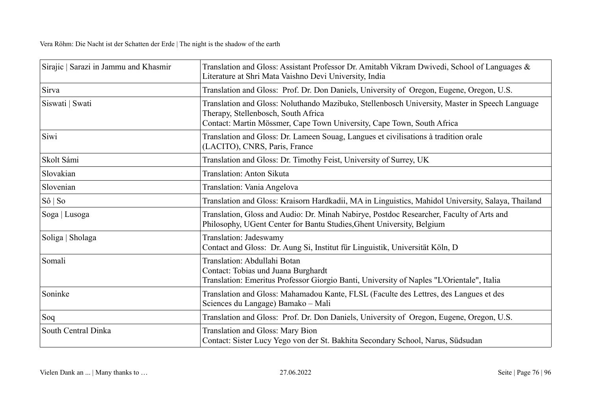| Sirajic   Sarazi in Jammu and Khasmir | Translation and Gloss: Assistant Professor Dr. Amitabh Vikram Dwivedi, School of Languages &<br>Literature at Shri Mata Vaishno Devi University, India                                                          |
|---------------------------------------|-----------------------------------------------------------------------------------------------------------------------------------------------------------------------------------------------------------------|
| Sirva                                 | Translation and Gloss: Prof. Dr. Don Daniels, University of Oregon, Eugene, Oregon, U.S.                                                                                                                        |
| Siswati   Swati                       | Translation and Gloss: Noluthando Mazibuko, Stellenbosch University, Master in Speech Language<br>Therapy, Stellenbosch, South Africa<br>Contact: Martin Mössmer, Cape Town University, Cape Town, South Africa |
| Siwi                                  | Translation and Gloss: Dr. Lameen Souag, Langues et civilisations à tradition orale<br>(LACITO), CNRS, Paris, France                                                                                            |
| Skolt Sámi                            | Translation and Gloss: Dr. Timothy Feist, University of Surrey, UK                                                                                                                                              |
| Slovakian                             | Translation: Anton Sikuta                                                                                                                                                                                       |
| Slovenian                             | Translation: Vania Angelova                                                                                                                                                                                     |
| Sô   So                               | Translation and Gloss: Kraisorn Hardkadii, MA in Linguistics, Mahidol University, Salaya, Thailand                                                                                                              |
| Soga   Lusoga                         | Translation, Gloss and Audio: Dr. Minah Nabirye, Postdoc Researcher, Faculty of Arts and<br>Philosophy, UGent Center for Bantu Studies, Ghent University, Belgium                                               |
| Soliga   Sholaga                      | Translation: Jadeswamy<br>Contact and Gloss: Dr. Aung Si, Institut für Linguistik, Universität Köln, D                                                                                                          |
| Somali                                | Translation: Abdullahi Botan<br>Contact: Tobias und Juana Burghardt<br>Translation: Emeritus Professor Giorgio Banti, University of Naples "L'Orientale", Italia                                                |
| Soninke                               | Translation and Gloss: Mahamadou Kante, FLSL (Faculte des Lettres, des Langues et des<br>Sciences du Langage) Bamako - Mali                                                                                     |
| Soq                                   | Translation and Gloss: Prof. Dr. Don Daniels, University of Oregon, Eugene, Oregon, U.S.                                                                                                                        |
| South Central Dinka                   | <b>Translation and Gloss: Mary Bion</b><br>Contact: Sister Lucy Yego von der St. Bakhita Secondary School, Narus, Südsudan                                                                                      |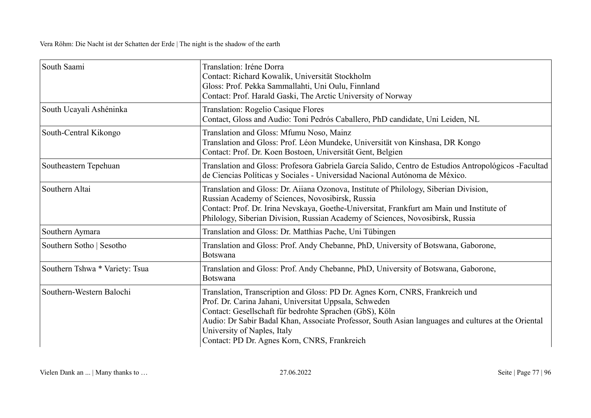| South Saami                    | Translation: Iréne Dorra<br>Contact: Richard Kowalik, Universität Stockholm<br>Gloss: Prof. Pekka Sammallahti, Uni Oulu, Finnland<br>Contact: Prof. Harald Gaski, The Arctic University of Norway                                                                                                                                                                                        |
|--------------------------------|------------------------------------------------------------------------------------------------------------------------------------------------------------------------------------------------------------------------------------------------------------------------------------------------------------------------------------------------------------------------------------------|
| South Ucayali Ashéninka        | <b>Translation: Rogelio Casique Flores</b><br>Contact, Gloss and Audio: Toni Pedrós Caballero, PhD candidate, Uni Leiden, NL                                                                                                                                                                                                                                                             |
| South-Central Kikongo          | Translation and Gloss: Mfumu Noso, Mainz<br>Translation and Gloss: Prof. Léon Mundeke, Universität von Kinshasa, DR Kongo<br>Contact: Prof. Dr. Koen Bostoen, Universität Gent, Belgien                                                                                                                                                                                                  |
| Southeastern Tepehuan          | Translation and Gloss: Profesora Gabriela García Salido, Centro de Estudios Antropológicos -Facultad<br>de Ciencias Políticas y Sociales - Universidad Nacional Autónoma de México.                                                                                                                                                                                                      |
| Southern Altai                 | Translation and Gloss: Dr. Aiiana Ozonova, Institute of Philology, Siberian Division,<br>Russian Academy of Sciences, Novosibirsk, Russia<br>Contact: Prof. Dr. Irina Nevskaya, Goethe-Universitat, Frankfurt am Main und Institute of<br>Philology, Siberian Division, Russian Academy of Sciences, Novosibirsk, Russia                                                                 |
| Southern Aymara                | Translation and Gloss: Dr. Matthias Pache, Uni Tübingen                                                                                                                                                                                                                                                                                                                                  |
| Southern Sotho   Sesotho       | Translation and Gloss: Prof. Andy Chebanne, PhD, University of Botswana, Gaborone,<br>Botswana                                                                                                                                                                                                                                                                                           |
| Southern Tshwa * Variety: Tsua | Translation and Gloss: Prof. Andy Chebanne, PhD, University of Botswana, Gaborone,<br>Botswana                                                                                                                                                                                                                                                                                           |
| Southern-Western Balochi       | Translation, Transcription and Gloss: PD Dr. Agnes Korn, CNRS, Frankreich und<br>Prof. Dr. Carina Jahani, Universitat Uppsala, Schweden<br>Contact: Gesellschaft für bedrohte Sprachen (GbS), Köln<br>Audio: Dr Sabir Badal Khan, Associate Professor, South Asian languages and cultures at the Oriental<br>University of Naples, Italy<br>Contact: PD Dr. Agnes Korn, CNRS, Frankreich |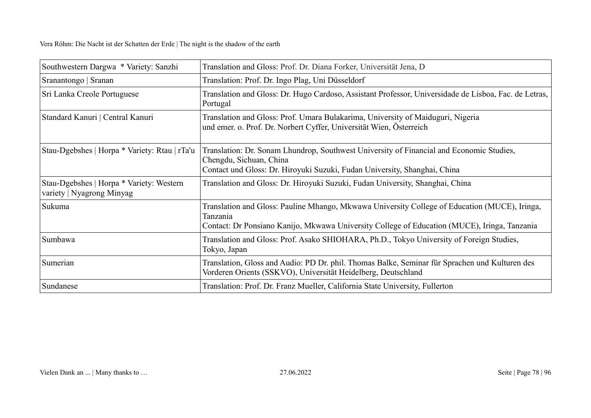| Southwestern Dargwa * Variety: Sanzhi                                 | Translation and Gloss: Prof. Dr. Diana Forker, Universität Jena, D                                                                                                                                        |
|-----------------------------------------------------------------------|-----------------------------------------------------------------------------------------------------------------------------------------------------------------------------------------------------------|
| Sranantongo   Sranan                                                  | Translation: Prof. Dr. Ingo Plag, Uni Düsseldorf                                                                                                                                                          |
| Sri Lanka Creole Portuguese                                           | Translation and Gloss: Dr. Hugo Cardoso, Assistant Professor, Universidade de Lisboa, Fac. de Letras,<br>Portugal                                                                                         |
| Standard Kanuri   Central Kanuri                                      | Translation and Gloss: Prof. Umara Bulakarima, University of Maiduguri, Nigeria<br>und emer. o. Prof. Dr. Norbert Cyffer, Universität Wien, Österreich                                                    |
| Stau-Dgebshes   Horpa * Variety: Rtau   rTa'u                         | Translation: Dr. Sonam Lhundrop, Southwest University of Financial and Economic Studies,<br>Chengdu, Sichuan, China<br>Contact und Gloss: Dr. Hiroyuki Suzuki, Fudan University, Shanghai, China          |
| Stau-Dgebshes   Horpa * Variety: Western<br>variety   Nyagrong Minyag | Translation and Gloss: Dr. Hiroyuki Suzuki, Fudan University, Shanghai, China                                                                                                                             |
| Sukuma                                                                | Translation and Gloss: Pauline Mhango, Mkwawa University College of Education (MUCE), Iringa,<br>Tanzania<br>Contact: Dr Ponsiano Kanijo, Mkwawa University College of Education (MUCE), Iringa, Tanzania |
| Sumbawa                                                               | Translation and Gloss: Prof. Asako SHIOHARA, Ph.D., Tokyo University of Foreign Studies,<br>Tokyo, Japan                                                                                                  |
| Sumerian                                                              | Translation, Gloss and Audio: PD Dr. phil. Thomas Balke, Seminar für Sprachen und Kulturen des<br>Vorderen Orients (SSKVO), Universität Heidelberg, Deutschland                                           |
| Sundanese                                                             | Translation: Prof. Dr. Franz Mueller, California State University, Fullerton                                                                                                                              |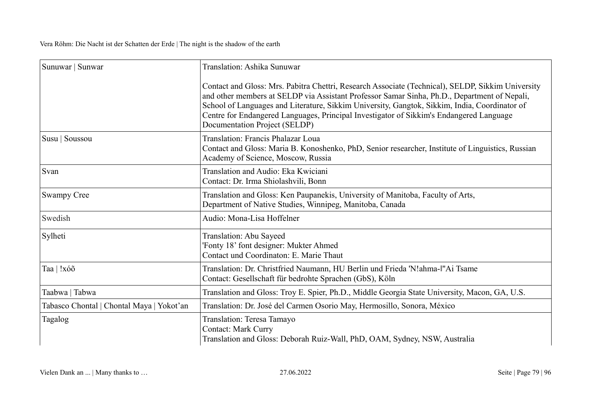| Sunuwar   Sunwar                          | Translation: Ashika Sunuwar                                                                                                                                                                                                                                                                                                                                                                                                    |
|-------------------------------------------|--------------------------------------------------------------------------------------------------------------------------------------------------------------------------------------------------------------------------------------------------------------------------------------------------------------------------------------------------------------------------------------------------------------------------------|
|                                           | Contact and Gloss: Mrs. Pabitra Chettri, Research Associate (Technical), SELDP, Sikkim University<br>and other members at SELDP via Assistant Professor Samar Sinha, Ph.D., Department of Nepali,<br>School of Languages and Literature, Sikkim University, Gangtok, Sikkim, India, Coordinator of<br>Centre for Endangered Languages, Principal Investigator of Sikkim's Endangered Language<br>Documentation Project (SELDP) |
| Susu   Soussou                            | Translation: Francis Phalazar Loua<br>Contact and Gloss: Maria B. Konoshenko, PhD, Senior researcher, Institute of Linguistics, Russian<br>Academy of Science, Moscow, Russia                                                                                                                                                                                                                                                  |
| Svan                                      | Translation and Audio: Eka Kwiciani<br>Contact: Dr. Irma Shiolashvili, Bonn                                                                                                                                                                                                                                                                                                                                                    |
| <b>Swampy Cree</b>                        | Translation and Gloss: Ken Paupanekis, University of Manitoba, Faculty of Arts,<br>Department of Native Studies, Winnipeg, Manitoba, Canada                                                                                                                                                                                                                                                                                    |
| Swedish                                   | Audio: Mona-Lisa Hoffelner                                                                                                                                                                                                                                                                                                                                                                                                     |
| Sylheti                                   | Translation: Abu Sayeed<br>'Fonty 18' font designer: Mukter Ahmed<br>Contact und Coordinaton: E. Marie Thaut                                                                                                                                                                                                                                                                                                                   |
| Taa   !xóõ                                | Translation: Dr. Christfried Naumann, HU Berlin und Frieda 'N!ahma-l"Ai Tsame<br>Contact: Gesellschaft für bedrohte Sprachen (GbS), Köln                                                                                                                                                                                                                                                                                       |
| Taabwa   Tabwa                            | Translation and Gloss: Troy E. Spier, Ph.D., Middle Georgia State University, Macon, GA, U.S.                                                                                                                                                                                                                                                                                                                                  |
| Tabasco Chontal   Chontal Maya   Yokot'an | Translation: Dr. José del Carmen Osorio May, Hermosillo, Sonora, México                                                                                                                                                                                                                                                                                                                                                        |
| Tagalog                                   | Translation: Teresa Tamayo<br><b>Contact: Mark Curry</b><br>Translation and Gloss: Deborah Ruiz-Wall, PhD, OAM, Sydney, NSW, Australia                                                                                                                                                                                                                                                                                         |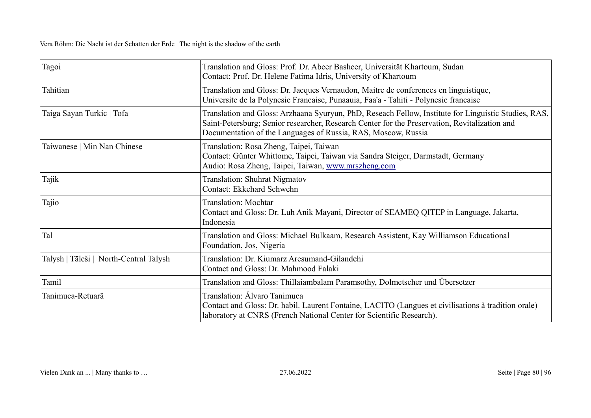| Tagoi                                  | Translation and Gloss: Prof. Dr. Abeer Basheer, Universität Khartoum, Sudan<br>Contact: Prof. Dr. Helene Fatima Idris, University of Khartoum                                                                                                                          |
|----------------------------------------|------------------------------------------------------------------------------------------------------------------------------------------------------------------------------------------------------------------------------------------------------------------------|
| Tahitian                               | Translation and Gloss: Dr. Jacques Vernaudon, Maitre de conferences en linguistique,<br>Universite de la Polynesie Francaise, Punaauia, Faa'a - Tahiti - Polynesie francaise                                                                                           |
| Taiga Sayan Turkic   Tofa              | Translation and Gloss: Arzhaana Syuryun, PhD, Reseach Fellow, Institute for Linguistic Studies, RAS,<br>Saint-Petersburg; Senior researcher, Research Center for the Preservation, Revitalization and<br>Documentation of the Languages of Russia, RAS, Moscow, Russia |
| Taiwanese   Min Nan Chinese            | Translation: Rosa Zheng, Taipei, Taiwan<br>Contact: Günter Whittome, Taipei, Taiwan via Sandra Steiger, Darmstadt, Germany<br>Audio: Rosa Zheng, Taipei, Taiwan, www.mrszheng.com                                                                                      |
| Tajik                                  | <b>Translation: Shuhrat Nigmatov</b><br>Contact: Ekkehard Schwehn                                                                                                                                                                                                      |
| Tajio                                  | <b>Translation: Mochtar</b><br>Contact and Gloss: Dr. Luh Anik Mayani, Director of SEAMEQ QITEP in Language, Jakarta,<br>Indonesia                                                                                                                                     |
| Tal                                    | Translation and Gloss: Michael Bulkaam, Research Assistent, Kay Williamson Educational<br>Foundation, Jos, Nigeria                                                                                                                                                     |
| Talysh   Tāleši   North-Central Talysh | Translation: Dr. Kiumarz Aresumand-Gilandehi<br>Contact and Gloss: Dr. Mahmood Falaki                                                                                                                                                                                  |
| Tamil                                  | Translation and Gloss: Thillaiambalam Paramsothy, Dolmetscher und Übersetzer                                                                                                                                                                                           |
| Tanimuca-Retuarã                       | Translation: Álvaro Tanimuca<br>Contact and Gloss: Dr. habil. Laurent Fontaine, LACITO (Langues et civilisations à tradition orale)<br>laboratory at CNRS (French National Center for Scientific Research).                                                            |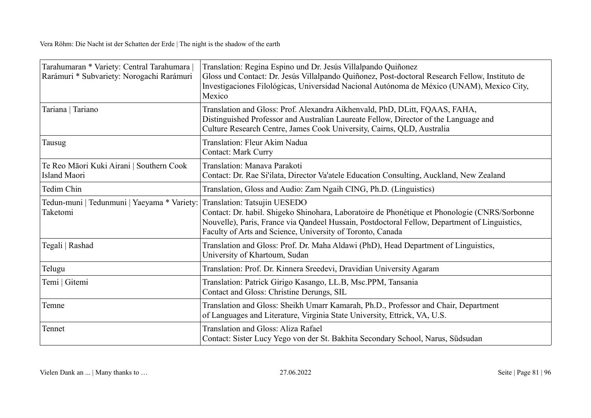| Tarahumaran * Variety: Central Tarahumara<br>Rarámuri * Subvariety: Norogachi Rarámuri | Translation: Regina Espino und Dr. Jesús Villalpando Quiñonez<br>Gloss und Contact: Dr. Jesús Villalpando Quiñonez, Post-doctoral Research Fellow, Instituto de<br>Investigaciones Filológicas, Universidad Nacional Autónoma de México (UNAM), Mexico City,<br>Mexico                       |
|----------------------------------------------------------------------------------------|----------------------------------------------------------------------------------------------------------------------------------------------------------------------------------------------------------------------------------------------------------------------------------------------|
| Tariana   Tariano                                                                      | Translation and Gloss: Prof. Alexandra Aikhenvald, PhD, DLitt, FQAAS, FAHA,<br>Distinguished Professor and Australian Laureate Fellow, Director of the Language and<br>Culture Research Centre, James Cook University, Cairns, QLD, Australia                                                |
| Tausug                                                                                 | Translation: Fleur Akim Nadua<br><b>Contact: Mark Curry</b>                                                                                                                                                                                                                                  |
| Te Reo Māori Kuki Airani   Southern Cook<br><b>Island Maori</b>                        | Translation: Manava Parakoti<br>Contact: Dr. Rae Si'ilata, Director Va'atele Education Consulting, Auckland, New Zealand                                                                                                                                                                     |
| Tedim Chin                                                                             | Translation, Gloss and Audio: Zam Ngaih CING, Ph.D. (Linguistics)                                                                                                                                                                                                                            |
| Tedun-muni   Tedunmuni   Yaeyama * Variety:<br>Taketomi                                | Translation: Tatsujin UESEDO<br>Contact: Dr. habil. Shigeko Shinohara, Laboratoire de Phonétique et Phonologie (CNRS/Sorbonne<br>Nouvelle), Paris, France via Qandeel Hussain, Postdoctoral Fellow, Department of Linguistics,<br>Faculty of Arts and Science, University of Toronto, Canada |
| Tegali   Rashad                                                                        | Translation and Gloss: Prof. Dr. Maha Aldawi (PhD), Head Department of Linguistics,<br>University of Khartoum, Sudan                                                                                                                                                                         |
| Telugu                                                                                 | Translation: Prof. Dr. Kinnera Sreedevi, Dravidian University Agaram                                                                                                                                                                                                                         |
| Temi   Gitemi                                                                          | Translation: Patrick Girigo Kasango, LL.B, Msc.PPM, Tansania<br>Contact and Gloss: Christine Derungs, SIL                                                                                                                                                                                    |
| Temne                                                                                  | Translation and Gloss: Sheikh Umarr Kamarah, Ph.D., Professor and Chair, Department<br>of Languages and Literature, Virginia State University, Ettrick, VA, U.S.                                                                                                                             |
| Tennet                                                                                 | Translation and Gloss: Aliza Rafael<br>Contact: Sister Lucy Yego von der St. Bakhita Secondary School, Narus, Südsudan                                                                                                                                                                       |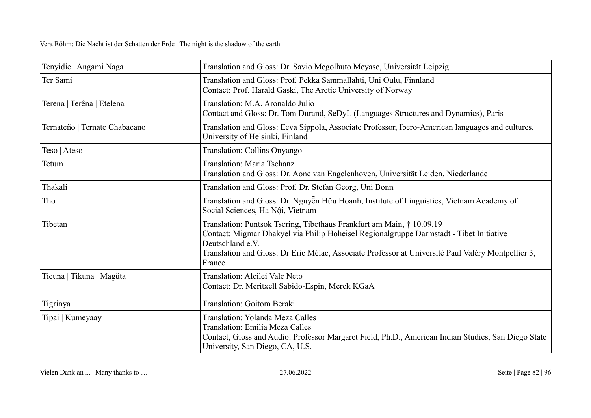| Tenyidie   Angami Naga        | Translation and Gloss: Dr. Savio Megolhuto Meyase, Universität Leipzig                                                                                                                                                                                                                               |
|-------------------------------|------------------------------------------------------------------------------------------------------------------------------------------------------------------------------------------------------------------------------------------------------------------------------------------------------|
| Ter Sami                      | Translation and Gloss: Prof. Pekka Sammallahti, Uni Oulu, Finnland<br>Contact: Prof. Harald Gaski, The Arctic University of Norway                                                                                                                                                                   |
| Terena   Terêna   Etelena     | Translation: M.A. Aronaldo Julio<br>Contact and Gloss: Dr. Tom Durand, SeDyL (Languages Structures and Dynamics), Paris                                                                                                                                                                              |
| Ternateño   Ternate Chabacano | Translation and Gloss: Eeva Sippola, Associate Professor, Ibero-American languages and cultures,<br>University of Helsinki, Finland                                                                                                                                                                  |
| Teso   Ateso                  | Translation: Collins Onyango                                                                                                                                                                                                                                                                         |
| Tetum                         | Translation: Maria Tschanz<br>Translation and Gloss: Dr. Aone van Engelenhoven, Universität Leiden, Niederlande                                                                                                                                                                                      |
| Thakali                       | Translation and Gloss: Prof. Dr. Stefan Georg, Uni Bonn                                                                                                                                                                                                                                              |
| Tho                           | Translation and Gloss: Dr. Nguyễn Hữu Hoanh, Institute of Linguistics, Vietnam Academy of<br>Social Sciences, Ha Nội, Vietnam                                                                                                                                                                        |
| Tibetan                       | Translation: Puntsok Tsering, Tibethaus Frankfurt am Main, † 10.09.19<br>Contact: Migmar Dhakyel via Philip Hoheisel Regionalgruppe Darmstadt - Tibet Initiative<br>Deutschland e.V.<br>Translation and Gloss: Dr Eric Mélac, Associate Professor at Université Paul Valéry Montpellier 3,<br>France |
| Ticuna   Tikuna   Magüta      | Translation: Alcilei Vale Neto<br>Contact: Dr. Meritxell Sabido-Espin, Merck KGaA                                                                                                                                                                                                                    |
| Tigrinya                      | <b>Translation: Goitom Beraki</b>                                                                                                                                                                                                                                                                    |
| Tipai   Kumeyaay              | Translation: Yolanda Meza Calles<br>Translation: Emilia Meza Calles<br>Contact, Gloss and Audio: Professor Margaret Field, Ph.D., American Indian Studies, San Diego State<br>University, San Diego, CA, U.S.                                                                                        |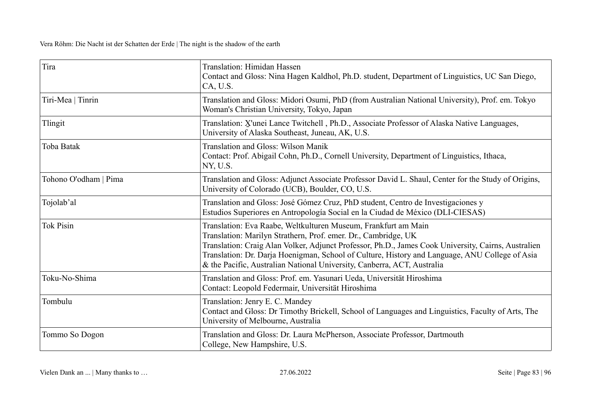| Tira                  | Translation: Himidan Hassen<br>Contact and Gloss: Nina Hagen Kaldhol, Ph.D. student, Department of Linguistics, UC San Diego,<br>CA, U.S.                                                                                                                                                                                                                                                                            |
|-----------------------|----------------------------------------------------------------------------------------------------------------------------------------------------------------------------------------------------------------------------------------------------------------------------------------------------------------------------------------------------------------------------------------------------------------------|
| Tiri-Mea   Tinrin     | Translation and Gloss: Midori Osumi, PhD (from Australian National University), Prof. em. Tokyo<br>Woman's Christian University, Tokyo, Japan                                                                                                                                                                                                                                                                        |
| Tlingit               | Translation: X'unei Lance Twitchell, Ph.D., Associate Professor of Alaska Native Languages,<br>University of Alaska Southeast, Juneau, AK, U.S.                                                                                                                                                                                                                                                                      |
| Toba Batak            | Translation and Gloss: Wilson Manik<br>Contact: Prof. Abigail Cohn, Ph.D., Cornell University, Department of Linguistics, Ithaca,<br>NY, U.S.                                                                                                                                                                                                                                                                        |
| Tohono O'odham   Pima | Translation and Gloss: Adjunct Associate Professor David L. Shaul, Center for the Study of Origins,<br>University of Colorado (UCB), Boulder, CO, U.S.                                                                                                                                                                                                                                                               |
| Tojolab'al            | Translation and Gloss: José Gómez Cruz, PhD student, Centro de Investigaciones y<br>Estudios Superiores en Antropología Social en la Ciudad de México (DLI-CIESAS)                                                                                                                                                                                                                                                   |
| <b>Tok Pisin</b>      | Translation: Eva Raabe, Weltkulturen Museum, Frankfurt am Main<br>Translation: Marilyn Strathern, Prof. emer. Dr., Cambridge, UK<br>Translation: Craig Alan Volker, Adjunct Professor, Ph.D., James Cook University, Cairns, Australien<br>Translation: Dr. Darja Hoenigman, School of Culture, History and Language, ANU College of Asia<br>& the Pacific, Australian National University, Canberra, ACT, Australia |
| Toku-No-Shima         | Translation and Gloss: Prof. em. Yasunari Ueda, Universität Hiroshima<br>Contact: Leopold Federmair, Universität Hiroshima                                                                                                                                                                                                                                                                                           |
| Tombulu               | Translation: Jenry E. C. Mandey<br>Contact and Gloss: Dr Timothy Brickell, School of Languages and Linguistics, Faculty of Arts, The<br>University of Melbourne, Australia                                                                                                                                                                                                                                           |
| Tommo So Dogon        | Translation and Gloss: Dr. Laura McPherson, Associate Professor, Dartmouth<br>College, New Hampshire, U.S.                                                                                                                                                                                                                                                                                                           |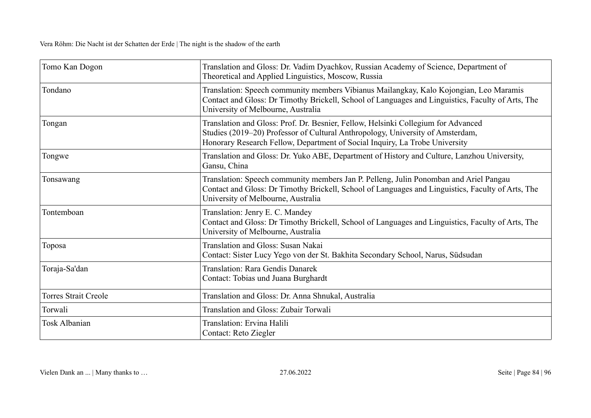| Tomo Kan Dogon              | Translation and Gloss: Dr. Vadim Dyachkov, Russian Academy of Science, Department of<br>Theoretical and Applied Linguistics, Moscow, Russia                                                                                                        |
|-----------------------------|----------------------------------------------------------------------------------------------------------------------------------------------------------------------------------------------------------------------------------------------------|
| Tondano                     | Translation: Speech community members Vibianus Mailangkay, Kalo Kojongian, Leo Maramis<br>Contact and Gloss: Dr Timothy Brickell, School of Languages and Linguistics, Faculty of Arts, The<br>University of Melbourne, Australia                  |
| Tongan                      | Translation and Gloss: Prof. Dr. Besnier, Fellow, Helsinki Collegium for Advanced<br>Studies (2019–20) Professor of Cultural Anthropology, University of Amsterdam,<br>Honorary Research Fellow, Department of Social Inquiry, La Trobe University |
| Tongwe                      | Translation and Gloss: Dr. Yuko ABE, Department of History and Culture, Lanzhou University,<br>Gansu, China                                                                                                                                        |
| Tonsawang                   | Translation: Speech community members Jan P. Pelleng, Julin Ponomban and Ariel Pangau<br>Contact and Gloss: Dr Timothy Brickell, School of Languages and Linguistics, Faculty of Arts, The<br>University of Melbourne, Australia                   |
| Tontemboan                  | Translation: Jenry E. C. Mandey<br>Contact and Gloss: Dr Timothy Brickell, School of Languages and Linguistics, Faculty of Arts, The<br>University of Melbourne, Australia                                                                         |
| Toposa                      | Translation and Gloss: Susan Nakai<br>Contact: Sister Lucy Yego von der St. Bakhita Secondary School, Narus, Südsudan                                                                                                                              |
| Toraja-Sa'dan               | Translation: Rara Gendis Danarek<br>Contact: Tobias und Juana Burghardt                                                                                                                                                                            |
| <b>Torres Strait Creole</b> | Translation and Gloss: Dr. Anna Shnukal, Australia                                                                                                                                                                                                 |
| Torwali                     | <b>Translation and Gloss: Zubair Torwali</b>                                                                                                                                                                                                       |
| <b>Tosk Albanian</b>        | Translation: Ervina Halili<br>Contact: Reto Ziegler                                                                                                                                                                                                |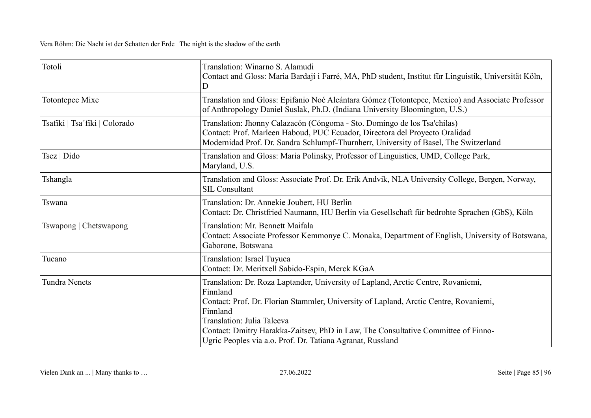| Totoli                        | Translation: Winarno S. Alamudi<br>Contact and Gloss: Maria Bardají i Farré, MA, PhD student, Institut für Linguistik, Universität Köln,<br>D                                                                                                                                                                                                                                       |
|-------------------------------|-------------------------------------------------------------------------------------------------------------------------------------------------------------------------------------------------------------------------------------------------------------------------------------------------------------------------------------------------------------------------------------|
| Totontepec Mixe               | Translation and Gloss: Epifanio Noé Alcántara Gómez (Totontepec, Mexico) and Associate Professor<br>of Anthropology Daniel Suslak, Ph.D. (Indiana University Bloomington, U.S.)                                                                                                                                                                                                     |
| Tsafiki   Tsa'fiki   Colorado | Translation: Jhonny Calazacón (Cóngoma - Sto. Domingo de los Tsa'chilas)<br>Contact: Prof. Marleen Haboud, PUC Ecuador, Directora del Proyecto Oralidad<br>Modernidad Prof. Dr. Sandra Schlumpf-Thurnherr, University of Basel, The Switzerland                                                                                                                                     |
| Tsez   Dido                   | Translation and Gloss: Maria Polinsky, Professor of Linguistics, UMD, College Park,<br>Maryland, U.S.                                                                                                                                                                                                                                                                               |
| Tshangla                      | Translation and Gloss: Associate Prof. Dr. Erik Andvik, NLA University College, Bergen, Norway,<br><b>SIL Consultant</b>                                                                                                                                                                                                                                                            |
| Tswana                        | Translation: Dr. Annekie Joubert, HU Berlin<br>Contact: Dr. Christfried Naumann, HU Berlin via Gesellschaft für bedrohte Sprachen (GbS), Köln                                                                                                                                                                                                                                       |
| Tswapong   Chetswapong        | Translation: Mr. Bennett Maifala<br>Contact: Associate Professor Kemmonye C. Monaka, Department of English, University of Botswana,<br>Gaborone, Botswana                                                                                                                                                                                                                           |
| Tucano                        | Translation: Israel Tuyuca<br>Contact: Dr. Meritxell Sabido-Espin, Merck KGaA                                                                                                                                                                                                                                                                                                       |
| <b>Tundra Nenets</b>          | Translation: Dr. Roza Laptander, University of Lapland, Arctic Centre, Rovaniemi,<br>Finnland<br>Contact: Prof. Dr. Florian Stammler, University of Lapland, Arctic Centre, Rovaniemi,<br>Finnland<br>Translation: Julia Taleeva<br>Contact: Dmitry Harakka-Zaitsev, PhD in Law, The Consultative Committee of Finno-<br>Ugric Peoples via a.o. Prof. Dr. Tatiana Agranat, Russland |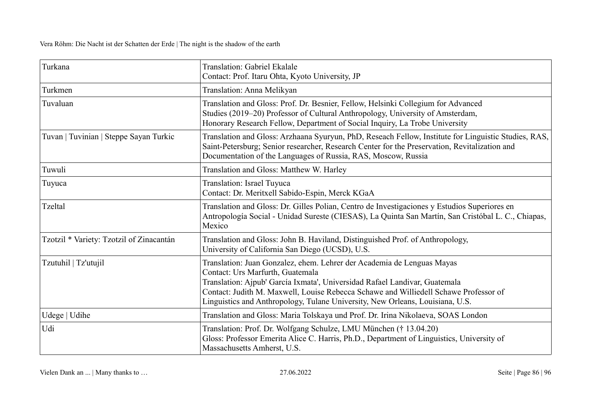| Turkana                                  | Translation: Gabriel Ekalale<br>Contact: Prof. Itaru Ohta, Kyoto University, JP                                                                                                                                                                                                                                                                                   |
|------------------------------------------|-------------------------------------------------------------------------------------------------------------------------------------------------------------------------------------------------------------------------------------------------------------------------------------------------------------------------------------------------------------------|
| Turkmen                                  | Translation: Anna Melikyan                                                                                                                                                                                                                                                                                                                                        |
| Tuvaluan                                 | Translation and Gloss: Prof. Dr. Besnier, Fellow, Helsinki Collegium for Advanced<br>Studies (2019–20) Professor of Cultural Anthropology, University of Amsterdam,<br>Honorary Research Fellow, Department of Social Inquiry, La Trobe University                                                                                                                |
| Tuvan   Tuvinian   Steppe Sayan Turkic   | Translation and Gloss: Arzhaana Syuryun, PhD, Reseach Fellow, Institute for Linguistic Studies, RAS,<br>Saint-Petersburg; Senior researcher, Research Center for the Preservation, Revitalization and<br>Documentation of the Languages of Russia, RAS, Moscow, Russia                                                                                            |
| Tuwuli                                   | Translation and Gloss: Matthew W. Harley                                                                                                                                                                                                                                                                                                                          |
| Tuyuca                                   | Translation: Israel Tuyuca<br>Contact: Dr. Meritxell Sabido-Espin, Merck KGaA                                                                                                                                                                                                                                                                                     |
| <b>Tzeltal</b>                           | Translation and Gloss: Dr. Gilles Polian, Centro de Investigaciones y Estudios Superiores en<br>Antropología Social - Unidad Sureste (CIESAS), La Quinta San Martín, San Cristóbal L. C., Chiapas,<br>Mexico                                                                                                                                                      |
| Tzotzil * Variety: Tzotzil of Zinacantán | Translation and Gloss: John B. Haviland, Distinguished Prof. of Anthropology,<br>University of California San Diego (UCSD), U.S.                                                                                                                                                                                                                                  |
| Tzutuhil   Tz'utujil                     | Translation: Juan Gonzalez, ehem. Lehrer der Academia de Lenguas Mayas<br>Contact: Urs Marfurth, Guatemala<br>Translation: Ajpub' García Ixmata', Universidad Rafael Landivar, Guatemala<br>Contact: Judith M. Maxwell, Louise Rebecca Schawe and Williedell Schawe Professor of<br>Linguistics and Anthropology, Tulane University, New Orleans, Louisiana, U.S. |
| Udege   Udihe                            | Translation and Gloss: Maria Tolskaya und Prof. Dr. Irina Nikolaeva, SOAS London                                                                                                                                                                                                                                                                                  |
| Udi                                      | Translation: Prof. Dr. Wolfgang Schulze, LMU München († 13.04.20)<br>Gloss: Professor Emerita Alice C. Harris, Ph.D., Department of Linguistics, University of<br>Massachusetts Amherst, U.S.                                                                                                                                                                     |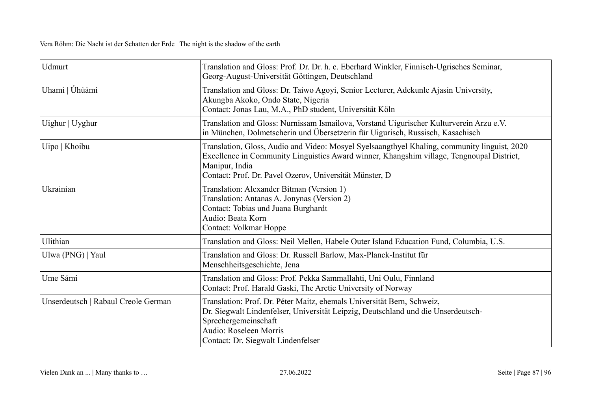| Udmurt                              | Translation and Gloss: Prof. Dr. Dr. h. c. Eberhard Winkler, Finnisch-Ugrisches Seminar,<br>Georg-August-Universität Göttingen, Deutschland                                                                                                                            |
|-------------------------------------|------------------------------------------------------------------------------------------------------------------------------------------------------------------------------------------------------------------------------------------------------------------------|
| Uhami   Úhùàmì                      | Translation and Gloss: Dr. Taiwo Agoyi, Senior Lecturer, Adekunle Ajasin University,<br>Akungba Akoko, Ondo State, Nigeria<br>Contact: Jonas Lau, M.A., PhD student, Universität Köln                                                                                  |
| Uighur   Uyghur                     | Translation and Gloss: Nurnissam Ismailova, Vorstand Uigurischer Kulturverein Arzu e.V.<br>in München, Dolmetscherin und Übersetzerin für Uigurisch, Russisch, Kasachisch                                                                                              |
| Uipo   Khoibu                       | Translation, Gloss, Audio and Video: Mosyel Syelsaangthyel Khaling, community linguist, 2020<br>Excellence in Community Linguistics Award winner, Khangshim village, Tengnoupal District,<br>Manipur, India<br>Contact: Prof. Dr. Pavel Ozerov, Universität Münster, D |
| Ukrainian                           | Translation: Alexander Bitman (Version 1)<br>Translation: Antanas A. Jonynas (Version 2)<br>Contact: Tobias und Juana Burghardt<br>Audio: Beata Korn<br><b>Contact: Volkmar Hoppe</b>                                                                                  |
| Ulithian                            | Translation and Gloss: Neil Mellen, Habele Outer Island Education Fund, Columbia, U.S.                                                                                                                                                                                 |
| Ulwa (PNG)   Yaul                   | Translation and Gloss: Dr. Russell Barlow, Max-Planck-Institut für<br>Menschheitsgeschichte, Jena                                                                                                                                                                      |
| Ume Sámi                            | Translation and Gloss: Prof. Pekka Sammallahti, Uni Oulu, Finnland<br>Contact: Prof. Harald Gaski, The Arctic University of Norway                                                                                                                                     |
| Unserdeutsch   Rabaul Creole German | Translation: Prof. Dr. Péter Maitz, ehemals Universität Bern, Schweiz,<br>Dr. Siegwalt Lindenfelser, Universität Leipzig, Deutschland und die Unserdeutsch-<br>Sprechergemeinschaft<br>Audio: Roseleen Morris<br>Contact: Dr. Siegwalt Lindenfelser                    |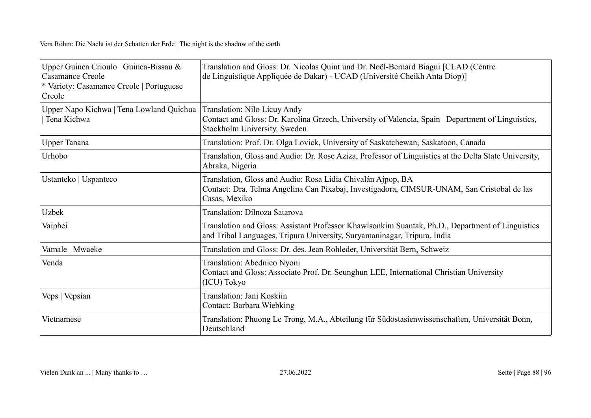| Upper Guinea Crioulo   Guinea-Bissau &<br>Casamance Creole<br>* Variety: Casamance Creole   Portuguese<br>Creole | Translation and Gloss: Dr. Nicolas Quint und Dr. Noël-Bernard Biagui [CLAD (Centre<br>de Linguistique Appliquée de Dakar) - UCAD (Université Cheikh Anta Diop)]              |
|------------------------------------------------------------------------------------------------------------------|------------------------------------------------------------------------------------------------------------------------------------------------------------------------------|
| Upper Napo Kichwa   Tena Lowland Quichua<br>Tena Kichwa                                                          | Translation: Nilo Licuy Andy<br>Contact and Gloss: Dr. Karolina Grzech, University of Valencia, Spain   Department of Linguistics,<br>Stockholm University, Sweden           |
| Upper Tanana                                                                                                     | Translation: Prof. Dr. Olga Lovick, University of Saskatchewan, Saskatoon, Canada                                                                                            |
| Urhobo                                                                                                           | Translation, Gloss and Audio: Dr. Rose Aziza, Professor of Linguistics at the Delta State University,<br>Abraka, Nigeria                                                     |
| Ustanteko   Uspanteco                                                                                            | Translation, Gloss and Audio: Rosa Lidia Chivalán Ajpop, BA<br>Contact: Dra. Telma Angelina Can Pixabaj, Investigadora, CIMSUR-UNAM, San Cristobal de las<br>Casas, Mexiko   |
| Uzbek                                                                                                            | Translation: Dilnoza Satarova                                                                                                                                                |
| Vaiphei                                                                                                          | Translation and Gloss: Assistant Professor Khawlsonkim Suantak, Ph.D., Department of Linguistics<br>and Tribal Languages, Tripura University, Suryamaninagar, Tripura, India |
| Vamale   Mwaeke                                                                                                  | Translation and Gloss: Dr. des. Jean Rohleder, Universität Bern, Schweiz                                                                                                     |
| Venda                                                                                                            | Translation: Abednico Nyoni<br>Contact and Gloss: Associate Prof. Dr. Seunghun LEE, International Christian University<br>(ICU) Tokyo                                        |
| Veps   Vepsian                                                                                                   | Translation: Jani Koskiin<br>Contact: Barbara Wiebking                                                                                                                       |
| Vietnamese                                                                                                       | Translation: Phuong Le Trong, M.A., Abteilung für Südostasienwissenschaften, Universität Bonn,<br>Deutschland                                                                |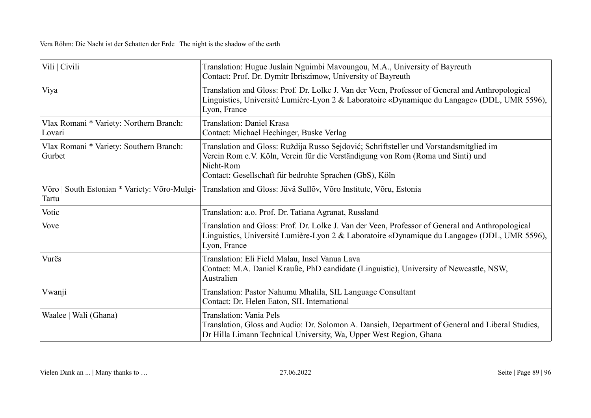| Vili   Civili                                         | Translation: Hugue Juslain Nguimbi Mavoungou, M.A., University of Bayreuth<br>Contact: Prof. Dr. Dymitr Ibriszimow, University of Bayreuth                                                                                                        |
|-------------------------------------------------------|---------------------------------------------------------------------------------------------------------------------------------------------------------------------------------------------------------------------------------------------------|
| Viya                                                  | Translation and Gloss: Prof. Dr. Lolke J. Van der Veen, Professor of General and Anthropological<br>Linguistics, Université Lumière-Lyon 2 & Laboratoire «Dynamique du Langage» (DDL, UMR 5596),<br>Lyon, France                                  |
| Vlax Romani * Variety: Northern Branch:<br>Lovari     | Translation: Daniel Krasa<br>Contact: Michael Hechinger, Buske Verlag                                                                                                                                                                             |
| Vlax Romani * Variety: Southern Branch:<br>Gurbet     | Translation and Gloss: Ruždija Russo Sejdović; Schriftsteller und Vorstandsmitglied im<br>Verein Rom e.V. Köln, Verein für die Verständigung von Rom (Roma und Sinti) und<br>Nicht-Rom<br>Contact: Gesellschaft für bedrohte Sprachen (GbS), Köln |
| Võro   South Estonian * Variety: Võro-Mulgi-<br>Tartu | Translation and Gloss: Jüvä Sullõv, Võro Institute, Võru, Estonia                                                                                                                                                                                 |
| Votic                                                 | Translation: a.o. Prof. Dr. Tatiana Agranat, Russland                                                                                                                                                                                             |
| Vove                                                  | Translation and Gloss: Prof. Dr. Lolke J. Van der Veen, Professor of General and Anthropological<br>Linguistics, Université Lumière-Lyon 2 & Laboratoire «Dynamique du Langage» (DDL, UMR 5596),<br>Lyon, France                                  |
| Vurës                                                 | Translation: Eli Field Malau, Insel Vanua Lava<br>Contact: M.A. Daniel Krauße, PhD candidate (Linguistic), University of Newcastle, NSW,<br>Australien                                                                                            |
| Vwanji                                                | Translation: Pastor Nahumu Mhalila, SIL Language Consultant<br>Contact: Dr. Helen Eaton, SIL International                                                                                                                                        |
| Waalee   Wali (Ghana)                                 | Translation: Vania Pels<br>Translation, Gloss and Audio: Dr. Solomon A. Dansieh, Department of General and Liberal Studies,<br>Dr Hilla Limann Technical University, Wa, Upper West Region, Ghana                                                 |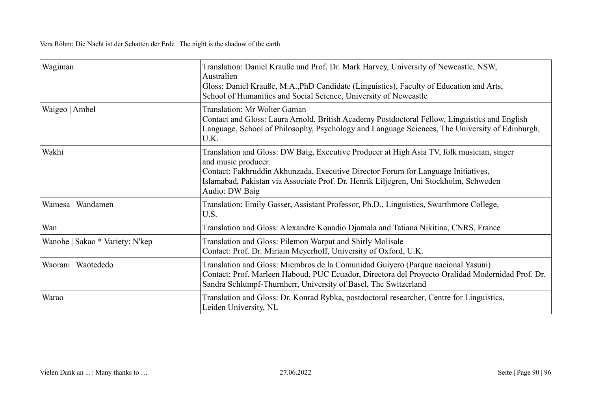| Wagiman                         | Translation: Daniel Krauße und Prof. Dr. Mark Harvey, University of Newcastle, NSW,<br>Australien<br>Gloss: Daniel Krauße, M.A., PhD Candidate (Linguistics), Faculty of Education and Arts,<br>School of Humanities and Social Science, University of Newcastle                                                 |
|---------------------------------|------------------------------------------------------------------------------------------------------------------------------------------------------------------------------------------------------------------------------------------------------------------------------------------------------------------|
| Waigeo   Ambel                  | <b>Translation: Mr Wolter Gaman</b><br>Contact and Gloss: Laura Arnold, British Academy Postdoctoral Fellow, Linguistics and English<br>Language, School of Philosophy, Psychology and Language Sciences, The University of Edinburgh,<br>U.K.                                                                   |
| Wakhi                           | Translation and Gloss: DW Baig, Executive Producer at High Asia TV, folk musician, singer<br>and music producer.<br>Contact: Fakhruddin Akhunzada, Executive Director Forum for Language Initiatives,<br>Islamabad, Pakistan via Associate Prof. Dr. Henrik Liljegren, Uni Stockholm, Schweden<br>Audio: DW Baig |
| Wamesa   Wandamen               | Translation: Emily Gasser, Assistant Professor, Ph.D., Linguistics, Swarthmore College,<br>U.S.                                                                                                                                                                                                                  |
| Wan                             | Translation and Gloss: Alexandre Kouadio Djamala and Tatiana Nikitina, CNRS, France                                                                                                                                                                                                                              |
| Wanohe   Sakao * Variety: N'kep | Translation and Gloss: Pilemon Warput and Shirly Molisale<br>Contact: Prof. Dr. Miriam Meyerhoff, University of Oxford, U.K.                                                                                                                                                                                     |
| Waorani   Waotededo             | Translation and Gloss: Miembros de la Comunidad Guiyero (Parque nacional Yasuni)<br>Contact: Prof. Marleen Haboud, PUC Ecuador, Directora del Proyecto Oralidad Modernidad Prof. Dr.<br>Sandra Schlumpf-Thurnherr, University of Basel, The Switzerland                                                          |
| Warao                           | Translation and Gloss: Dr. Konrad Rybka, postdoctoral researcher, Centre for Linguistics,<br>Leiden University, NL                                                                                                                                                                                               |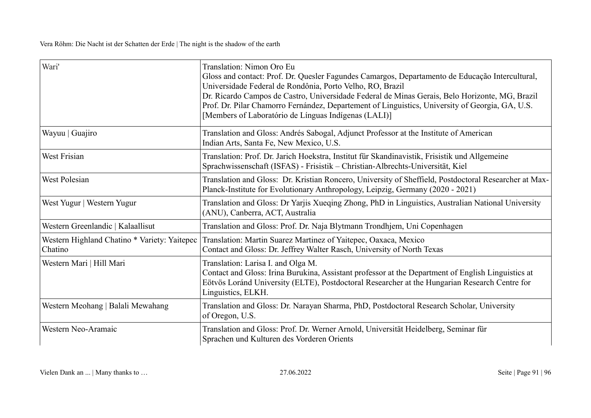| Wari'                                                   | Translation: Nimon Oro Eu<br>Gloss and contact: Prof. Dr. Quesler Fagundes Camargos, Departamento de Educação Intercultural,<br>Universidade Federal de Rondônia, Porto Velho, RO, Brazil<br>Dr. Ricardo Campos de Castro, Universidade Federal de Minas Gerais, Belo Horizonte, MG, Brazil<br>Prof. Dr. Pilar Chamorro Fernández, Departement of Linguistics, University of Georgia, GA, U.S.<br>[Members of Laboratório de Línguas Indígenas (LALI)] |
|---------------------------------------------------------|--------------------------------------------------------------------------------------------------------------------------------------------------------------------------------------------------------------------------------------------------------------------------------------------------------------------------------------------------------------------------------------------------------------------------------------------------------|
| Wayuu   Guajiro                                         | Translation and Gloss: Andrés Sabogal, Adjunct Professor at the Institute of American<br>Indian Arts, Santa Fe, New Mexico, U.S.                                                                                                                                                                                                                                                                                                                       |
| <b>West Frisian</b>                                     | Translation: Prof. Dr. Jarich Hoekstra, Institut für Skandinavistik, Frisistik und Allgemeine<br>Sprachwissenschaft (ISFAS) - Frisistik – Christian-Albrechts-Universität, Kiel                                                                                                                                                                                                                                                                        |
| West Polesian                                           | Translation and Gloss: Dr. Kristian Roncero, University of Sheffield, Postdoctoral Researcher at Max-<br>Planck-Institute for Evolutionary Anthropology, Leipzig, Germany (2020 - 2021)                                                                                                                                                                                                                                                                |
| West Yugur   Western Yugur                              | Translation and Gloss: Dr Yarjis Xueqing Zhong, PhD in Linguistics, Australian National University<br>(ANU), Canberra, ACT, Australia                                                                                                                                                                                                                                                                                                                  |
| Western Greenlandic   Kalaallisut                       | Translation and Gloss: Prof. Dr. Naja Blytmann Trondhjem, Uni Copenhagen                                                                                                                                                                                                                                                                                                                                                                               |
| Western Highland Chatino * Variety: Yaitepec<br>Chatino | Translation: Martin Suarez Martinez of Yaitepec, Oaxaca, Mexico<br>Contact and Gloss: Dr. Jeffrey Walter Rasch, University of North Texas                                                                                                                                                                                                                                                                                                              |
| Western Mari   Hill Mari                                | Translation: Larisa I. and Olga M.<br>Contact and Gloss: Irina Burukina, Assistant professor at the Department of English Linguistics at<br>Eötvös Loránd University (ELTE), Postdoctoral Researcher at the Hungarian Research Centre for<br>Linguistics, ELKH.                                                                                                                                                                                        |
| Western Meohang   Balali Mewahang                       | Translation and Gloss: Dr. Narayan Sharma, PhD, Postdoctoral Research Scholar, University<br>of Oregon, U.S.                                                                                                                                                                                                                                                                                                                                           |
| Western Neo-Aramaic                                     | Translation and Gloss: Prof. Dr. Werner Arnold, Universität Heidelberg, Seminar für<br>Sprachen und Kulturen des Vorderen Orients                                                                                                                                                                                                                                                                                                                      |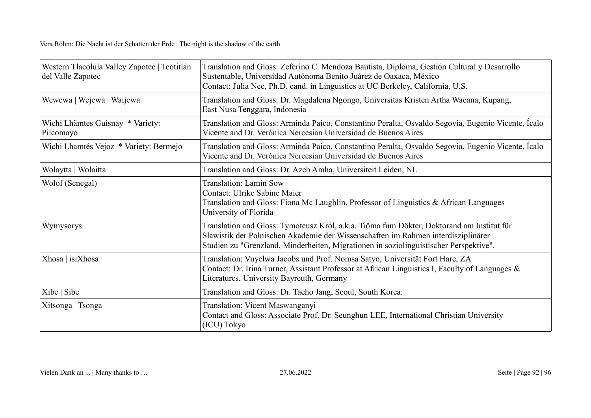| Western Tlacolula Valley Zapotec   Teotitlán<br>del Valle Zapotec | Translation and Gloss: Zeferino C. Mendoza Bautista, Diploma, Gestión Cultural y Desarrollo<br>Sustentable, Universidad Autónoma Benito Juárez de Oaxaca, México<br>Contact: Julia Nee, Ph.D. cand. in Linguistics at UC Berkeley, California, U.S.                     |
|-------------------------------------------------------------------|-------------------------------------------------------------------------------------------------------------------------------------------------------------------------------------------------------------------------------------------------------------------------|
| Wewewa   Wejewa   Waijewa                                         | Translation and Gloss: Dr. Magdalena Ngongo, Universitas Kristen Artha Wacana, Kupang,<br>East Nusa Tenggara, Indonesia                                                                                                                                                 |
| Wichi Lhämtes Guisnay * Variety:<br>Pilcomayo                     | Translation and Gloss: Arminda Paico, Constantino Peralta, Osvaldo Segovia, Eugenio Vicente, Icalo<br>Vicente and Dr. Verónica Nercesian Universidad de Buenos Aires                                                                                                    |
| Wichi Lhamtés Vejoz * Variety: Bermejo                            | Translation and Gloss: Arminda Paico, Constantino Peralta, Osvaldo Segovia, Eugenio Vicente, Ícalo<br>Vicente and Dr. Verónica Nercesian Universidad de Buenos Aires                                                                                                    |
| Wolaytta   Wolaitta                                               | Translation and Gloss: Dr. Azeb Amha, Universiteit Leiden, NL                                                                                                                                                                                                           |
| Wolof (Senegal)                                                   | Translation: Lamin Sow<br>Contact: Ulrike Sabine Maier<br>Translation and Gloss: Fiona Mc Laughlin, Professor of Linguistics & African Languages<br>University of Florida                                                                                               |
| Wymysorys                                                         | Translation and Gloss: Tymoteusz Król, a.k.a. Tiöma fum Dökter, Doktorand am Institut für<br>Slawistik der Polnischen Akademie der Wissenschaften im Rahmen interdisziplinärer<br>Studien zu "Grenzland, Minderheiten, Migrationen in soziolinguistischer Perspektive". |
| Xhosa   isiXhosa                                                  | Translation: Vuyelwa Jacobs und Prof. Nomsa Satyo, Universität Fort Hare, ZA<br>Contact: Dr. Irina Turner, Assistant Professor at African Linguistics I, Faculty of Languages &<br>Literatures, University Bayreuth, Germany                                            |
| Xibe   Sibe                                                       | Translation and Gloss: Dr. Taeho Jang, Seoul, South Korea.                                                                                                                                                                                                              |
| Xitsonga   Tsonga                                                 | Translation: Vicent Maswanganyi<br>Contact and Gloss: Associate Prof. Dr. Seunghun LEE, International Christian University<br>(ICU) Tokyo                                                                                                                               |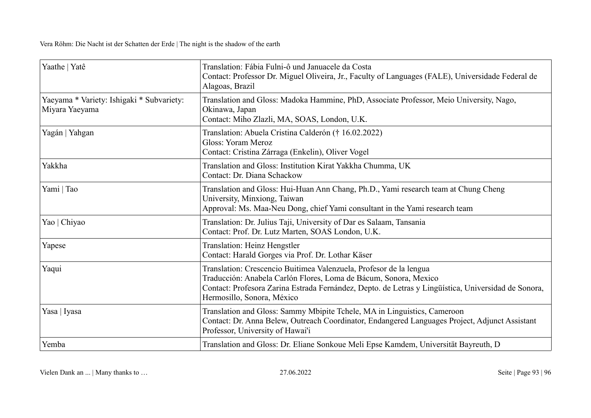| Yaathe   Yatê                                               | Translation: Fábia Fulni-ô und Januacele da Costa<br>Contact: Professor Dr. Miguel Oliveira, Jr., Faculty of Languages (FALE), Universidade Federal de<br>Alagoas, Brazil                                                                                                   |
|-------------------------------------------------------------|-----------------------------------------------------------------------------------------------------------------------------------------------------------------------------------------------------------------------------------------------------------------------------|
| Yaeyama * Variety: Ishigaki * Subvariety:<br>Miyara Yaeyama | Translation and Gloss: Madoka Hammine, PhD, Associate Professor, Meio University, Nago,<br>Okinawa, Japan<br>Contact: Miho Zlazli, MA, SOAS, London, U.K.                                                                                                                   |
| Yagán   Yahgan                                              | Translation: Abuela Cristina Calderón († 16.02.2022)<br>Gloss: Yoram Meroz<br>Contact: Cristina Zárraga (Enkelin), Oliver Vogel                                                                                                                                             |
| Yakkha                                                      | Translation and Gloss: Institution Kirat Yakkha Chumma, UK<br>Contact: Dr. Diana Schackow                                                                                                                                                                                   |
| Yami   Tao                                                  | Translation and Gloss: Hui-Huan Ann Chang, Ph.D., Yami research team at Chung Cheng<br>University, Minxiong, Taiwan<br>Approval: Ms. Maa-Neu Dong, chief Yami consultant in the Yami research team                                                                          |
| Yao   Chiyao                                                | Translation: Dr. Julius Taji, University of Dar es Salaam, Tansania<br>Contact: Prof. Dr. Lutz Marten, SOAS London, U.K.                                                                                                                                                    |
| Yapese                                                      | Translation: Heinz Hengstler<br>Contact: Harald Gorges via Prof. Dr. Lothar Käser                                                                                                                                                                                           |
| Yaqui                                                       | Translation: Crescencio Buitimea Valenzuela, Profesor de la lengua<br>Traducción: Anabela Carlón Flores, Loma de Bácum, Sonora, Mexico<br>Contact: Profesora Zarina Estrada Fernández, Depto. de Letras y Lingüística, Universidad de Sonora,<br>Hermosillo, Sonora, México |
| Yasa   Iyasa                                                | Translation and Gloss: Sammy Mbipite Tchele, MA in Linguistics, Cameroon<br>Contact: Dr. Anna Belew, Outreach Coordinator, Endangered Languages Project, Adjunct Assistant<br>Professor, University of Hawai'i                                                              |
| Yemba                                                       | Translation and Gloss: Dr. Eliane Sonkoue Meli Epse Kamdem, Universität Bayreuth, D                                                                                                                                                                                         |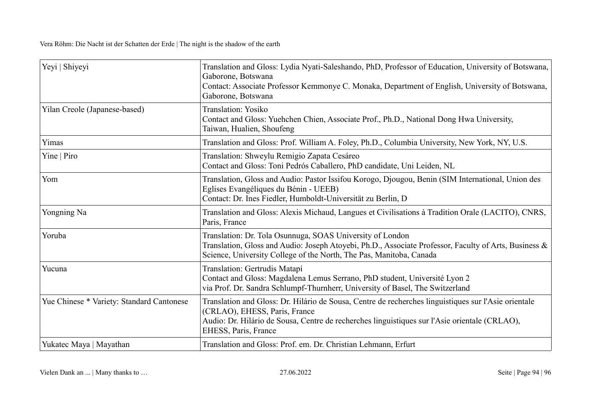| Yeyi   Shiyeyi                            | Translation and Gloss: Lydia Nyati-Saleshando, PhD, Professor of Education, University of Botswana,<br>Gaborone, Botswana<br>Contact: Associate Professor Kemmonye C. Monaka, Department of English, University of Botswana,<br>Gaborone, Botswana             |
|-------------------------------------------|----------------------------------------------------------------------------------------------------------------------------------------------------------------------------------------------------------------------------------------------------------------|
| Yilan Creole (Japanese-based)             | Translation: Yosiko<br>Contact and Gloss: Yuehchen Chien, Associate Prof., Ph.D., National Dong Hwa University,<br>Taiwan, Hualien, Shoufeng                                                                                                                   |
| Yimas                                     | Translation and Gloss: Prof. William A. Foley, Ph.D., Columbia University, New York, NY, U.S.                                                                                                                                                                  |
| Yine   Piro                               | Translation: Shweylu Remigio Zapata Cesáreo<br>Contact and Gloss: Toni Pedrós Caballero, PhD candidate, Uni Leiden, NL                                                                                                                                         |
| Yom                                       | Translation, Gloss and Audio: Pastor Issifou Korogo, Djougou, Benin (SIM International, Union des<br>Eglises Evangéliques du Bénin - UEEB)<br>Contact: Dr. Ines Fiedler, Humboldt-Universität zu Berlin, D                                                     |
| Yongning Na                               | Translation and Gloss: Alexis Michaud, Langues et Civilisations à Tradition Orale (LACITO), CNRS,<br>Paris, France                                                                                                                                             |
| Yoruba                                    | Translation: Dr. Tola Osunnuga, SOAS University of London<br>Translation, Gloss and Audio: Joseph Atoyebi, Ph.D., Associate Professor, Faculty of Arts, Business &<br>Science, University College of the North, The Pas, Manitoba, Canada                      |
| Yucuna                                    | Translation: Gertrudis Matapí<br>Contact and Gloss: Magdalena Lemus Serrano, PhD student, Université Lyon 2<br>via Prof. Dr. Sandra Schlumpf-Thurnherr, University of Basel, The Switzerland                                                                   |
| Yue Chinese * Variety: Standard Cantonese | Translation and Gloss: Dr. Hilário de Sousa, Centre de recherches linguistiques sur l'Asie orientale<br>(CRLAO), EHESS, Paris, France<br>Audio: Dr. Hilário de Sousa, Centre de recherches linguistiques sur l'Asie orientale (CRLAO),<br>EHESS, Paris, France |
| Yukatec Maya   Mayathan                   | Translation and Gloss: Prof. em. Dr. Christian Lehmann, Erfurt                                                                                                                                                                                                 |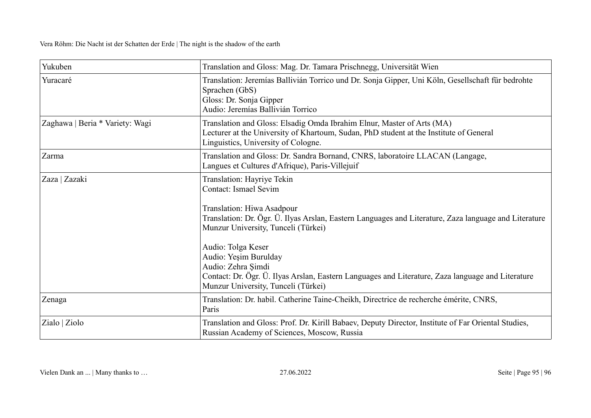| Yukuben                         | Translation and Gloss: Mag. Dr. Tamara Prischnegg, Universität Wien                                                                                                                                                                                                                                                                                                                                                                                       |
|---------------------------------|-----------------------------------------------------------------------------------------------------------------------------------------------------------------------------------------------------------------------------------------------------------------------------------------------------------------------------------------------------------------------------------------------------------------------------------------------------------|
| Yuracaré                        | Translation: Jeremías Ballivián Torrico und Dr. Sonja Gipper, Uni Köln, Gesellschaft für bedrohte<br>Sprachen (GbS)<br>Gloss: Dr. Sonja Gipper<br>Audio: Jeremías Ballivián Torrico                                                                                                                                                                                                                                                                       |
| Zaghawa   Beria * Variety: Wagi | Translation and Gloss: Elsadig Omda Ibrahim Elnur, Master of Arts (MA)<br>Lecturer at the University of Khartoum, Sudan, PhD student at the Institute of General<br>Linguistics, University of Cologne.                                                                                                                                                                                                                                                   |
| Zarma                           | Translation and Gloss: Dr. Sandra Bornand, CNRS, laboratoire LLACAN (Langage,<br>Langues et Cultures d'Afrique), Paris-Villejuif                                                                                                                                                                                                                                                                                                                          |
| Zaza   Zazaki                   | Translation: Hayriye Tekin<br><b>Contact: Ismael Sevim</b><br>Translation: Hiwa Asadpour<br>Translation: Dr. Ögr. Ü. Ilyas Arslan, Eastern Languages and Literature, Zaza language and Literature<br>Munzur University, Tunceli (Türkei)<br>Audio: Tolga Keser<br>Audio: Yeşim Burulday<br>Audio: Zehra Şimdi<br>Contact: Dr. Ögr. Ü. Ilyas Arslan, Eastern Languages and Literature, Zaza language and Literature<br>Munzur University, Tunceli (Türkei) |
| Zenaga                          | Translation: Dr. habil. Catherine Taine-Cheikh, Directrice de recherche émérite, CNRS,<br>Paris                                                                                                                                                                                                                                                                                                                                                           |
| Zialo   Ziolo                   | Translation and Gloss: Prof. Dr. Kirill Babaev, Deputy Director, Institute of Far Oriental Studies,<br>Russian Academy of Sciences, Moscow, Russia                                                                                                                                                                                                                                                                                                        |